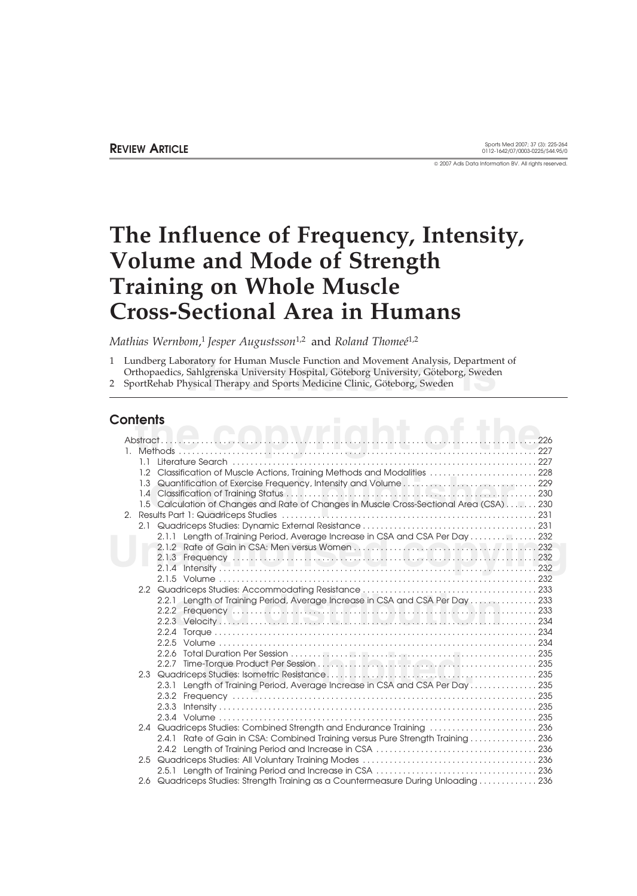$@$  2007 Adis Data Information BV. All rights reserved.

# **The Influence of Frequency, Intensity, Volume and Mode of Strength Training on Whole Muscle Cross-Sectional Area in Humans**

*Mathias Wernbom*, <sup>1</sup>*Jesper Augustsson*1,2 and *Roland Thomee´*1,2

boratory for Human Muscle Function and Movement Analysis, Department, Sahlgrenska University Hospital, Göteborg University, Göteborg, Swede<br>Physical Therapy and Sports Medicine Clinic, Göteborg, Sweden<br>Physical Therapy and 1 Lundberg Laboratory for Human Muscle Function and Movement Analysis, Department of Orthopaedics, Sahlgrenska University Hospital, Göteborg University, Göteborg, Sweden

2 SportRehab Physical Therapy and Sports Medicine Clinic, Göteborg, Sweden

## **Contents**

| <b>Contents</b> | $-11$                                                                                    |  |
|-----------------|------------------------------------------------------------------------------------------|--|
|                 | 226                                                                                      |  |
|                 |                                                                                          |  |
|                 |                                                                                          |  |
|                 | 1.2 Classification of Muscle Actions, Training Methods and Modalities  228               |  |
|                 |                                                                                          |  |
|                 |                                                                                          |  |
|                 | 1.5 Calculation of Changes and Rate of Changes in Muscle Cross-Sectional Area (CSA)  230 |  |
|                 |                                                                                          |  |
|                 |                                                                                          |  |
|                 | 2.1.1 Length of Training Period, Average Increase in CSA and CSA Per Day  232            |  |
|                 |                                                                                          |  |
|                 |                                                                                          |  |
|                 |                                                                                          |  |
|                 |                                                                                          |  |
|                 |                                                                                          |  |
|                 | 2.2.1 Length of Training Period, Average Increase in CSA and CSA Per Day  233            |  |
|                 |                                                                                          |  |
|                 |                                                                                          |  |
|                 |                                                                                          |  |
|                 |                                                                                          |  |
|                 |                                                                                          |  |
|                 |                                                                                          |  |
|                 |                                                                                          |  |
|                 | 2.3.1 Length of Training Period, Average Increase in CSA and CSA Per Day  235            |  |
|                 |                                                                                          |  |
|                 |                                                                                          |  |
|                 |                                                                                          |  |
|                 | 2.4 Quadriceps Studies: Combined Strength and Endurance Training  236                    |  |
|                 | 2.4.1 Rate of Gain in CSA: Combined Training versus Pure Strength Training  236          |  |
|                 |                                                                                          |  |
|                 |                                                                                          |  |
|                 |                                                                                          |  |
|                 | 2.6 Quadriceps Studies: Strength Training as a Countermeasure During Unloading  236      |  |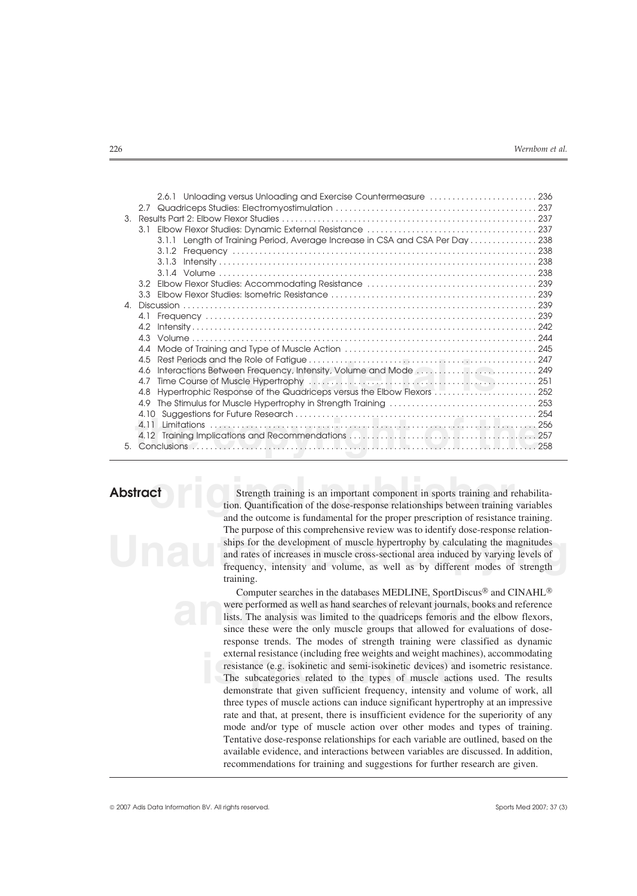|               | 2.6.1 Unloading versus Unloading and Exercise Countermeasure  236                                              |  |
|---------------|----------------------------------------------------------------------------------------------------------------|--|
|               | 2.7                                                                                                            |  |
| $\mathcal{E}$ |                                                                                                                |  |
|               |                                                                                                                |  |
|               | 3.1.1 Length of Training Period, Average Increase in CSA and CSA Per Day  238                                  |  |
|               |                                                                                                                |  |
|               | 3.1.3                                                                                                          |  |
|               |                                                                                                                |  |
|               | $3.2^{\circ}$                                                                                                  |  |
|               | $3.3 -$                                                                                                        |  |
| $\Delta$ .    |                                                                                                                |  |
|               |                                                                                                                |  |
|               | 4.2                                                                                                            |  |
|               |                                                                                                                |  |
|               | 4.4                                                                                                            |  |
|               |                                                                                                                |  |
|               | 4.5                                                                                                            |  |
|               | 4.6                                                                                                            |  |
|               | Time Course of Muscle Hypertrophy [1, 1, 2, 3, 1] . Henry H. H. Henry H. Henry H. Henry H. Henry H. 251<br>4.7 |  |
|               | 4.8                                                                                                            |  |
|               | 4.9                                                                                                            |  |
|               |                                                                                                                |  |
|               |                                                                                                                |  |
|               |                                                                                                                |  |
| $5 -$         |                                                                                                                |  |
|               |                                                                                                                |  |
|               |                                                                                                                |  |

**original Strength training is an important component in sports training and rehabilities. Quantification of the dose-response relationships between training variable and the outcome is fundamental for the proper preceptit** Figure 3 and the development of muscle hypertrophy by calculating the magnitudes and rates of increases in muscle cross-sectional area induced by varying levels of frequency, intensity and volume, as well as by different m Abstract Strength training is an important component in sports training and rehabilitation. Quantification of the dose-response relationships between training variables and the outcome is fundamental for the proper prescription of resistance training. The purpose of this comprehensive review was to identify dose-response relationships for the development of muscle hypertrophy by calculating the magnitudes and rates of increases in muscle cross-sectional area induced by varying levels of training.

> Computer searches in the databases MEDLINE, SportDiscus® and<br>were performed as well as hand searches of relevant journals, books at<br>lists. The analysis was limited to the quadriceps femoris and the ell<br>since these were the external resistance (including free weights and weight machine<br>resistance (e.g. isokinetic and semi-isokinetic devices) and is<br>The subcategories related to the types of muscle actions<br>demonstrate that given sufficient freq Computer searches in the databases MEDLINE, SportDiscus® and CINAHL® were performed as well as hand searches of relevant journals, books and reference lists. The analysis was limited to the quadriceps femoris and the elbow flexors, since these were the only muscle groups that allowed for evaluations of doseresponse trends. The modes of strength training were classified as dynamic external resistance (including free weights and weight machines), accommodating resistance (e.g. isokinetic and semi-isokinetic devices) and isometric resistance. The subcategories related to the types of muscle actions used. The results demonstrate that given sufficient frequency, intensity and volume of work, all three types of muscle actions can induce significant hypertrophy at an impressive rate and that, at present, there is insufficient evidence for the superiority of any mode and/or type of muscle action over other modes and types of training. Tentative dose-response relationships for each variable are outlined, based on the available evidence, and interactions between variables are discussed. In addition, recommendations for training and suggestions for further research are given.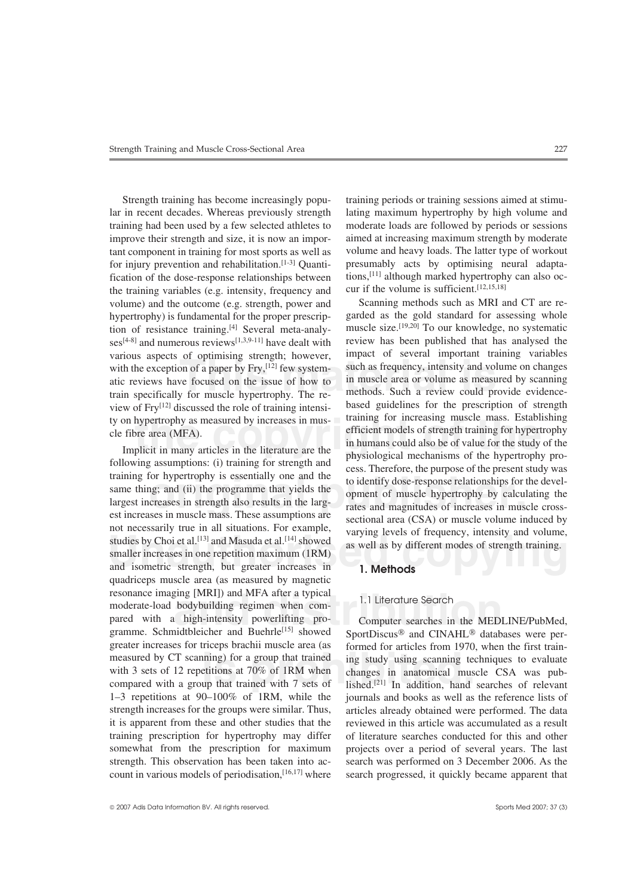lar in recent decades. Whereas previously strength lating maximum hypertrophy by high volume and training had been used by a few selected athletes to moderate loads are followed by periods or sessions improve their strength and size, it is now an impor- aimed at increasing maximum strength by moderate tant component in training for most sports as well as volume and heavy loads. The latter type of workout for injury prevention and rehabilitation.  $[1-3]$  Quanti- presumably acts by optimising neural adaptafication of the dose-response relationships between tions,<sup>[11]</sup> although marked hypertrophy can also oc-<br>the training variables (e.g. intensity, frequency and cur if the volume is sufficient.<sup>[12,15,18]</sup> the training variables (e.g. intensity, frequency and volume) and the outcome (e.g. strength, power and Scanning methods such as MRI and CT are rehypertrophy) is fundamental for the proper prescrip-<br>tion of resistance training.<sup>[4]</sup> Several meta-analy-<br>muscle size.<sup>[19,20]</sup> To our knowledge, no systematic tion of resistance training.<sup>[4]</sup> Several meta-analy-<br>sexestion of resistance sexesters and numerous reviews<sup>[1,3,9-11]</sup> have dealt with review has been published that has analysed the  $ses^{[4-8]}$  and numerous reviews<sup>[1,3,9-11]</sup> have dealt with various aspects of optimising strength; however, with the exception of a paper by  $Fry$ , <sup>[12]</sup> few systematic reviews have focused on the issue of how to train specifically for muscle hypertrophy. The review of Fry<sup>[12]</sup> discussed the role of training intensi-<br>ty on hypertrophy as measured by increases in muscolular training for increasing muscle mass. Establishing ty on hypertrophy as measured by increases in musefficient models of strength training for hypertrophy cle fibre area (MFA).

training for hypertrophy is essentially one and the<br>same thing; and (ii) the programme that yields the<br>largest increases in strength also results in the larg-<br>extend area (CSA) or muscle volume induced by<br>sectional area (C not necessarily true in all situations. For example,<br>studies by Choi et al.<sup>[13]</sup> and Masuda et al.<sup>[14]</sup> showed<br>smaller increases in one repetition maximum (1RM)<br>and isometric strength, but greater increases in **1.** Metho resonance imaging [MRI]) and MFA after a typical<br>
moderate-load bodybuilding regimen when com-<br>
pared with a high-intensity powerlifting pro-<br>
gramme. Schmidtbleicher and Buehrle<sup>[15]</sup> showed SportDiscus<sup>®</sup> and CINAHL<sup>®</sup> d Implicit in many articles in the literature are the<br>following assumptions: (i) training for strength and<br>training for hypertrophy is essentially one and the<br>dentify dose-response relationships for the devel-<br>same thing; a and isometric strength, but greater increases in quadriceps muscle area (as measured by magnetic resonance imaging [MRI]) and MFA after a typical moderate-load bodybuilding regimen when com-<br>
1.1 Literature Search pared with a high-intensity powerlifting pro- Computer searches in the MEDLINE/PubMed, greater increases for triceps brachii muscle area (as formed for articles from 1970, when the first trainmeasured by CT scanning) for a group that trained ing study using scanning techniques to evaluate with 3 sets of 12 repetitions at 70% of 1RM when changes in anatomical muscle CSA was pubstrength increases for the groups were similar. Thus, articles already obtained were performed. The data it is apparent from these and other studies that the reviewed in this article was accumulated as a result training prescription for hypertrophy may differ of literature searches conducted for this and other somewhat from the prescription for maximum projects over a period of several years. The last strength. This observation has been taken into ac-<br>count in various models of periodisation,  $[16,17]$  where search progressed, it quickly became apparent that

Strength training has become increasingly popu- training periods or training sessions aimed at stimu-

impact of several important training variables<br>such as frequency, intensity and volume on changes<br>in muscle area or volume as measured by scanning<br>methods. Such a review could provide evidence-<br>based guidelines for the pre hypertrophy as measured by increases in mus-<br>
ore area (MFA).<br>
plicit in many articles in the literature are the<br>
plicit in many articles in the literature are the<br>
plicit in many articles in the literature are the<br>
physio

measured by CT scanning) for a group that trained ing study using scanning techniques to evaluate with 3 sets of 12 repetitions at 70% of 1RM when compared with a group that trained with 7 sets of lished.<sup>[21]</sup> In addition 1–3 repetitions at 90–100% of 1RM, while the journals and books as well as the reference lists of search progressed, it quickly became apparent that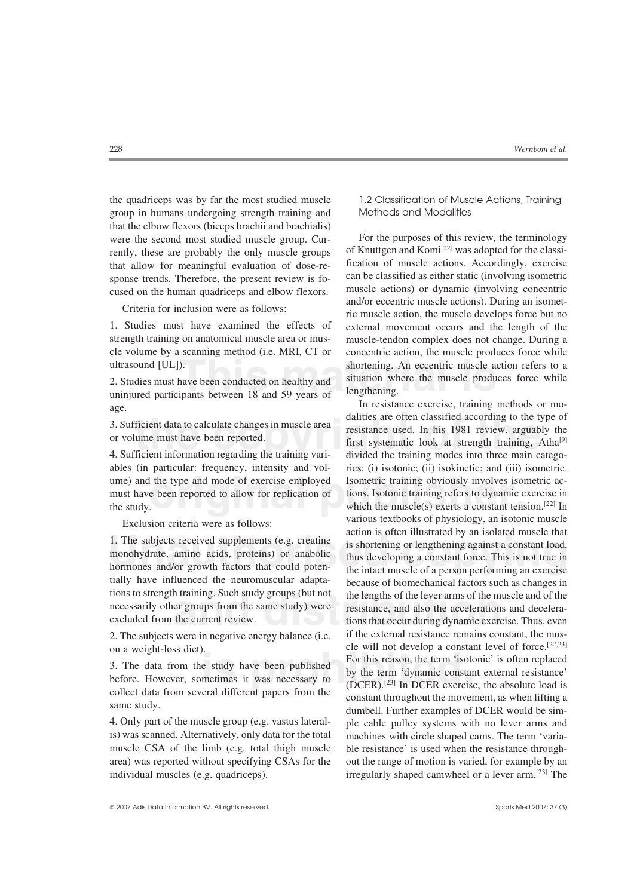the quadriceps was by far the most studied muscle 1.2 Classification of Muscle Actions, Training group in humans undergoing strength training and Methods and Modalities that the elbow flexors (biceps brachii and brachialis) were the second most studied muscle group. Cur-<br>
For the purposes of this review, the terminology<br>
rently these are probably the only muscle groups<br>
of Knuttgen and Komi<sup>[22]</sup> was adopted for the classi-

cle volume by a scanning method (i.e. MRI, CT or concentric action, the muscle produces force while

4. Sufficient information regarding the training variables (in particular: frequency, intensity and vol- ries: (i) isotonic; (ii) isokinetic; and (iii) isometric. ume) and the type and mode of exercise employed Isometric training obviously involves isometric acmust have been reported to allow for replication of tions. Isotonic training refers to dynamic exercise in

tially have influenced the neuromuscular adapta-<br>tions to strength training. Such study groups (but not the lengths of the lever arms of the muscle and of the necessarily other groups from the same study) were resistance, and also the accelerations and decelera-

ultrasound [UL]).<br>
2. Studies must have been conducted on healthy and<br>
2. Studies must have been conducted on healthy and<br>
<sup>30</sup> situation where the muscle produces force while<br>
uninjured participants between 18 and 59 year rently, these are probably the only muscle groups of Knuttgen and Komi<sup>[22]</sup> was adopted for the classi-<br>that allow for meaningful evaluation of dose-re-<br>fication of muscle actions. Accordingly, exercise that allow for meaningful evaluation of dose-re-<br>space trends. Therefore the present review is formulated as either static (involving isometric sponse trends. Therefore, the present review is fo-<br>cused on the human quadricens and elbow flexors muscle actions) or dynamic (involving concentric cused on the human quadriceps and elbow flexors. muscle actions) or dynamic (involving concentric<br>Criteria for inclusion were as follows:<br>Criteria for inclusion were as follows:<br>inclusion were as follows: 1. Studies must have examined the effects of external movement occurs and the length of the strength training on anatomical muscle area or mus-<br>muscle-tendon complex does not change. During a muscle-tendon complex does not change. During a shortening. An eccentric muscle action refers to a

3. Sufficient data to calculate changes in muscle area diluties are often classified according to the type of<br>or volume must have been reported.<br>4. Sufficient information regarding the training vari-<br>4. Sufficient informat In the type and mode of exercise employed<br>
which the muscle(s) exerts a constant tension.<sup>[22]</sup> In<br>
the study.<br>
Which the muscle(s) exerts a constant tension.<sup>[22]</sup> In The subjects received supplements (e.g. creatine<br>
I. The subjects received supplements (e.g. creatine<br>
monohydrate, amino acids, proteins) or anabolic<br>
hormones and/or growth factors that could poten-<br>
tially have influenc tions to strength training. Such study groups (but not<br>necessarily other groups from the same study) were<br>excluded from the current review.<br>A Thus, the current review.<br>A Thus, even into the current review.<br>A Thus, even int on a weight-loss diet).<br>
3. The data from the study have been published<br>
before. However, sometimes it was necessary to<br>
collect data from several different papers from the<br>
collect data from several different papers from 2. Studies must have been conducted on healthy and<br>uninjured participants between 18 and 59 years of<br>the resistance exercise, training methods or mo-<br>age.<br>In resistance exercise, training methods or mo-<br>dalities are often Exclusion criteria were as follows: various textbooks of physiology, an isotonic muscle thus developing a constant force. This is not true in the lengths of the lever arms of the muscle and of the 2. The subjects were in negative energy balance (i.e. if the external resistance remains constant, the muscle will not develop a constant level of force.<sup>[22,23]</sup> 3. The data from the study have been published<br>before. However, sometimes it was necessary to<br>collect data from several different papers from the<br>same study.<br>dumbell. Further examples of DCER would be sim-<br>dumbell. Furthe 4. Only part of the muscle group (e.g. vastus lateral- ple cable pulley systems with no lever arms and is) was scanned. Alternatively, only data for the total machines with circle shaped cams. The term 'variamuscle CSA of the limb (e.g. total thigh muscle ble resistance' is used when the resistance througharea) was reported without specifying CSAs for the out the range of motion is varied, for example by an individual muscles (e.g. quadriceps). integularly shaped camwheel or a lever arm.<sup>[23]</sup> The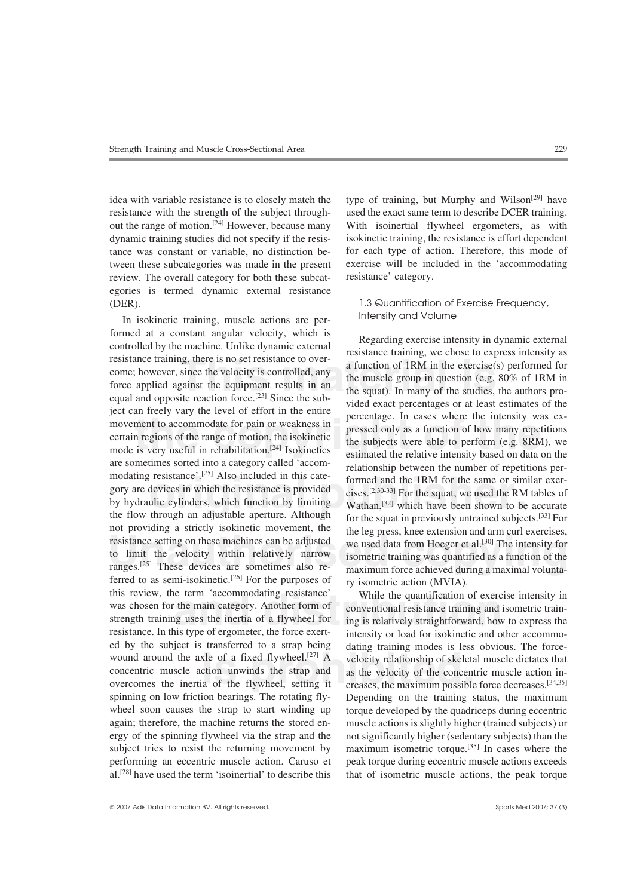idea with variable resistance is to closely match the type of training, but Murphy and Wilson<sup>[29]</sup> have resistance with the strength of the subject through- used the exact same term to describe DCER training. out the range of motion.<sup>[24]</sup> However, because many With isoinertial flywheel ergometers, as with dynamic training studies did not specify if the resis- isokinetic training, the resistance is effort dependent tance was constant or variable, no distinction be- for each type of action. Therefore, this mode of tween these subcategories was made in the present exercise will be included in the 'accommodating review. The overall category for both these subcat- resistance' category. egories is termed dynamic external resistance (DER). 1.3 Quantification of Exercise Frequency,

resistance training, there is no set resistance to over-<br>come; however, since the velocity is controlled, any<br>force applied against the equipment results in an<br>force applied against the equipment results in an<br>equal and o ject can freely vary the level of effort in the entire<br>movement to accommodate for pain or weakness in<br>errasing the composition of how many repetitions<br>certain regions of the range of motion, the isokinetic<br>mode is very us modating resistance'.<sup>[25]</sup> Also included in this cate-<br>gory are devices in which the resistance is provided<br>by hydraulic cylinders, which function by limiting<br>the squat, we used the RM tables of<br>the squat, we used the RM **UNAUGE COPY THESE COPYSTS AND COPYSTS ARE CONSIDERED ASSESS**, we used data from Hoeger et al.<sup>[30]</sup> The intensity for to limit the velocity within relatively narrow ranges.<sup>[25]</sup> These devices are sometimes also re-<br>maxim e term 'accommodating resistance' While the quantification of exercitive main category. Another form of conventional resistance training and is uses the inertia of a flywheel for ing is relatively straightforward, how is t wound around the axle of a fixed flywheel.<sup>[27]</sup> A velocity relationship of skeletal muscle dictates that concentric muscle action innovercomes the inertia of the flywheel, setting it creases, the maximum possible force de In isokinetic training, muscle actions are per-<br>Intensity and Volume formed at a constant angular velocity, which is<br>controlled by the machine. Unlike dynamic external<br>resistance training, we chose to express intensity as<br>resistance training, there is no set resistance to over-<br>come; howev the flow through an adjustable aperture. Although for the squat in previously untrained subjects.<sup>[33]</sup> For not providing a strictly isokinetic movement, the the leg press knee extension and arm curl exercises not providing a strictly isokinetic movement, the the leg press, knee extension and arm curl exercises, resistance setting on these machines can be adjusted we used data from Hoeger et al. [30] The intensity for resistance setting on these machines can be adjusted we used data from Hoeger et al.<sup>[30]</sup> The intensity for to limit the velocity within relatively narrow isometric training was quantified as a function of the ranges.<sup>[25]</sup> These devices are sometimes also re-<br>ferred to as semi-isokinetic.<sup>[26]</sup> For the purposes of ry isometric action (MVIA).<br>this review, the term 'accommodating resistance' while the quantification of exercise was chosen for the main category. Another form of conventional resistance training and isometric trainstrength training uses the inertia of a flywheel for ing is relatively straightforward, how to express the resistance. In this type of ergometer, the force exert-<br>intensity or load for isokinetic and other accommoed by the subject is transferred to a strap being dating training modes is less obvious. The forcewound around the axle of a fixed flywheel.<sup>[27]</sup> A velocity relationship of skeletal muscle dictates that concentric muscle action unwinds the strap and as the velocity of the concentric muscle action inspinning on low friction bearings. The rotating fly-<br>Depending on the training status, the maximum wheel soon causes the strap to start winding up torque developed by the quadriceps during eccentric again; therefore, the machine returns the stored en- muscle actions is slightly higher (trained subjects) or ergy of the spinning flywheel via the strap and the not significantly higher (sedentary subjects) than the subject tries to resist the returning movement by maximum isometric torque.<sup>[35]</sup> In cases where the performing an eccentric muscle action. Caruso et peak torque during eccentric muscle actions exceeds

cises.<sup>[2,30-33]</sup> For the squat, we used the RM tables of isometric training was quantified as a function of the

While the quantification of exercise intensity in al.<sup>[28]</sup> have used the term 'isoinertial' to describe this that of isometric muscle actions, the peak torque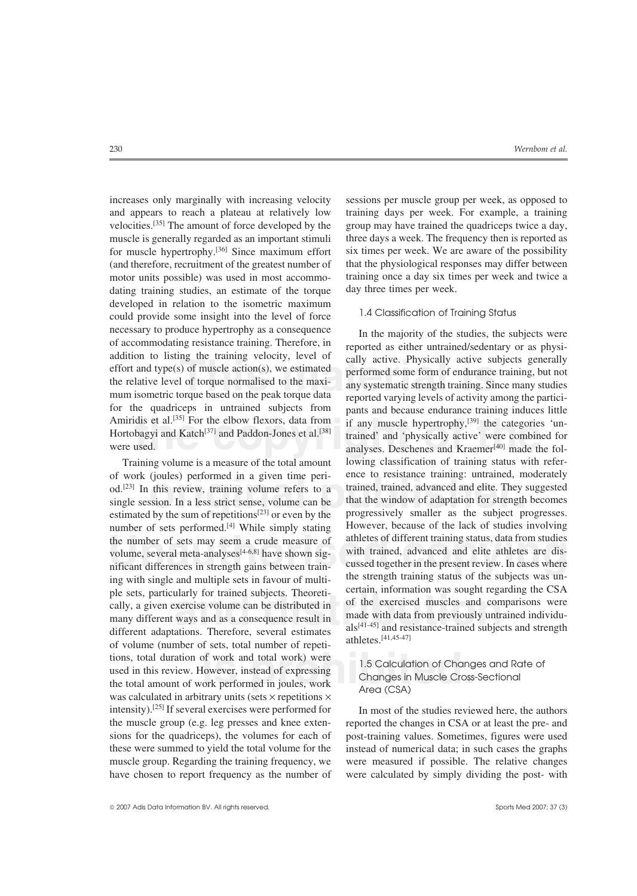dating training studies, an estimate of the torque day three times per week. developed in relation to the isometric maximum<br>could provide some insight into the level of force<br> $1.4$  Classification of Training Status necessary to produce hypertrophy as a consequence<br>of accommodating resistance training. Therefore, in<br>addition to listing the training velocity, level of<br>effort and type(s) of muscle action(s), we estimated<br>the relative le

original publisher. This review, training volume refers to a trained, trained, advanced and elite. They suggested<br>
single session. In a less strict sense, volume can be that the window of adaptation for strength becomes<br>
e the number of sets may seem a crude measure of<br>volume, several meta-analyses<sup>[4-6,8]</sup> have shown sig-<br>ificant differences in strength gains between train-<br>the strength training status of the unbiasts where<br>the strength tra when the studies of the exercise volume can be distributed in<br>ways and as a consequence result in<br>ations. Therefore, several estimates and resistance-trained subject tions, total duration of work and total work) were<br>used in this review. However, instead of expressing<br>the total amount of work performed in joules, work<br>was calculated in arbitrary units (sets  $\times$  repetitions  $\times$ <br>Peca ( of work (joules) performed in a given time peri- ence to resistance training: untrained, moderately single session. In a less strict sense, volume can be that the window of adaptation for strength becomes estimated by the sum of repetitions<sup>[23]</sup> or even by the progressively smaller as the subject progresses. estimated by the sum of repetitions<sup>[23]</sup> or even by the progressively smaller as the subject progresses. number of sets performed  $[4]$  While simply stating However, because of the lack of studies involving number of sets performed.<sup>[4]</sup> While simply stating However, because of the lack of studies involving<br>the number of sets may seem a crude measure of athletes of different training status, data from studies the number of sets may seem a crude measure of athletes of different training status, data from studies volume several meta-analyses<sup>[4-6,8]</sup> have shown signtum with trained, advanced and elite athletes are disvolume, several meta-analyses<sup>[4-6,8]</sup> have shown sig-<br>with trained, advanced and elite athletes are disnificant differences in strength gains between train-<br>in the present review. In cases where<br>ing with single and multiple sets in favour of multiple the strength training status of the subjects was uning with single and multiple sets in favour of multi-<br>the strength training status of the subjects was un-<br>ne sets particularly for trained subjects. Theoreti-<br>certain, information was sought regarding the CSA ple sets, particularly for trained subjects. Theoretically, a given exercise volume can be distributed in  $\sigma$  of the exercised muscles and comparisons were many different ways and as a consequence result in made with data from previously untrained individudifferent adaptations. Therefore, several estimates  $als^{[41-45]}$  and resistance-trained subjects and strength of volume (number of sets total number of repeti-<br>athletes.<sup>[41,45-47]</sup> of volume (number of sets, total number of repetiintensity).<sup>[25]</sup> If several exercises were performed for In most of the studies reviewed here, the authors

increases only marginally with increasing velocity sessions per muscle group per week, as opposed to and appears to reach a plateau at relatively low training days per week. For example, a training velocities.<sup>[35]</sup> The amount of force developed by the group may have trained the quadriceps twice a day, muscle is generally regarded as an important stimuli three days a week. The frequency then is reported as for muscle hypertrophy.<sup>[36]</sup> Since maximum effort six times per week. We are aware of the possibility (and therefore, recruitment of the greatest number of that the physiological responses may differ between motor units possible) was used in most accommo- training once a day six times per week and twice a

addition to listing the training velocity, level of cally active. Physically active subjects generally effort and type(s) of muscle action(s), we estimated performed some form of endurance training, but not the relative le Amiridis et al.<sup>[35]</sup> For the elbow flexors, data from if any muscle hypertrophy,<sup>[39]</sup> the categories 'un-<br>Hortobagyi and Katch<sup>[37]</sup> and Paddon-Jones et al.<sup>[38]</sup> trained' and 'physically active' were combined for analys mum isometric torque based on the peak torque data reported varying levels of activity among the partici-<br>for the quadriceps in untrained subjects from pants and because endurance training induces little for the quadriceps in untrained subjects from pants and because endurance training induces little<br>Amiridis et al.<sup>[35]</sup> For the elbow flexors, data from  $\epsilon$  if any muscle hypertrophy <sup>[39]</sup> the categories 'un-Hortobagyi and Katch<sup>[37]</sup> and Paddon-Jones et al.<sup>[38]</sup> trained' and 'physically active' were combined for were used. analyses. Deschenes and Kraemer<sup>[40]</sup> made the fol-Training volume is a measure of the total amount lowing classification of training status with refer-

the muscle group (e.g. leg presses and knee exten- reported the changes in CSA or at least the pre- and sions for the quadriceps), the volumes for each of post-training values. Sometimes, figures were used these were summed to yield the total volume for the instead of numerical data; in such cases the graphs muscle group. Regarding the training frequency, we were measured if possible. The relative changes have chosen to report frequency as the number of were calculated by simply dividing the post- with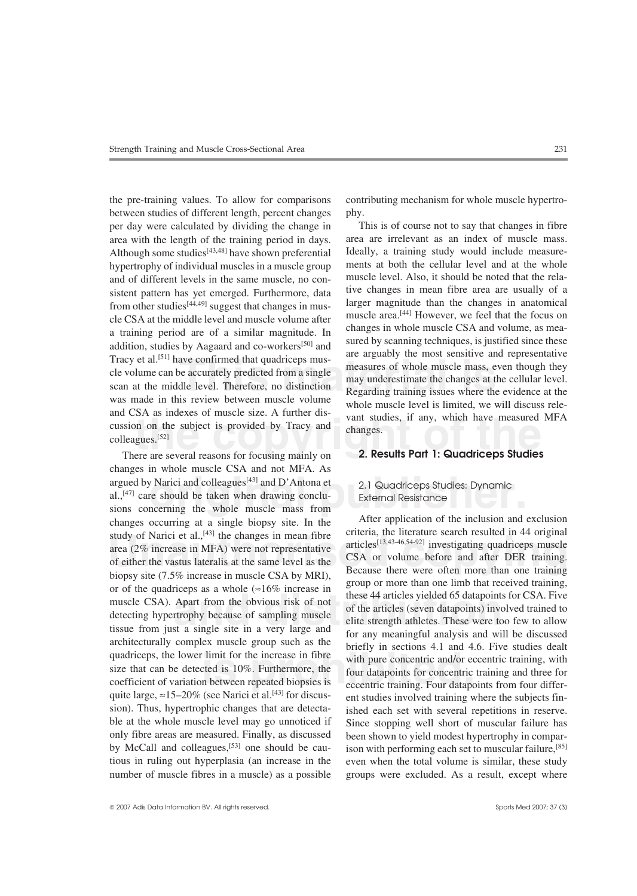Tracy et al.<sup>[51]</sup> have confirmed that quadriceps mus-<br>cle volume can be accurately predicted from a single<br>scan at the middle level. Therefore, no distinction<br>was made in this review between muscle volume<br>whole muscle lev and CSA as indexes of muscle size. A further dis-<br>cussion on the subject is provided by Tracy and<br>colleagues.<sup>[52]</sup><br>There are several reasons for focusing mainly on<br>**2. Results Part 1: Quadriceps Studies** between studies of different length, percent changes phy. per day were calculated by dividing the change in This is of course not to say that changes in fibre area with the length of the training period in days. area are irrelevant as an index of muscle mass. Although some studies  $[43,48]$  have shown preferential Ideally, a training study would include measure-<br>hypertrophy of individual muscles in a muscle group ments at both the cellular level and at the whole hypertrophy of individual muscles in a muscle group ments at both the cellular level and at the whole<br>and of different levels in the same muscle no con-<br>muscle level. Also, it should be noted that the relaand of different levels in the same muscle, no con-<br>sistent and of different levels in the same muscle, no con-<br>sistent pattern has vet emerged. Furthermore, data sistent pattern has yet emerged. Furthermore, data structure changes in mean fibre area are usually of a sigm other studies of the changes in muscular structure in muscular structure of the changes in anatomical from other studies<sup>[44,49]</sup> suggest that changes in mus-<br>cle CSA at the middle level and muscle volume after muscle area.<sup>[44]</sup> However, we feel that the focus on contribution of consistent changes in whole muscle CSA and a training period are of a similar magnitude. In sured by scanning techniques, is justified since these addition, studies by Aagaard and co-workers<sup>[50]</sup> and Tracy et al.<sup>[51]</sup> have confirmed that quadriceps mus-<br>cle volume can be accurately predicted from a single<br>scan at the middle level. Therefore, no distinction<br>was made in this review between muscle volume<br>and CSA as inde

argued by Narici and colleagues<sup>[43]</sup> and D'Antona et <br>al.,<sup>[47]</sup> care should be taken when drawing conclu-<br>sions concerning the whole muscle mass from study of Narici et al.,<sup>[43]</sup> the changes in mean fibre criteria, the literature search resulted in 44 original<br>area (2% increase in MFA) were not representative articles<sup>[13,43-46,54-92]</sup> investigating quadriceps muscle<br> or of the quadriceps as a whole  $(\approx 16\%$  increase in<br>muscle CSA). Apart from the obvious risk of not<br>detecting hypertrophy because of sampling muscle<br>distribution of the articles yielded 65 datapoints for CSA. Five<br>detec architecturially complex muscle group such as the<br>quadriceps, the lower limit for the increase in fibre<br>size that can be detected is 10%. Furthermore, the<br>coefficient of variation between repeated biopsies is<br>coefficient There are several reasons for focusing mainly on changes in whole muscle CSA and not MFA. As al.,<sup>[47]</sup> care should be taken when drawing conclu-<br>External Resistance sions concerning the whole muscle mass from changes occurring at a single biopsy site. In the After application of the inclusion and exclusion changes in the changes in mean fibre criteria, the literature search resulted in 44 original biopsy site (7.5% increase in muscle CSA by MRI), Because there were often more than one training<br>or of the quadriceps as a whole ( $\approx$ 16% increase in<br>muscle CSA). Apart from the obvious risk of not<br>detecting hypertrophy quite large, ≈15–20% (see Narici et al.<sup>[43]</sup> for discussion). Thus, hypertrophic changes that are detectasion). Thus, hypertrophic changes that are detecta-<br>ble at the whole muscle level may go unnoticed if Since stopping well short of muscular failure has ble at the whole muscle level may go unnoticed if Since stopping well short of muscular failure has only fibre areas are measured. Finally, as discussed been shown to vield modest hypertrophy in comparonly fibre areas are measured. Finally, as discussed been shown to yield modest hypertrophy in compar-<br>by McCall and colleagues,<sup>[53]</sup> one should be cau-<br>ison with performing each set to muscular failure,<sup>[85]</sup> tious in ruling out hyperplasia (an increase in the even when the total volume is similar, these study number of muscle fibres in a muscle) as a possible groups were excluded. As a result, except where

the pre-training values. To allow for comparisons contributing mechanism for whole muscle hypertro-

eccentric training. Four datapoints from four differison with performing each set to muscular failure,<sup>[85]</sup>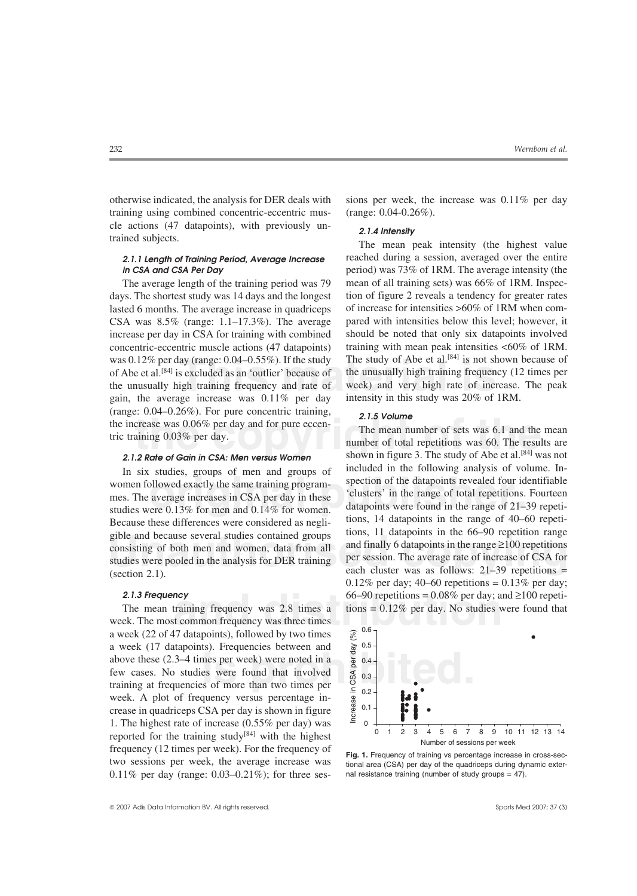training using combined concentric-eccentric mus- (range: 0.04-0.26%). cle actions (47 datapoints), with previously un-<br>trained subjects.<br>The mean peak intensity (the highest value

gain, the average increase was  $0.11\%$  per day intensity in this study was 20% of 1RM. (range: 0.04–0.26%). For pure concentric training, *2.1.5 Volume*

In six studies, groups of men and groups of<br>women followed exactly the same training program-<br>mes. The average increases in CSA per day in these<br>studies were 0.13% for men and 0.14% for women.<br>Because these differences wer gible and because several studies contained groups tions, 11 datapoints in the 66–90 repetition range consisting of both men and women, data from all and finally 6 datapoints in the range  $\geq$ 100 repetitions studies were women followed exactly the same training programmes. The average increases in CSA per day in these studies were 0.13% for men and 0.14% for women.

**and distribution**  $\frac{66-90}{20}$  repetitions = 0.08% per day; at training frequency was 2.8 times a tions = 0.12% per day. No studies v<br>t common frequency was three times above these (2.3–4 times per week) were noted in a<br>
few cases. No studies were found that involved<br>
training at frequencies of more than two times per The mean training frequency was 2.8 times a tions  $= 0.12\%$  per day. No studies were found that week. The most common frequency was three times a week (22 of 47 datapoints), followed by two times a week (17 datapoints). Frequencies between and few cases. No studies were found that involved training at frequencies of more than two times per week. A plot of frequency versus percentage increase in quadriceps CSA per day is shown in figure 1. The highest rate of increase (0.55% per day) was reported for the training study $[84]$  with the highest frequency (12 times per week). For the frequency of two sessions per week, the average increase was 0.11% per day (range: 0.03–0.21%); for three ses-

otherwise indicated, the analysis for DER deals with sions per week, the increase was  $0.11\%$  per day

ay (range:  $0.04-0.55\%$ ). If the study<br>sexcluded as an 'outlier' because of the unusually high training frequency<br>igh training frequency and rate of week) and very high rate of increase was  $0.11\%$  per day intensity in 2.1.1 Length of Training Period, Average Increase reached during a session, averaged over the entire *in CSA and CSA Per Day* period) was 73% of 1RM. The average intensity (the The average length of the training period was 79 mean of all training sets) was 66% of 1RM. Inspecdays. The shortest study was 14 days and the longest tion of figure 2 reveals a tendency for greater rates lasted 6 months. The average increase in quadriceps of increase for intensities  $>60\%$  of 1RM when com-CSA was 8.5% (range: 1.1–17.3%). The average pared with intensities below this level; however, it increase per day in CSA for training with combined should be noted that only six datapoints involved concentric-eccentric muscle actions (47 datapoints) training with mean peak intensities <60% of 1RM. was 0.12% per day (range:  $0.04-0.55%$ ). If the study The study of Abe et al.<sup>[84]</sup> is not shown because of of Abe et al.<sup>[84]</sup> is excluded as an 'outlier' because of the unusually high training frequency (12 times per the unusually high training frequency and rate of week) and very high rate of increase. The peak

the increase was 0.06% per day and for pure eccen-<br>tric training 0.03% per day.<br>**The mean number of sets was 6.1 and the mean**<br>number of total repetitions was 60. The results are<br>shown in figure 3. The study of Abe et al.<sup></sup> 2.1.2 Rate of Gain in CSA: Men versus Women shown in figure 3. The study of Abe et al.<sup>[84]</sup> was not included in the following analysis of volume. In-Because these differences were considered as negli-<br>gible and because several studies contained groups<br>consisting of both men and women, data from all<br>studies were pooled in the analysis for DER training<br>(section 2.1).<br> $\$ **2.1.3 Frequency** 66–90 repetitions =  $0.08\%$  per day; and  $\geq 100$  repeti-



Fig. 1. Frequency of training vs percentage increase in cross-sectional area (CSA) per day of the quadriceps during dynamic external resistance training (number of study groups = 47).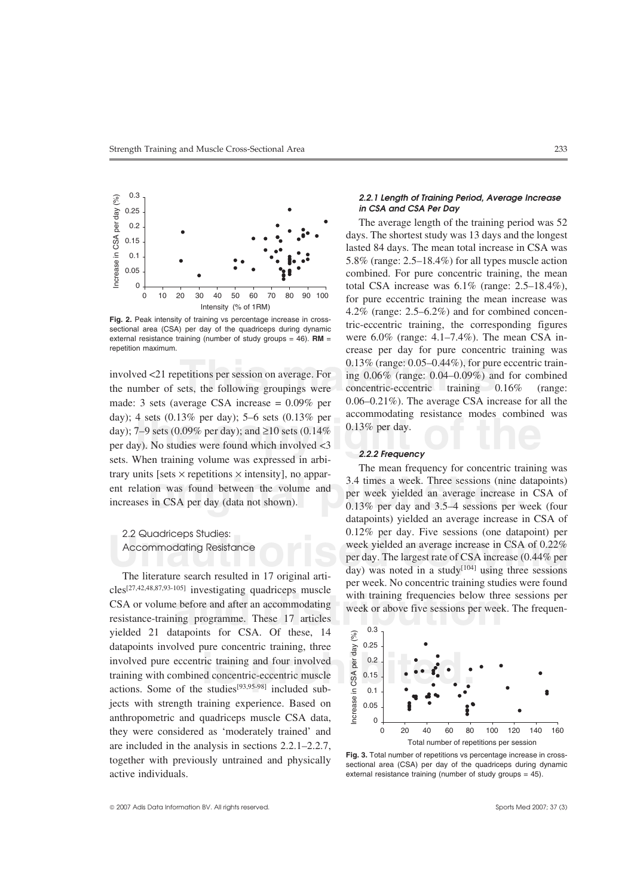

Fig. 2. Peak intensity of training vs percentage increase in crosssectional area (CSA) per day of the quadriceps during dynamic external resistance training (number of study groups = 46). **RM** =

day); 4 sets (0.13% per day); 3–6 sets (0.13% per decommodaling resistance modes combined<br>day); 7–9 sets (0.09% per day); and ≥10 sets (0.14% 0.13% per day).<br>per day). No studies were found which involved <3<br>acts. What tr day); 4 sets (0.13% per day); 5–6 sets (0.13% per day); 7.0 sets (0.00% per day); 5–6 sets (0.13% per day); 6.13% per day); per day). No studies were found which involved <3<br>sets. When training volume was expressed in arbi-<br>trary units [sets × repetitions × intensity], no appar-<br>ent relation was found between the volume and<br>increases in CSA per

Extending programme. These 17 articles<br>atanoints for CSA of these  $\frac{14}{2}$  and  $\frac{14}{2}$  articles involved pure eccentric training and four involved<br>
training with combined concentric-eccentric muscle<br>
actions. Some of the studies<sup>[93,95-98]</sup> included subresistance-training programme. These 17 articles yielded 21 datapoints for CSA. Of these, 14 datapoints involved pure concentric training, three training with combined concentric-eccentric muscle actions. Some of the studies<sup>[93,95-98]</sup> included subjects with strength training experience. Based on anthropometric and quadriceps muscle CSA data, they were considered as 'moderately trained' and are included in the analysis in sections 2.2.1–2.2.7, together with previously untrained and physically active individuals.

### *2.2.1 Length of Training Period, Average Increase in CSA and CSA Per Day*

**The material is no off the concentric train-**<br> **The material is the following groupings were** exercise training 0.16% (range:<br> **COLOGED** (range: 0.04–0.09%) and for combined<br>
concentric-eccentric training 0.16% (range:<br> The average length of the training period was 52 days. The shortest study was 13 days and the longest lasted 84 days. The mean total increase in CSA was 5.8% (range: 2.5–18.4%) for all types muscle action combined. For pure concentric training, the mean total CSA increase was 6.1% (range: 2.5–18.4%), for pure eccentric training the mean increase was 4.2% (range: 2.5–6.2%) and for combined concentric-eccentric training, the corresponding figures were 6.0% (range: 4.1–7.4%). The mean CSA inrepetition maximum. The crease per day for pure concentric training was involved <21 repetitions per session on average. For ing 0.06% (range: 0.04–0.09%) and for combined the number of sets, the following groupings were concentric-eccentric training 0.16% (range: made: 3 sets (average CSA increase =  $0.09\%$  per 0.06–0.21%). The average CSA increase for all the day): 4 sets (0.13% per day): 5–6 sets (0.13% per  $\sim$  accommodating resistance modes combined was

trary units [sets × repetitions × intensity], no appar-<br>ent relation was found between the volume and<br>increases in CSA per day (data not shown).<br> $\begin{array}{c} 3.4 \text{ times a week.} \text{ Three sessions (nine datapoints)} \\ \text{per week yielded an average increase in CSA of} \\ 0.13\% \text{ per day and } 3.5-4 \text{ sessions per week (four)} \end{$ ELZ Quadriceps studies:<br>
Accommodating Resistance week yielded an average increase in CSA of 0.22%<br>
per day. The largest rate of CSA increase (0.44% per<br>
The literature search resulted in 17 crisinal article (a) was noted datapoints) yielded an average increase in CSA of 2.2 Quadriceps Studies: 0.12% per day. Five sessions (one datapoint) per per day. The largest rate of CSA increase (0.44% per The literature search resulted in 17 original arti-<br>cles<sup>[27,42,48,87,93-105]</sup> investigating quadriceps muscle<br>CSA or volume before and after an accommodating<br>clear week or above five sessions per week. The frequen-<br>clear



Fig. 3. Total number of repetitions vs percentage increase in crosssectional area (CSA) per day of the quadriceps during dynamic external resistance training (number of study groups  $= 45$ ).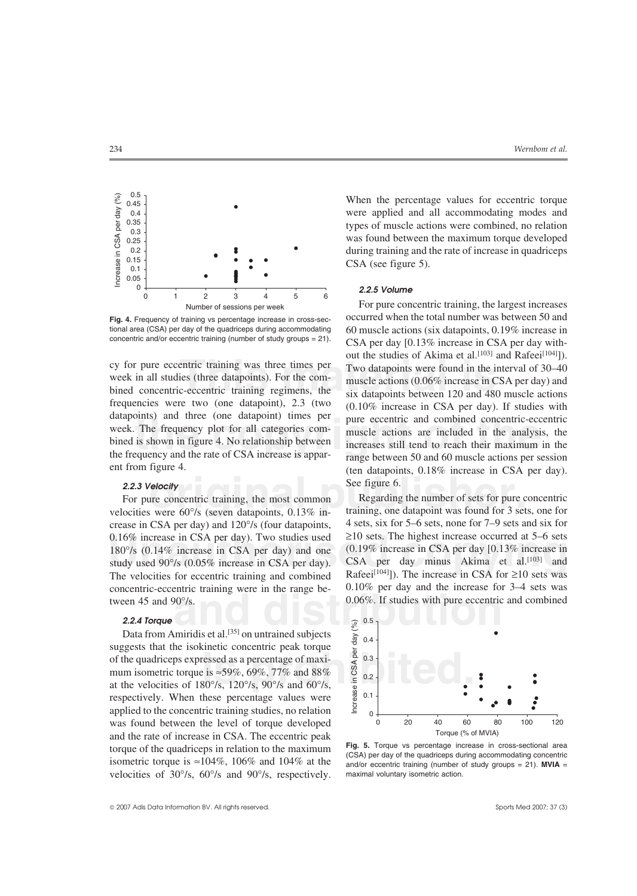

**Fig. 4.** Frequency of training vs percentage increase in cross-sectional area (CSA) per day of the quadriceps during accommodating

datapoints) and three (one datapoint) times per pure eccentric and combined concentric-eccentric<br>week. The frequency plot for all categories com-<br>bined is shown in figure 4. No relationship between<br>the increases still tend

0.16% increase in CSA per day). Two studies used  $\geq 10$  sets. The highest increase occurred at 5–6 sets 180°/s (0.14% increase in CSA per day) and one (0.19% increase in CSA per day [0.13% increase in study used 90°/s ( velocities were 60°/s (seven datapoints, 0.13% in-<br>training, one datapoint was found for 3 sets, one for crease in CSA per day) and 120°/s (four datapoints, 4 sets, six for 5–6 sets, none for 7–9 sets and six for  $0.16\%$  increase in CSA per day). Two studies used 180 $\degree$ /s (0.14% increase in CSA per day) and one study used  $90^{\circ}/s$  (0.05% increase in CSA per day). concentric-eccentric training were in the range be-  $0.10\%$  per day and the increase for 3–4 sets was

### *2.2.4 Torque*

of the quadriceps expressed as a percentage of maxi-<br>
mum isometric torque is  $\approx$ 59%, 69%, 77% and 88%<br>
at the velocities of 180°/s, 120°/s, 90°/s and 60°/s, Data from Amiridis et al.<sup>[35]</sup> on untrained subjects suggests that the isokinetic concentric peak torque of the quadriceps expressed as a percentage of maximum isometric torque is  $\approx$ 59%, 69%, 77% and 88% respectively. When these percentage values were applied to the concentric training studies, no relation was found between the level of torque developed and the rate of increase in CSA. The eccentric peak torque of the quadriceps in relation to the maximum isometric torque is ≈104%, 106% and 104% at the velocities of 30°/s, 60°/s and 90°/s, respectively.

When the percentage values for eccentric torque were applied and all accommodating modes and types of muscle actions were combined, no relation was found between the maximum torque developed during training and the rate of increase in quadriceps CSA (see figure 5).

### *2.2.5 Volume*

cy for pure eccentric training was three times per<br>week in all studies (three datapoints). For the com-<br>bined concentric-eccentric training regimens, the<br>frequencies were two (one datapoint), 2.3 (two  $\frac{100}{\pi}$  increas For pure concentric training, the largest increases occurred when the total number was between 50 and 60 muscle actions (six datapoints, 0.19% increase in concentric and/or eccentric training (number of study groups = 21). CSA per day  $[0.13\%$  increase in CSA per day without the studies of Akima et al.<sup>[103]</sup> and Rafeei<sup>[104]</sup>]). cy for pure eccentric training was three times per<br>week in all studies (three datapoints). For the com-<br>bined concentric-eccentric training regimens, the<br>frequencies were two (one datapoint), 2.3 (two<br>datapoints between 12 ent from figure 4. (ten datapoints, 0.18% increase in CSA per day). **2.2.3 Velocity 19.2.4 Velocity 19.2.4 See figure 6.** 

**See figure 6.**<br> **See figure 6.**<br> **original publisher.**<br> **original publisher.**<br> **original publisher.**<br> **original publisher.**<br> **original publisher.**<br> **original publisher.**<br> **original publisher.**<br> **original publisher.**<br> **ori** For pure concentric training, the most common Regarding the number of sets for pure concentric Rafeei<sup>[104]</sup>]). The increase in CSA for ≥10 sets was



**Fig. 5.** Torque vs percentage increase in cross-sectional area (CSA) per day of the quadriceps during accommodating concentric and/or eccentric training (number of study groups = 21). **MVIA** = maximal voluntary isometric action.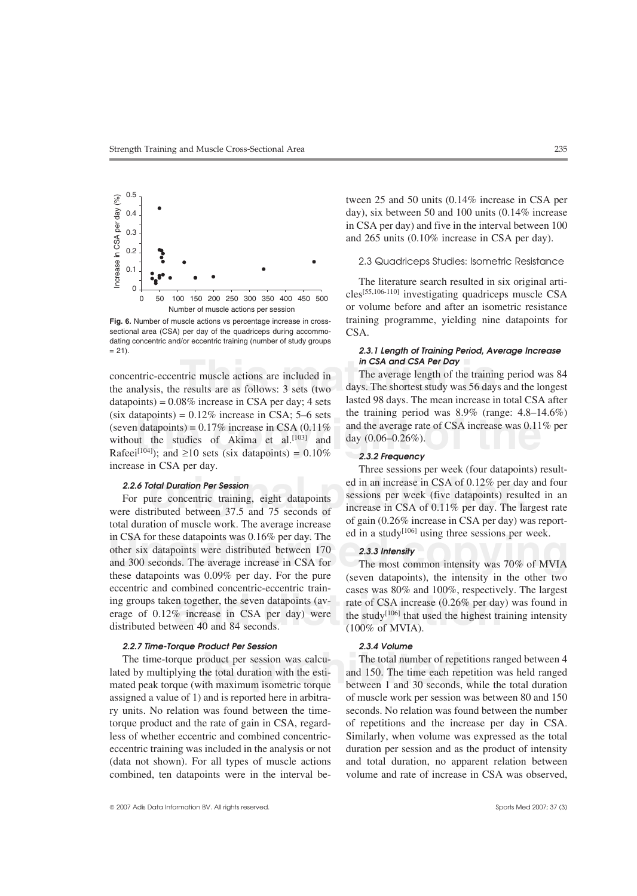

**Fig. 6.** Number of muscle actions vs percentage increase in crosssectional area (CSA) per day of the quadriceps during accommodating concentric and/or eccentric training (number of study groups  $= 21$ ).

(six datapoints) = 0.12% increase in CSA, 5–0 sets<br>
(seven datapoints) = 0.17% increase in CSA (0.11% and the average rate of CSA increase was 0.11<br>
without the studies of Akima et al.<sup>[103]</sup> and day (0.06–0.26%).<br>
Rafee concentric-eccentric muscle actions are included in the analysis, the results are as follows: 3 sets (two datapoints) =  $0.08\%$  increase in CSA per day; 4 sets lasted 98 days. The mean increase in total CSA after<br>(six datapoints) =  $0.12\%$  increase in CSA: 5–6 sets the training period was 8.9% (range: 4.8–14.6%)  $t$  (six datapoints) = 0.12% increase in CSA; 5–6 sets the training period was 8.9% (range: 4.8–14.6%) (seven datapoints) = 0.17% increase in CSA (0.11% and the average rate of CSA increase was 0.11% per (seven datapoints) =  $0.17\%$  increase in CSA ( $0.11\%$  and the average rate without the studies of Akima et al.<sup>[103]</sup> and day (0.06–0.26%). without the studies of Akima et al. $[103]$  and increase in CSA per day. Three sessions per week (four datapoints) result-

in CSA for these datapoints was 0.16% per day. The equal a study of using three sessions per week.<br>
other six datapoints were distributed between 170 **2.3.3 Intensity**<br>
and 300 seconds. The average increase in CSA for The were distributed between 37.5 and 75 seconds of increase in CSA of 0.11% per day. The largest rate<br>total duration of muscle work. The average increase of gain  $(0.26\%$  increase in CSA per day) was reporttotal duration of muscle work. The average increase of gain  $(0.26\%$  increase in CSA per day) was rep<br>in CSA for these datapoints was 0.16% per day. The ed in a study<sup>[106]</sup> using three sessions per week. other six datapoints were distributed between 170 *2.3.3 Intensity* these datapoints was 0.09% per day. For the pure (seven datapoints), the intensity in the other two eccentric and combined concentric-eccentric train- cases was 80% and 100%, respectively. The largest ing groups taken together, the seven datapoints (av-<br>
rate of CSA increase (0.26% per day) was found in<br>
erage of 0.12% increase in CSA per day) were the study<sup>[106]</sup> that used the highest training intensity erage of  $0.12\%$  increase in CSA per day) were the study<sup>[106]</sup> that used the highest training intensity distributed between 40 and 84 seconds. (100% of MVIA).

### *2.2.7 Time-Torque Product Per Session 2.3.4 Volume*

tween 25 and 50 units (0.14% increase in CSA per day), six between 50 and 100 units (0.14% increase in CSA per day) and five in the interval between 100 and 265 units (0.10% increase in CSA per day).

2.3 Quadriceps Studies: Isometric Resistance

The literature search resulted in six original articles[55,106-110] investigating quadriceps muscle CSA or volume before and after an isometric resistance training programme, yielding nine datapoints for CSA.

### *2.3.1 Length of Training Period, Average Increase in CSA and CSA Per Day*

The average length of the training period was 84 days. The shortest study was 56 days and the longest lasted 98 days. The mean increase in total CSA after

**2.2.6 Total Duration Per Session**<br>
For pure concentric training, eight datapoints<br>
re distributed between 37.5 and 75 seconds of *2.2.6 Total publicance* in CSA of 0.11% per day. The largest rate<br>
re distributed between 3 2.2.6 Total Duration Per Session<br>For pure concentric training, eight datapoints<br>for pure concentric training, eight datapoints<br>increase in CSA of 0.11% per day. The largest rate<br>increase in CSA of 0.11% per day. The larges

**and the seven datapoints (average of CSA increase (0.26% per day)**<br> **b** increase in CSA per day) were the study<sup>[106]</sup> that used the highest travelen 40 and 84 seconds. (100% of MVIA).

From The total number of repetitive total duration with the esti-<br>the total duration with the esti-<br>the maximum isometric torque between 1 and 30 seconds, where the two seconds of the two seconds of the two seconds. The time-torque product per session was calcu- The total number of repetitions ranged between 4 lated by multiplying the total duration with the esti- and 150. The time each repetition was held ranged mated peak torque (with maximum isometric torque between 1 and 30 seconds, while the total duration assigned a value of 1) and is reported here in arbitra- of muscle work per session was between 80 and 150 ry units. No relation was found between the time- seconds. No relation was found between the number torque product and the rate of gain in CSA, regard- of repetitions and the increase per day in CSA. less of whether eccentric and combined concentric- Similarly, when volume was expressed as the total eccentric training was included in the analysis or not duration per session and as the product of intensity (data not shown). For all types of muscle actions and total duration, no apparent relation between combined, ten datapoints were in the interval be- volume and rate of increase in CSA was observed,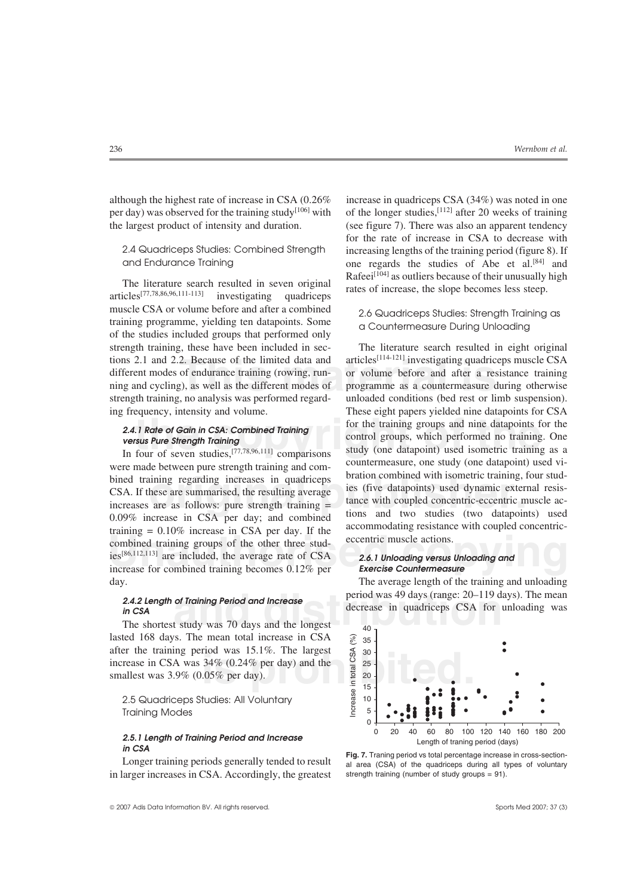the largest product of intensity and duration. (see figure 7). There was also an apparent tendency

muscle CSA or volume before and after a combined<br>training programme, yielding ten datapoints. Some<br>of the studies included groups that performed only<br>of the studies included groups that performed only strength training, these have been included in sec- The literature search resulted in eight original tions 2.1 and 2.2. Because of the limited data and articles<sup>[114-121]</sup> investigating quadriceps muscle CSA ning and cycling), as well as the different modes of programme as a countermeasure during otherwise strength training, no analysis was performed regard- unloaded conditions (bed rest or limb suspension).

bined training regarding increases in quadriceps<br>CSA. If these are summarised, the resulting average<br>increases are as follows: pure strength training =<br>0.09% increase in CSA per day; and combined tions and two studies (two training  $= 0.10\%$  increase in CSA per day. If the<br>commodating resistance with coupled<br>combined training groups of the other three stud-<br>ies<sup>[86,112,113]</sup> are included, the average rate of CSA<br>increase for combined train ies<sup>[86,112,113]</sup> are included, the average rate of CSA increase for combined training becomes  $0.12\%$  per day. The average length of the training and unloading

increase in CSA was  $34\%$  (0.24% per day) and the  $\frac{3}{8}$  and  $\frac{33}{8}$  and increase in CSA was  $3.9\%$  (0.05% per day). The shortest study was 70 days and the longest lasted 168 days. The mean total increase in CSA after the training period was 15.1%. The largest smallest was 3.9% (0.05% per day).

2.5 Quadriceps Studies: All Voluntary Training Modes

### *2.5.1 Length of Training Period and Increase in CSA*

Longer training periods generally tended to result in larger increases in CSA. Accordingly, the greatest

although the highest rate of increase in CSA (0.26% increase in quadriceps CSA (34%) was noted in one per day) was observed for the training study<sup>[106]</sup> with of the longer studies,<sup>[112]</sup> after 20 weeks of training for the rate of increase in CSA to decrease with 2.4 Quadriceps Studies: Combined Strength increasing lengths of the training period (figure 8). If and Endurance Training one regards the studies of Abe et al.<sup>[84]</sup> and The literature search resulted in seven original Rafeei<sup>[104]</sup> as outliers because of their unusually high rates of increase, the slope becomes less steep.

2. Because of the limited data and articles<sup>[114-121</sup>] investigating quadric of endurance training (rowing, run-<br>  $\sigma$  or  $\sigma$  volume before and after a res<br>  $\sigma$ ), as well as the different modes of programme as a counter ing frequency, intensity and volume.<br> **the control in CSA:** Combined Training<br> **the control state of Gain in CSA:** Combined Training<br> **the** control groups and nine datapoints for the<br> **the control groups** and nine datapoin different modes of endurance training (rowing, run- or volume before and after a resistance training These eight papers yielded nine datapoints for CSA control groups, which performed no training. One In four of seven studies,  $(77,78,96,111)$  comparisons study (one datapoint) used isometric training as a<br>were made between pure strength training and com-<br>bined training regarding increases in quadriceps<br>CSA. If these ar

**and 2.4.2 Length of Training Period and Increase** decrease decrease in quadriceps CSA for unloading was **in CSA** The shortest study was 70 days and the longest  $\begin{bmatrix} 40 \\ 1 \end{bmatrix}$ 



**Fig. 7.** Traning period vs total percentage increase in cross-sectional area (CSA) of the quadriceps during all types of voluntary strength training (number of study groups = 91).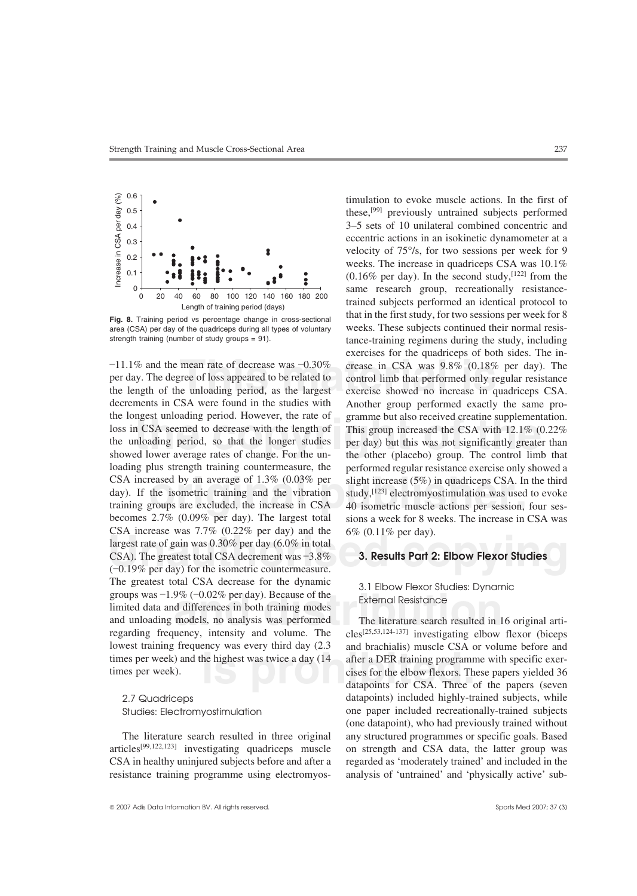

**Fig. 8.** Training period vs percentage change in cross-sectional area (CSA) per day of the quadriceps during all types of voluntary

reason in CSA seemed to decrease with the length of<br> **the copyright of the copyright of the copyright of the copyright of the copyright of the copyright of the copyright of the copyright of the copyright of the copyright o** reased by an average of  $1.3\%$  (0.03% per slight increase (5%) in quadriceps CSA. In the isometric training and the vibration study,<sup>[123]</sup> electromyostimulation was used groups are excluded, the increase in CSA 40 isome USIN Increase was 1.1 to (0.22 to per day) and the  $0$ to (0.11 to per day).<br>
Iargest rate of gain was 0.30% per day (6.0% in total<br>
CSA). The greatest total CSA decrement was -3.8%<br>
(-0.19% per day) for the isometric count groups was -1.9% (-0.02% per day). Because of the<br>
limited data and differences in both training modes<br>
and unloading models, no analysis was performed<br>
The literature search resulted in 16 original arti-<br>
regarding freque per day. The degree of loss appeared to be related to control limb that performed only regular resistance the length of the unloading period, as the largest exercise showed no increase in quadriceps CSA. decrements in CSA were found in the studies with Another group performed exactly the same prothe longest unloading period. However, the rate of  $\overline{g}$  gramme but also received creatine supplementation. loss in CSA seemed to decrease with the length of This group increased the CSA with 12.1% (0.22%) the unloading period, so that the longer studies per day) but this was not significantly greater than showed lower average rates of change. For the un-<br>the other (placebo) group. The control limb that loading plus strength training countermeasure, the performed regular resistance exercise only showed a CSA increased by an average of  $1.3\%$  (0.03% per slight increase (5%) in quadriceps CSA. In the third day). If the isometric training and the vibration study,<sup>[123]</sup> electromyostimulation was used to evoke training groups are excluded, the increase in CSA 40 isometric muscle actions per session, four sesbecomes 2.7% (0.09% per day). The largest total sions a week for 8 weeks. The increase in CSA was CSA increase was  $7.7\%$  (0.22% per day) and the 6% (0.11% per day). largest rate of gain was 0.30% per day (6.0% in total CSA). The greatest total CSA decrement was –3.8% **3. Results Part 2: Elbow Flexor Studies** The greatest total CSA decrease for the dynamic 3.1 Elbow Flexor Studies: Dynamic groups was –1.9% (–0.02% per day). Because of the External Resistance limited data and differences in both training modes regarding frequency, intensity and volume. The cles<sup>[25,53,124-137]</sup> investigating elbow flexor (biceps lowest training frequency was every third day (2.3 and brachialis) muscle CSA or volume before and

articles[99,122,123] investigating quadriceps muscle on strength and CSA data, the latter group was CSA in healthy uninjured subjects before and after a regarded as 'moderately trained' and included in the resistance training programme using electromyos- analysis of 'untrained' and 'physically active' sub-

–11.1% and the mean rate of decrease was −0.30% crease in CSA was 9.8% (0.18% per day). The per day. The degree of loss appeared to be related to control limb that performed only regular resistance the length of the unloa timulation to evoke muscle actions. In the first of these,[99] previously untrained subjects performed 3–5 sets of 10 unilateral combined concentric and eccentric actions in an isokinetic dynamometer at a velocity of 75°/s, for two sessions per week for 9 weeks. The increase in quadriceps CSA was 10.1%  $(0.16\%$  per day). In the second study,  $[122]$  from the same research group, recreationally resistancetrained subjects performed an identical protocol to that in the first study, for two sessions per week for 8 weeks. These subjects continued their normal resisstrength training (number of study groups = 91). tance-training regimens during the study, including exercises for the quadriceps of both sides. The in-

times per week) and the highest was twice a day (14 after a DER training programme with specific exer-<br>cises for the elbow flexors. These papers yielded 36<br>datapoints for CSA. Three of the papers (seven times per week). cises for the elbow flexors. These papers yielded 36 datapoints for CSA. Three of the papers (seven 2.7 Quadriceps datapoints) included highly-trained subjects, while Studies: Electromyostimulation one paper included recreationally-trained subjects (one datapoint), who had previously trained without The literature search resulted in three original any structured programmes or specific goals. Based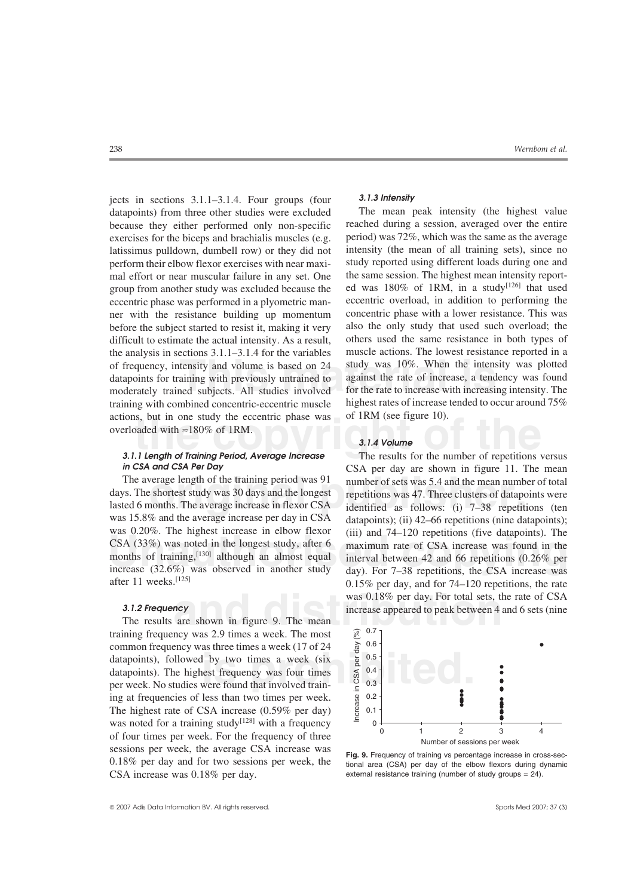of frequency, intensity and volume is based on 24 study was 10%. When the intensity was plotted datapoints for training with previously untrained to against the rate of increase, a tendency was found moderately trained sub s, but in one study the eccentric phase was of the coefficient of the copyright of the copyright of the copyright of the copyright of the copyright of the copyright of the copyright of the copyright of the copyright of th jects in sections 3.1.1–3.1.4. Four groups (four *3.1.3 Intensity* datapoints) from three other studies were excluded The mean peak intensity (the highest value because they either performed only non-specific reached during a session, averaged over the entire exercises for the biceps and brachialis muscles (e.g. period) was  $72\%$ , which was the same as the average latissimus pulldown, dumbell row) or they did not intensity (the mean of all training sets), since no perform their elbow flexor exercises with near maxi- study reported using different loads during one and mal effort or near muscular failure in any set. One the same session. The highest mean intensity reportgroup from another study was excluded because the ed was 180% of 1RM, in a study<sup>[126]</sup> that used eccentric phase was performed in a plyometric man- eccentric overload, in addition to performing the before the subject started to resist it, making it very also the only study that used such overload; the datapoints for training with previously untrained to against the rate of increase, a tendency was found training with combined concentric-eccentric muscle highest rates of increase tended to occur around 75% actions, but in one study the eccentric phase was  $-$  of 1RM (see figure 10). overloaded with ≈180% of 1RM.

months of training,  $[130]$  although an almost equal

datapoints), followed by two times a week (six  $\frac{6}{8}$  0.5 datapoints). The highest frequency was four times per week. No studies were found that involved train-The results are shown in figure 9. The mean training frequency was 2.9 times a week. The most common frequency was three times a week (17 of 24 datapoints). The highest frequency was four times per week. No studies were found that involved training at frequencies of less than two times per week. The highest rate of CSA increase (0.59% per day) was noted for a training study<sup>[128]</sup> with a frequency of four times per week. For the frequency of three sessions per week, the average CSA increase was 0.18% per day and for two sessions per week, the CSA increase was 0.18% per day.

ner with the resistance building up momentum concentric phase with a lower resistance. This was difficult to estimate the actual intensity. As a result, others used the same resistance in both types of the analysis in sections 3.1.1–3.1.4 for the variables muscle actions. The lowest resistance reported in a of frequency, intensity and volume is based on 24 study was 10%. When the intensity was plotted

### *3.1.4 Volume*

verage length of the training period was 91 number of sets was 5.4 and the mean number shortest study was 30 days and the longest prepetitions was 47. Three clusters of dataponenths. The average increase in flexor CSA ide was 0.20%. The highest increase in elbow flexor (iii) and 74–120 repetitions (five datapoints). The CSA (33%) was noted in the longest study, after 6 maximum rate of CSA increase was found in the months of training,<sup>[130]</sup> was  $0.18\%$  per day. For total sets, the rate of CSA<br>
are shown in figure 9. The mean<br>
nov was 2.9 times a week. The most  $\sqrt{20.7}$ **3.1.1 Length of Training Period, Average Increase** The results for the number of repetitions versus in CSA and CSA Per Day *in CSA and CSA Per Day*<br> *CSA per day are shown in figure 11. The mean*<br> *CSA per day are shown in figure 11. The mean*<br> *CSA per day are shown in figure 11. The mean*<br> *CSA per day are shown in figure 11.* The mean numbe The average length of the training period was 91 number of sets was 5.4 and the mean number of total days. The shortest study was 30 days and the longest repetitions was 47 Three clusters of datapoints were days. The shortest study was 30 days and the longest repetitions was 47. Three clusters of datapoints were lasted 6 months. The average increase in flexor CSA identified as follows: (i) 7–38 repetitions (ten was 15.8% and the average increase per day in CSA datapoints): (ii) 42–66 repetitions (nine datapoints): datapoints); (ii)  $42-66$  repetitions (nine datapoints); (iii) and  $74-120$  repetitions (five datapoints). The maximum rate of CSA increase was found in the day). For 7–38 repetitions, the CSA increase was  $0.15\%$  per day, and for 74–120 repetitions, the rate **3.1.2 Frequency increase appeared to peak between 4 and 6 sets (nine** 



Fig. 9. Frequency of training vs percentage increase in cross-sectional area (CSA) per day of the elbow flexors during dynamic external resistance training (number of study groups = 24).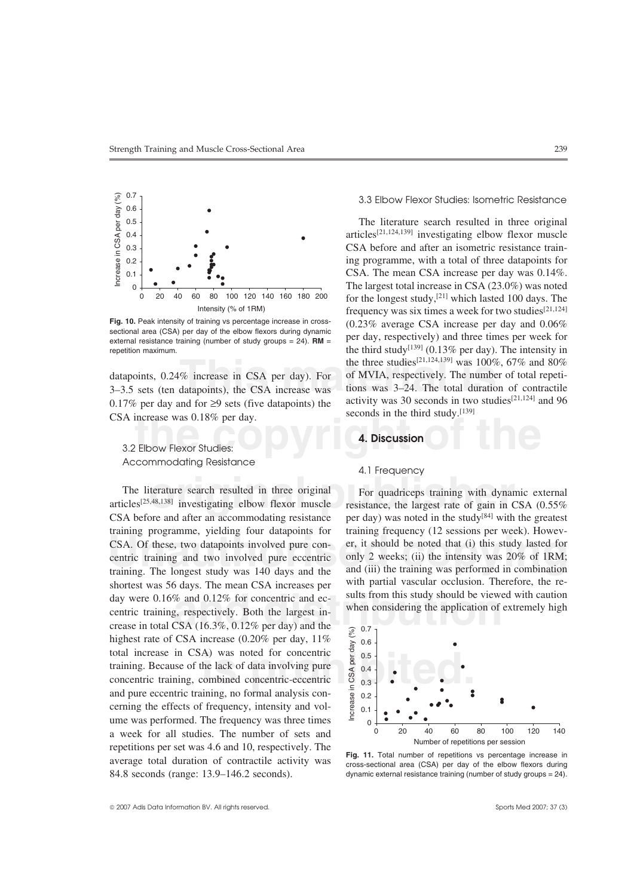

Fig. 10. Peak intensity of training vs percentage increase in crosssectional area (CSA) per day of the elbow flexors during dynamic external resistance training (number of study groups = 24). **RM** = repetition maximum.

datapoints,  $0.24\%$  increase in CSA per day). For  $3-3.5$  sets (ten datapoints), the CSA increase was 0.17% per day and for  $\geq$ 9 sets (five datapoints) the CSA increase was 0.18% per day.

The copyright of the copyright of the copyright of the copyright of the copyright of the copyright of the copyright of the copyright of the copyright of the copyright of the copyright of the copyright of the copyright of t 3.2 Elbow Flexor Studies: Accommodating Resistance 4.1 Frequency

The literature search resulted in three original<br>articles<sup>[25,48,138]</sup> investigating elbow flexor muscle resistance, the largest rate of gain in CSA (0.55%)<br>CSA before and after an accommodating resistance nor dui) we note day were 0.16% and 0.12% for concentric and ec-<br>centric training, respectively. Both the largest in-<br>crease in total CSA (16.3%, 0.12% per day) and the<br> $\frac{1}{\sqrt{6}}$  0.7 total increase in CSA) was noted for concentric  $\frac{6}{6}$  0.5<br>
training, Because of the lack of data involving pure<br>
concentric training, combined concentric-eccentric<br>
and nure accentric training, no formal analysis con CSA before and after an accommodating resistance per day) was noted in the study<sup>[84]</sup> with the greatest training programme, yielding four datapoints for CSA. Of these, two datapoints involved pure concentric training and two involved pure eccentric training. The longest study was 140 days and the and (iii) the training was performed in combination<br>shortest was 56 days. The mean CSA increases per with partial vascular occlusion. Therefore, the reshortest was 56 days. The mean CSA increases per with partial vascular occlusion. Therefore, the re-<br>shortest was 0.16% and 0.12% for concentrio and so sults from this study should be viewed with caution day were 0.16% and 0.12% for concentric and ec-<br>centric study should be viewed with caution<br>centric training, respectively. Both the largest in-<br> $\frac{1}{2}$  when considering the application of extremely high highest rate of CSA increase (0.20% per day, 11%) total increase in CSA) was noted for concentric training. Because of the lack of data involving pure and pure eccentric training, no formal analysis concerning the effects of frequency, intensity and volume was performed. The frequency was three times a week for all studies. The number of sets and repetitions per set was 4.6 and 10, respectively. The average total duration of contractile activity was 84.8 seconds (range: 13.9–146.2 seconds).

### 3.3 Elbow Flexor Studies: Isometric Resistance

of MVIA, respectively. The number of total repetitions was  $3-24$ . The total duration of contractile activity was 30 seconds in two studies<sup>[21,124]</sup> and 96 The literature search resulted in three original articles[21,124,139] investigating elbow flexor muscle CSA before and after an isometric resistance training programme, with a total of three datapoints for CSA. The mean CSA increase per day was 0.14%. The largest total increase in CSA (23.0%) was noted for the longest study,[21] which lasted 100 days. The frequency was six times a week for two studies<sup>[21,124]</sup> (0.23% average CSA increase per day and 0.06% per day, respectively) and three times per week for the third study<sup>[139]</sup> (0.13% per day). The intensity in the three studies<sup>[21,124,139]</sup> was 100%, 67% and 80% seconds in the third study.<sup>[139]</sup>

### **4. Discussion**

training frequency (12 sessions per week). However, it should be noted that (i) this study lasted for only 2 weeks; (ii) the intensity was 20% of 1RM; and (iii) the training was performed in combination The literature search resulted in three original For quadriceps training with dynamic external



Fig. 11. Total number of repetitions vs percentage increase in cross-sectional area (CSA) per day of the elbow flexors during dynamic external resistance training (number of study groups = 24).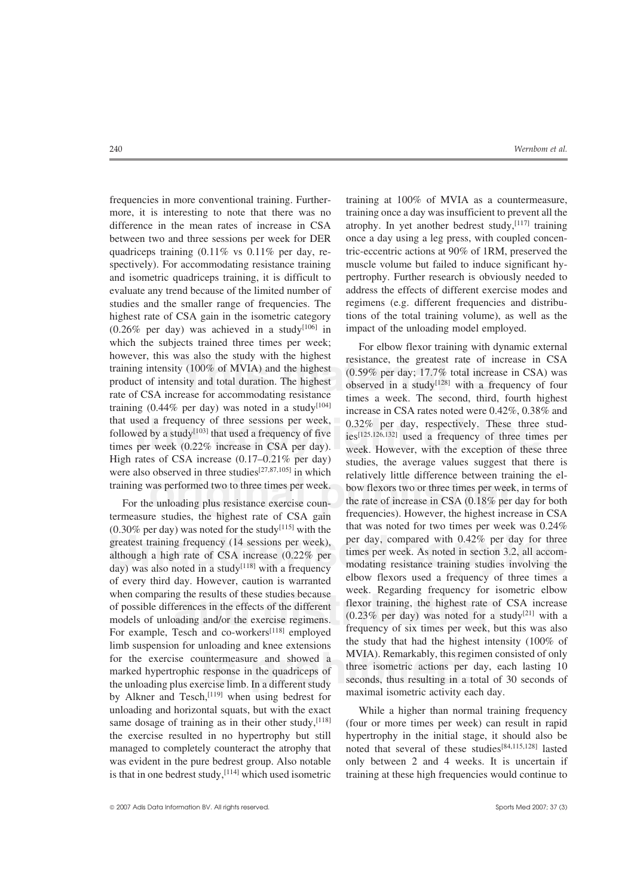however, this was also the study with the highest resistance, the greatest rate of increase in CSA training intensity (100% of MVIA) and the highest (0.59% per day; 17.7% total increase in CSA) was product of intensity and that used a frequency of three sessions per week, 0.32% per day, respectively. These three stud-<br>followed by a study<sup>[103]</sup> that used a frequency of five<br>times per week (0.22% increase in CSA per day).<br>High rates of CSA in frequencies in more conventional training. Further- training at 100% of MVIA as a countermeasure, more, it is interesting to note that there was no training once a day was insufficient to prevent all the difference in the mean rates of increase in CSA atrophy. In yet another bedrest study, $[117]$  training between two and three sessions per week for DER once a day using a leg press, with coupled concenquadriceps training  $(0.11\% \text{ vs } 0.11\% \text{ per day}, \text{ re-}$  tric-eccentric actions at 90% of 1RM, preserved the spectively). For accommodating resistance training muscle volume but failed to induce significant hyand isometric quadriceps training, it is difficult to pertrophy. Further research is obviously needed to evaluate any trend because of the limited number of address the effects of different exercise modes and studies and the smaller range of frequencies. The regimens (e.g. different frequencies and distribuhighest rate of CSA gain in the isometric category tions of the total training volume), as well as the  $(0.26\%$  per day) was achieved in a study  $[106]$  in impact of the unloading model employed. which the subjects trained three times per week;<br>however, this was also the study with the highest<br>training intensity (100% of MVIA) and the highest<br>product of intensity and total duration. The highest<br>product of intensit followed by a study<sup>[103]</sup> that used a frequency of five ies<sup>[125,126,132]</sup> used a frequency of three times per times per times per  $(0.22\%$  increase in CSA per day). week However with the exception of these three times per week  $(0.22\%$  increase in CSA per day). week. However, with the exception of these three  $\frac{1}{2}$  High rates of CSA increase  $(0.17-0.21\%$  per day) studies the average values suggest that there is High rates of CSA increase  $(0.17-0.21\%$  per day) studies, the average values suggest that there is were also observed in three studies<sup>[27,87,105]</sup> in which relatively little difference between training the elwere also observed in three studies<sup>[27,87,105]</sup> in which relatively little difference between training the el-<br>training was performed two to three times per week. bow flexors two or three times per week, in terms of

greatest training frequency (14 sessions per week), per day, compared with 0.42% per day for three<br>although a high rate of CSA increase (0.22% per times per week. As noted in section 3.2, all accom-<br>day) was also noted in when comparing the results of these studies because<br>of possible differences in the effects of the different<br>of the different<br>models of unloading and/or the exercise regimens.  $(0.23\% \text{ per day})$  was noted for a study<sup>[21]</sup> wi untermeasure and showed a<br>response in the quadriceps of<br>recise limb. In a different study<br>maximal isometric activity ex-<br>maximal isometric activity extermeasure studies, the highest rate of CSA gain frequencies). However, the highest increase in CSA  $(0.30\% \text{ per day})$  was noted for the study<sup>[115]</sup> with the that was noted for two times per week was 0.24%  $(0.30\%$  per day) was noted for the study<sup>[115]</sup> with the greatest training frequency (14 sessions per week), per day, compared with 0.42% per day for three<br>although a high rate of CSA increase (0.22% per day, compared with 0.42% per day for three<br>day) was also noted in a study<sup></sup> marked hypertrophic response in the quadriceps of three isometric actions per day, each lasting 10<br>the unloading plus exercise limb. In a different study<br>by Alkner and Tesch,<sup>[119]</sup> when using bedrest for maximal isometric unloading and horizontal squats, but with the exact While a higher than normal training frequency is that in one bedrest study,<sup>[114]</sup> which used isometric training at these high frequencies would continue to

Training was performed two to three times per week.<br>
For the unloading plus resistance exercise counter the rate of increase in CSA (0.18% per day for both<br>
termeasure studies the bishest rate of CSA gain<br>
frequencies). Ho For the unloading plus resistance exercise coun-<br>the rate of increase in CSA (0.18% per day for both<br>measure studies the highest rate of CSA gain<br>frequencies). However, the highest increase in CSA

same dosage of training as in their other study,<sup>[118]</sup> (four or more times per week) can result in rapid the exercise resulted in no hypertrophy but still hypertrophy in the initial stage, it should also be managed to completely counteract the atrophy that noted that several of these studies<sup>[84,115,128]</sup> lasted was evident in the pure bedrest group. Also notable only between 2 and 4 weeks. It is uncertain if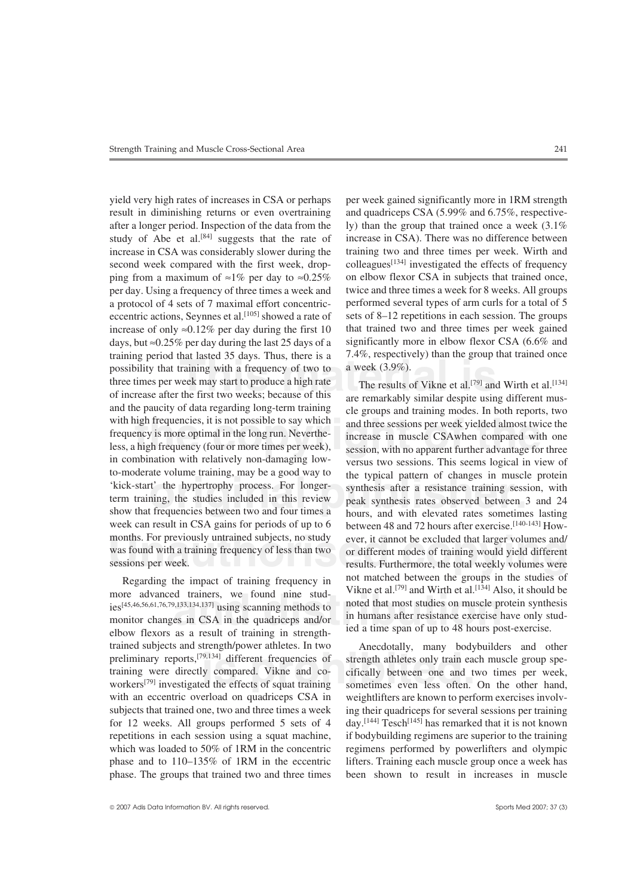The results of Vikne et al.<sup>[79]</sup> and the first two weeks; because of this<br>the first two weeks; because of this with high frequencies, it is not possible to say which<br>frequency is more optimal in the long run. Neverthe-<br>less, a high frequency (four or more times per week),<br>in a combination with no apparent further advantage for thre Figures in muscle protein<br>
'kick-start' the hypertrophy process. For longer-<br>
term training, the studies included in this review<br>
show that frequencies between two and four times a<br>
hours, and with elevated rates sometimes yield very high rates of increases in CSA or perhaps per week gained significantly more in 1RM strength result in diminishing returns or even overtraining and quadriceps CSA (5.99% and 6.75%, respectiveafter a longer period. Inspection of the data from the ly) than the group that trained once a week  $(3.1\%$ study of Abe et al.<sup>[84]</sup> suggests that the rate of increase in CSA). There was no difference between increase in CSA was considerably slower during the training two and three times per week. Wirth and second week compared with the first week, drop- colleagues<sup>[134]</sup> investigated the effects of frequency ping from a maximum of  $\approx 1\%$  per day to  $\approx 0.25\%$  on elbow flexor CSA in subjects that trained once, per day. Using a frequency of three times a week and twice and three times a week for 8 weeks. All groups a protocol of 4 sets of 7 maximal effort concentric- performed several types of arm curls for a total of 5 eccentric actions, Seynnes et al.<sup>[105]</sup> showed a rate of sets of  $8-12$  repetitions in each session. The groups increase of only ≈0.12% per day during the first 10 that trained two and three times per week gained days, but ≈0.25% per day during the last 25 days of a significantly more in elbow flexor CSA (6.6% and training period that lasted 35 days. Thus, there is a 7.4%, respectively) than the group that trained once possibility that training with a frequency of two to a week  $(3.9\%)$ . three times per week may start to produce a high rate The results of Vikne et al.<sup>[79]</sup> and Wirth et al.<sup>[134]</sup> of increase after the first two weeks; because of this are remarkably similar despite using different mus-<br>and the paucity of data regarding long-term training<br>with high frequencies, it is not possible to say which<br>frequen frequency is more optimal in the long run. Neverthe-<br>less, a high frequency (four or more times per week), session with no apparent further advantage for three in combination with relatively non-damaging low-<br>to-moderate volume training, may be a good way to<br>the typical pattern of changes in muscle protein to-moderate volume training, may be a good way to the typical pattern of changes in muscle protein<br>'kick-start' the hypertrophy process. For longer-<br>synthesis after a resistance training session, with term training, the studies included in this review peak synthesis rates observed between 3 and 24 show that frequencies between two and four times a hours, and with elevated rates sometimes lasting week can result in CSA gains for periods of up to  $6$  hetween 48 and 72 hours after exercise.<sup>[140-143]</sup> Howwas found with a training frequency of less than two or different modes of training would yield different

more advanced trainers, we found nine stud-<br>ies<sup>[45,46,56,61,76,79,133,134,137]</sup> using scanning methods to<br>monitor changes in CSA in the quadriceps and/or<br>elbow flexors as a result of training in strength-<br>id a time span o preliminary reports,<sup>[79,134]</sup> different frequencies of strength athletes only train each muscle group spe-<br>training were directly compared. Vikne and co-<br>workers<sup>[79]</sup> investigated the effects of squat training sometimes ies<sup>[45,46,56,61,76,79,133,134,137]</sup> using scanning methods to trained subjects and strength/power athletes. In two Anecdotally, many bodybuilders and other preliminary reports,<sup>[79,134]</sup> different frequencies of strength athletes only train each muscle group spetraining were directly compared. Vikne and co- cifically between one and two times per week, with an eccentric overload on quadriceps CSA in weightlifters are known to perform exercises involvsubjects that trained one, two and three times a week ing their quadriceps for several sessions per training for 12 weeks. All groups performed 5 sets of 4 day.<sup>[144]</sup> Tesch<sup>[145]</sup> has remarked that it is not known repetitions in each session using a squat machine, if bodybuilding regimens are superior to the training which was loaded to 50% of 1RM in the concentric regimens performed by powerlifters and olympic phase and to 110–135% of 1RM in the eccentric lifters. Training each muscle group once a week has phase. The groups that trained two and three times been shown to result in increases in muscle

months. For previously untrained subjects, no study<br>was found with a training frequency of less than two<br>ever, it cannot be excluded that larger volumes and/<br>or different modes of training would yield different<br>sessions pe between 48 and 72 hours after exercise.<sup>[140-143]</sup> Howsessions per week. **The contract of the total weekly volumes were** results. Furthermore, the total weekly volumes were Regarding the impact of training frequency in not matched between the groups in the studies of Wikne et al.<sup>[79]</sup> and Wirth et al.<sup>[134]</sup> Also, it should be once advanced trainers, we found nine stud-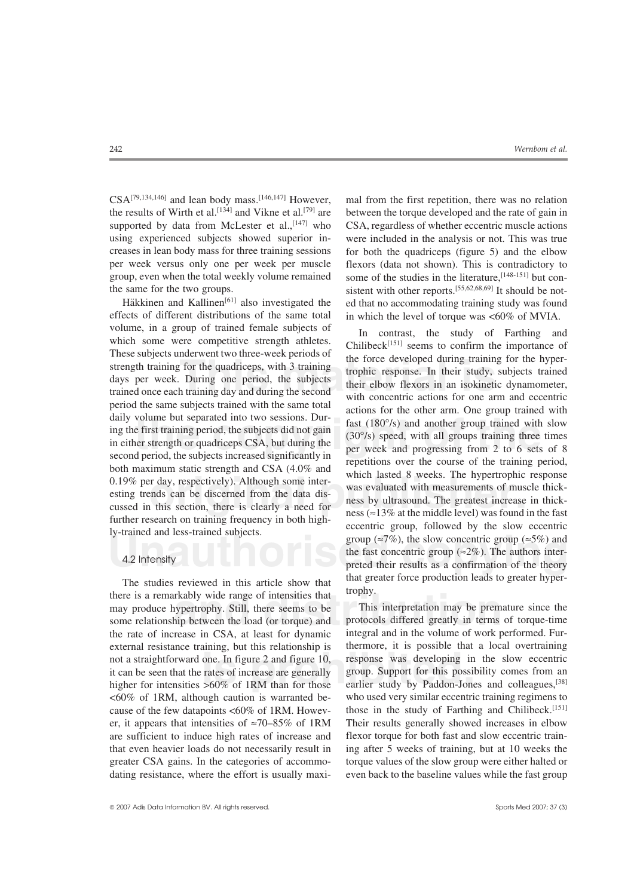CSA[79,134,146] and lean body mass.[146,147] However, mal from the first repetition, there was no relation the results of Wirth et al.<sup>[134]</sup> and Vikne et al.<sup>[79]</sup> are between the torque developed and the rate of gain in supported by data from McLester et al.,<sup>[147]</sup> who CSA, regardless of whether eccentric muscle actions using experienced subjects showed superior in- were included in the analysis or not. This was true creases in lean body mass for three training sessions for both the quadriceps (figure 5) and the elbow per week versus only one per week per muscle flexors (data not shown). This is contradictory to group, even when the total weekly volume remained some of the studies in the literature, [148-151] but conthe same for the two groups. sistent with other reports.<sup>[55,62,68,69]</sup> It should be not-

These subjects underwent two three-week periods of<br>strength training for the quadriceps, with 3 training<br>days per week. During one period, the subjects<br>days per week. During one period, the subjects<br>trained their elbow fle daily volume but separated into two sessions. Dur-<br>ing the first training period, the subjects did not gain<br>in either strength or quadriceps CSA, but during the<br>in either strength or quadriceps CSA, but during the<br>second p 0.19% per day, respectively). Although some interesting trends can be discerned from the data discussed in this section, there is clearly a need for  $\frac{13\%}{13\%}$  at the middle level) was found in the fast cussed in thi effects of different distributions of the same total in which the level of torque was <60% of MVIA.

there is a remarkably wide range of intensities that<br>
may produce hypertrophy. Still, there seems to be<br>
some relationship between the load (or torque) and<br>
the rate of increase in CSA, at least for dynamic integral and in external resistance training, but this relationship is thermore, it is possible that a local overtraining not a straightforward one. In figure 2 and figure 10, response was developing in the slow eccentric it can be seen there is a remarkably wide range of intensities that<br>may produce hypertrophy. Still, there seems to be This interpretation may be premature since the may produce hypertrophy. Still, there seems to be the rate of increase in CSA, at least for dynamic integral and in the volume of work performed. Furexternal resistance training, but this relationship is not a straightforward one. In figure 2 and figure 10, it can be seen that the rates of increase are generally. cause of the few datapoints  $<60\%$  of 1RM. Howev- those in the study of Farthing and Chilibeck.<sup>[151]</sup> er, it appears that intensities of ≈70–85% of 1RM Their results generally showed increases in elbow are sufficient to induce high rates of increase and flexor torque for both fast and slow eccentric trainthat even heavier loads do not necessarily result in ing after 5 weeks of training, but at 10 weeks the greater CSA gains. In the categories of accommo- torque values of the slow group were either halted or

Häkkinen and Kallinen $[61]$  also investigated the ed that no accommodating training study was found

Iy-trained and less-trained subjects.<br>
group ( $\approx$ 7%), the slow concentric group ( $\approx$ 5%) and<br>
4.2 Intensity<br>
4.2 Intensity<br>
Example 1988 and the fast concentric group ( $\approx$ 2%). The authors inter-<br>
preted their results as volume, in a group of trained female subjects of<br>
which some were competitive strength athletes.<br>
Which some were competitive strength athletes.<br>
These subjects underwent two three-week periods of<br>
strength training for t the fast concentric group ( $\approx$ 2%). The authors inter-The studies reviewed in this article show that that greater force production leads to greater hyper-

earlier study by Paddon-Jones and colleagues,<sup>[38]</sup> who used very similar eccentric training regimens to dating resistance, where the effort is usually maxi- even back to the baseline values while the fast group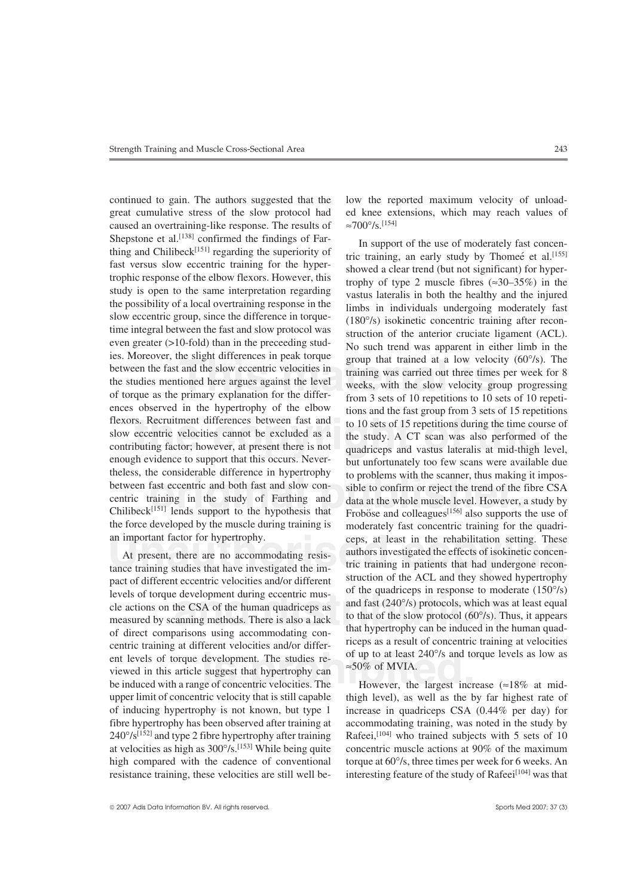ences observed in the hypertrophy of the elbow<br>flexors. Recruitment differences between fast and<br>the fast group from 3 sets of 15 repetitions<br>flexors. Recruitment differences between fast and<br>the copyright of 15 repetition between fast eccentric and both fast and slow considerable to problems with the scanner, thus making it impos-<br>
chilibeck<sup>[151]</sup> lends support to the hypothesis that Frobose and colleagues<sup>[156]</sup> also supports the use of continued to gain. The authors suggested that the low the reported maximum velocity of unloadgreat cumulative stress of the slow protocol had ed knee extensions, which may reach values of caused an overtraining-like response. The results of  $\approx 700^{\circ}/s$ .<sup>[154]</sup><br>Shepstone et al.<sup>[138]</sup> confirmed the findings of Farfast versus slow eccentric training for the hyper-<br>trophic response of the elbow flexors. However, this<br>study is open to the same interpretation regarding<br>the possibility of a local overtraining response in the<br>study is o enough evidence to support that this occurs. Never-<br>the unfortunately too few scans were available due<br>theless, the considerable difference in hypertrophy<br>to problems with the scanner, thus making it impostheless, the considerable difference in hypertrophy to problems with the scanner, thus making it impos-<br>between fast eccentric and both fast and slow con-<br>sible to confirm or reject the trend of the fibre CSA centric training in the study of Farthing and data at the whole muscle level. However, a study by Chilibeck<sup>[151]</sup> lends support to the hypothesis that Froböse and colleagues<sup>[156]</sup> also supports the use of the force developed by the muscle during training is moderately fast concentric training for the quadri-

levels of torque development during eccentric mus-<br>cle actions on the CSA of the human quadriceps as<br>measured by scanning methods. There is also a lack<br>of the slow protocol (60°/s). Thus, it appears<br>of direct comparisons u centric training at different velocities and/or differ-<br>ent levels of torque development. The studies re-<br>ent levels of torque development. The studies re-<br>viewed in this article suggest that hypertrophy can<br>be induced wi tance training studies that have investigated the im-<br>pact of different eccentric velocities and/or different<br>levels of torque development during eccentric mus-<br>cle actions on the CSA of the human quadriceps as<br>measured b upper limit of concentric velocity that is still capable of inducing hypertrophy is not known, but type 1 increase in quadriceps CSA (0.44% per day) for fibre hypertrophy has been observed after training at accommodating training, was noted in the study by 240°/s<sup>[152]</sup> and type 2 fibre hypertrophy after training Rafeei,<sup>[104]</sup> who trained subjects with 5 sets of 10 at velocities as high as 300°/s.[153] While being quite concentric muscle actions at 90% of the maximum high compared with the cadence of conventional torque at 60°/s, three times per week for 6 weeks. An

ies. Moreover, the slight differences in peak torque<br>between the fast and the slow eccentric velocities in<br>training was carried out three times per week for 8<br>the studies mentioned here argues against the level<br>of torque an important factor for hypertrophy.<br>
At present, there are no accommodating resis-<br>
At present, there are no accommodating resis-<br>
tance training studies that have investigated the im-<br>
pact of different eccentric velocit Shepstone et al.<sup>[138]</sup> commined the findings of Far-<br>thing and Chilibeck<sup>[151]</sup> regarding the superiority of tric training, an early study by Thomeé et al.<sup>[155]</sup><br>fast versus slow eccentric training for the hyper-<br>chouse quadriceps and vastus lateralis at mid-thigh level, sible to confirm or reject the trend of the fibre CSA ceps, at least in the rehabilitation setting. These authors investigated the effects of isokinetic concen-

However, the largest increase (≈18% at midresistance training, these velocities are still well be- interesting feature of the study of Rafeei<sup>[104]</sup> was that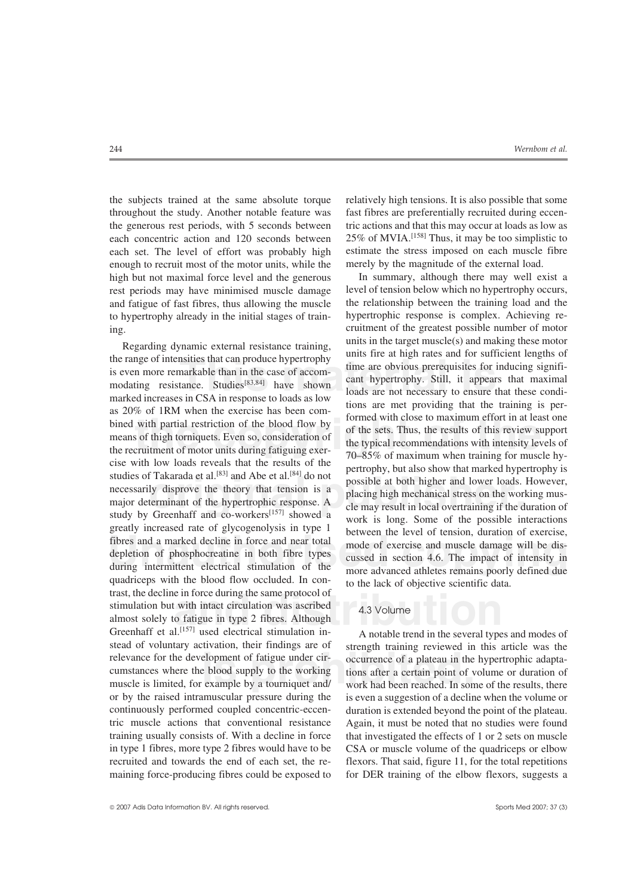the subjects trained at the same absolute torque relatively high tensions. It is also possible that some throughout the study. Another notable feature was fast fibres are preferentially recruited during eccenthe generous rest periods, with 5 seconds between tric actions and that this may occur at loads as low as each concentric action and 120 seconds between  $25\%$  of MVIA.<sup>[158]</sup> Thus, it may be too simplistic to each set. The level of effort was probably high estimate the stress imposed on each muscle fibre enough to recruit most of the motor units, while the merely by the magnitude of the external load.

The range of intensities that can produce hypertrophy<br>is even more remarkable than in the case of accom-<br>modating resistance. Studies<sup>[83,84]</sup> have shown and the providing intensities in CSA in response to loads as low<br>mar  $t = 20%$  of Hert when the excelse has been complement of the blood flow by<br>bined with partial restriction of the blood flow by<br>means of this partial restriction of the sets. Thus, the results of this review support<br>means studies of Takarada et al.<sup>[83]</sup> and Abe et al.<sup>[84]</sup> do not<br>necessarily disprove the theory that tension is a<br>major determinant of the hypertrophic response. A<br>major determinant of the hypertrophic response. A<br>study by Gr greatly increased rate of glycogenolysis in type 1<br>
fibres and a marked decline in force and near total<br>
depletion of phosphocreatine in both fibre types<br>
during intermittent electrical stimulation of the<br>
quadriceps with e in force during the same protocol of<br> **a** is viewer with intact circulation was ascribed<br> **a** 3 Volume<br> **a** 4.3 Volume<br> **a** 4.3 Volume<br> **a** 4.3 Volume<br> **a** 4.3 Volume<br> **a** 4.3 Volume relevance for the development of fatigue under cir-<br>
cocurrence of a plateau in the hypertrophic adapta-<br>
cumstances where the blood supply to the working<br>
muscle is limited, for example by a tourniquet and/<br>
work had been Regarding dynamic external resistance training<br>
units in the target muscle(s) and making these more<br>
the range of intensities that can produce hypertrophy<br>
units fire at high ratse and for sufficient lengths of<br>
ine case stimulation but with intact circulation was ascribed  $4.3$  Volume almost solely to fatigue in type 2 fibres. Although Greenhaff et al.<sup>[157]</sup> used electrical stimulation in-<br>A notable trend in the several types and modes of stead of voluntary activation, their findings are of strength training reviewed in this article was the cumstances where the blood supply to the working tions after a certain point of volume or duration of muscle is limited, for example by a tourniquet and/ work had been reached. In some of the results, there or by the raised intramuscular pressure during the is even a suggestion of a decline when the volume or continuously performed coupled concentric-eccen- duration is extended beyond the point of the plateau. tric muscle actions that conventional resistance Again, it must be noted that no studies were found training usually consists of. With a decline in force that investigated the effects of 1 or 2 sets on muscle in type 1 fibres, more type 2 fibres would have to be CSA or muscle volume of the quadriceps or elbow recruited and towards the end of each set, the re- flexors. That said, figure 11, for the total repetitions maining force-producing fibres could be exposed to for DER training of the elbow flexors, suggests a

high but not maximal force level and the generous In summary, although there may well exist a rest periods may have minimised muscle damage level of tension below which no hypertrophy occurs, and fatigue of fast fibres, thus allowing the muscle the relationship between the training load and the to hypertrophy already in the initial stages of train- hypertrophic response is complex. Achieving reing.<br>
eruitment of the greatest possible number of motor<br>
units in the target muscle(s) and making these motor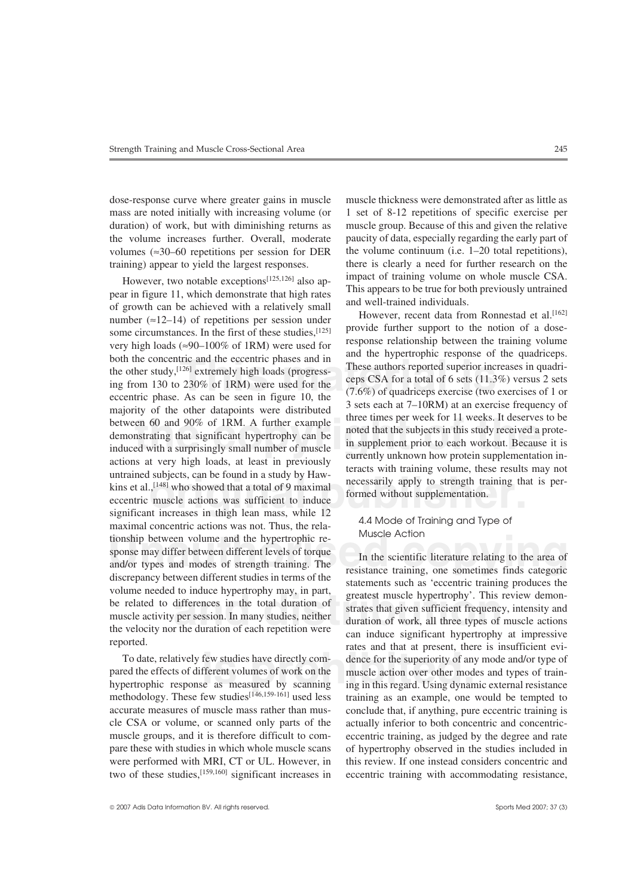both the concentric and the eccentric phases and in<br>the other study,<sup>[126]</sup> extremely high loads (progress-<br>ing from 130 to 230% of 1RM) were used for the<br>eccentric phase. As can be seen in figure 10, the<br>material and the three times per week for 11 weeks. It deserves to be<br>between 60 and 90% of 1RM. A further example<br>demonstrating that significant hypertrophy can be<br>induced that the subjects in this study received a prote-<br>in supplement pr untrained subjects, can be found in a study by Haw-<br>kins et al.,<sup>[148]</sup> who showed that a total of 9 maximal<br>eccessarily apply to strength training that is per-<br>eccentric muscle actions was sufficient to induce<br>significant tionship between volume and the hypertrophic re-<br>sponse may differ between different levels of torque<br>and/or types and modes of strength training. The<br>and/or types and modes of strength training. The<br>discussion of resistan volume needed to induce hypertrophy may, in part,<br>be related to differences in the total duration of<br>muscle activity per session. In many studies, neither<br>the velocity nor the duration of each repetition were<br>duration of w However, two notable exceptions<sup>[125,126]</sup> also approach of training volume on whole muscle CSA.<br>pear in figure 11, which demonstrate that high rates<br>of growth can be achieved with a relatively small<br>number ( $\approx$ 12–14) of number ( $\overline{12}$ –14) of repetitions per session under  $\overline{125}$  provide further support to the notion of a dose-<br>some circumstances. In the first of these studies, response relationship between the training volume very high loads (=90-100% of IRM) were used for<br>the concentric and the eccentric phases and in<br>the other study,<sup>[126]</sup> extremely high loads (progress-<br>the other study,<sup>[126]</sup> extremely high loads (progress-<br>the other study significant increases in thigh lean mass, while 12<br>maximal concentric actions was not. Thus, the rela-<br>tionship between volume and the hypertrophic re-<br>Muscle Action sponse may differ between different levels of torque<br>and/or types and modes of strength training. The<br>discrepancy between different studies in terms of the<br>volume needed to induce hypertrophy may, in part,<br>be related to di

methodology. These few studies<sup>[146,159-161]</sup> used less accurate measures of muscle mass rather than mus- conclude that, if anything, pure eccentric training is cle CSA or volume, or scanned only parts of the actually inferior to both concentric and concentricmuscle groups, and it is therefore difficult to com- eccentric training, as judged by the degree and rate pare these with studies in which whole muscle scans of hypertrophy observed in the studies included in were performed with MRI, CT or UL. However, in this review. If one instead considers concentric and two of these studies,<sup>[159,160]</sup> significant increases in eccentric training with accommodating resistance,

dose-response curve where greater gains in muscle muscle thickness were demonstrated after as little as mass are noted initially with increasing volume (or 1 set of 8-12 repetitions of specific exercise per duration) of work, but with diminishing returns as muscle group. Because of this and given the relative the volume increases further. Overall, moderate paucity of data, especially regarding the early part of volumes ( $\approx$ 30–60 repetitions per session for DER the volume continuum (i.e. 1–20 total repetitions), training) appear to yield the largest responses. there is clearly a need for further research on the

rates and that at present, there is insufficient evi-<br>To date, relatively few studies have directly com-<br>pared the effects of different volumes of work on the<br>hypertrophic response as measured by scanning ing in this regar dence for the superiority of any mode and/or type of muscle action over other modes and types of training in this regard. Using dynamic external resistance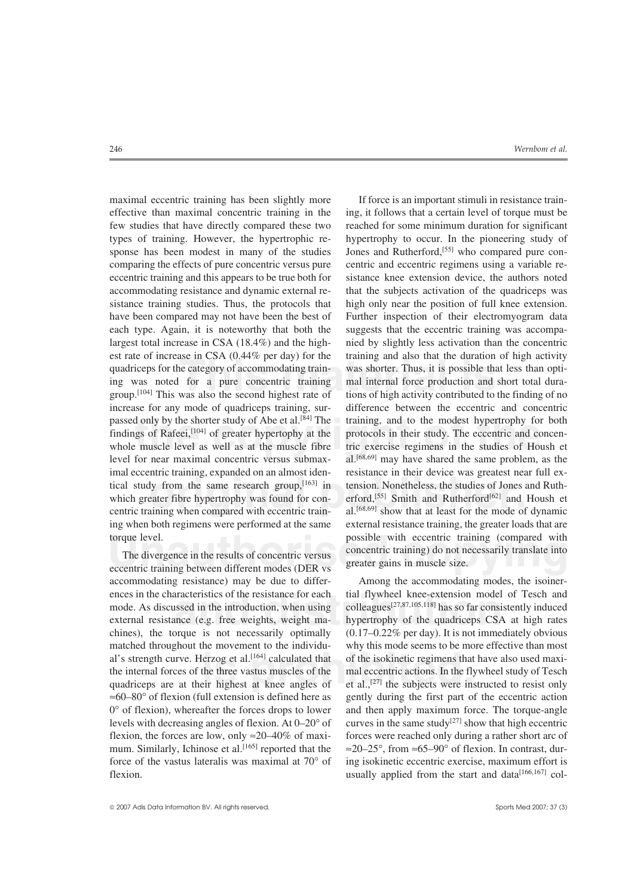quadriceps for the category of accommodating train-<br>quadriceps for the category of accommodating train-<br>group.<sup>[104]</sup> This was also the second highest rate of<br>tions of high activity contributed to the finding of no passed only by the shorter study of Abe et al.<sup>[84]</sup> The training, and to the modest hypertrophy for both<br>findings of Rafeei,<sup>[104]</sup> of greater hypertophy at the protocols in their study. The eccentric and concen-<br>whole mu by from the same research group,<sup>[163]</sup> in the term in the term of the same research group,<sup>[163]</sup> in the same research group,<sup>[163]</sup> in the same research group,<sup>[163]</sup> in the same of the same research group,<sup>[163]</sup> and ex maximal eccentric training has been slightly more If force is an important stimuli in resistance traineffective than maximal concentric training in the ing, it follows that a certain level of torque must be few studies that have directly compared these two reached for some minimum duration for significant types of training. However, the hypertrophic re- hypertrophy to occur. In the pioneering study of sponse has been modest in many of the studies Jones and Rutherford,<sup>[55]</sup> who compared pure concomparing the effects of pure concentric versus pure centric and eccentric regimens using a variable reeccentric training and this appears to be true both for sistance knee extension device, the authors noted accommodating resistance and dynamic external re- that the subjects activation of the quadriceps was sistance training studies. Thus, the protocols that high only near the position of full knee extension. have been compared may not have been the best of Further inspection of their electromyogram data each type. Again, it is noteworthy that both the suggests that the eccentric training was accompalargest total increase in CSA (18.4%) and the high- nied by slightly less activation than the concentric est rate of increase in CSA (0.44% per day) for the training and also that the duration of high activity quadriceps for the category of accommodating train- was shorter. Thus, it is possible that less than optiing was noted for a pure concentric training mal internal force production and short total duraincrease for any mode of quadriceps training, sur- difference between the eccentric and concentric passed only by the shorter study of Abe et al.<sup>[84]</sup> The training, and to the modest hypertrophy for both findings of Rafeei,<sup>[104]</sup> of greater hypertophy at the protocols in their study. The eccentric and concenlevel for near maximal concentric versus submax- al.<sup>[68,69]</sup> may have shared the same problem, as the imal eccentric training, expanded on an almost iden-<br>resistance in their device was greatest near full extical study from the same research group,[163] in tension. Nonetheless, the studies of Jones and Ruthwhich greater fibre hypertrophy was found for con- erford,<sup>[55]</sup> Smith and Rutherford<sup>[62]</sup> and Housh et centric training when compared with eccentric train- al.<sup>[68,69]</sup> show that at least for the mode of dynamic ing when both regimens were performed at the same external resistance training, the greater loads that are torque level. possible with eccentric training (compared with

accommodating resistance) may be due to differ- Among the accommodating modes, the isoiner-

2007 Adis Data Information BV. All rights reserved. Sports Med 2007; 37 (3)

The divergence in the results of concentric versus<br>
concentric training) do not necessarily translate into<br>
eccentric training between different modes (DER vs<br>
greater gains in muscle size. protocols in their study. The eccentric and concen-

and distribution is the resistance for each tial flywheel knee-extension model<br>issed in the introduction, when using colleagues<sup>[27,87,105,118]</sup> has so far consi<br>ince (e.g. free weights, weight ma-<br>prepare is not necessar al's strength curve. Herzog et al.<sup>[164]</sup> calculated that of the isokinetic regimens that have also used maxi-<br>the internal forces of the three vastus muscles of the mal eccentric actions. In the flywheel study of Tesch<br>qu ences in the characteristics of the resistance for each tial flywheel knee-extension model of Tesch and mode. As discussed in the introduction, when using colleagues<sup>[27,87,105,118]</sup> has so far consistently induced external resistance (e.g. free weights, weight ma- hypertrophy of the quadriceps CSA at high rates chines), the torque is not necessarily optimally (0.17–0.22% per day). It is not immediately obvious matched throughout the movement to the individu-<br>why this mode seems to be more effective than most the internal forces of the three vastus muscles of the mal eccentric actions. In the flywheel study of Tesch quadriceps are at their highest at knee angles of et al., $[27]$  the subjects were instructed to resist only ≈60–80° of flexion (full extension is defined here as gently during the first part of the eccentric action  $0^{\circ}$  of flexion), whereafter the forces drops to lower and then apply maximum force. The torque-angle levels with decreasing angles of flexion. At  $0-20^{\circ}$  of curves in the same study<sup>[27]</sup> show that high eccentric flexion, the forces are low, only  $\approx$  20–40% of maxi- forces were reached only during a rather short arc of mum. Similarly, Ichinose et al.<sup>[165]</sup> reported that the ≈20–25°, from ≈65–90° of flexion. In contrast, durforce of the vastus lateralis was maximal at 70° of ing isokinetic eccentric exercise, maximum effort is flexion. usually applied from the start and data<sup>[166,167]</sup> col-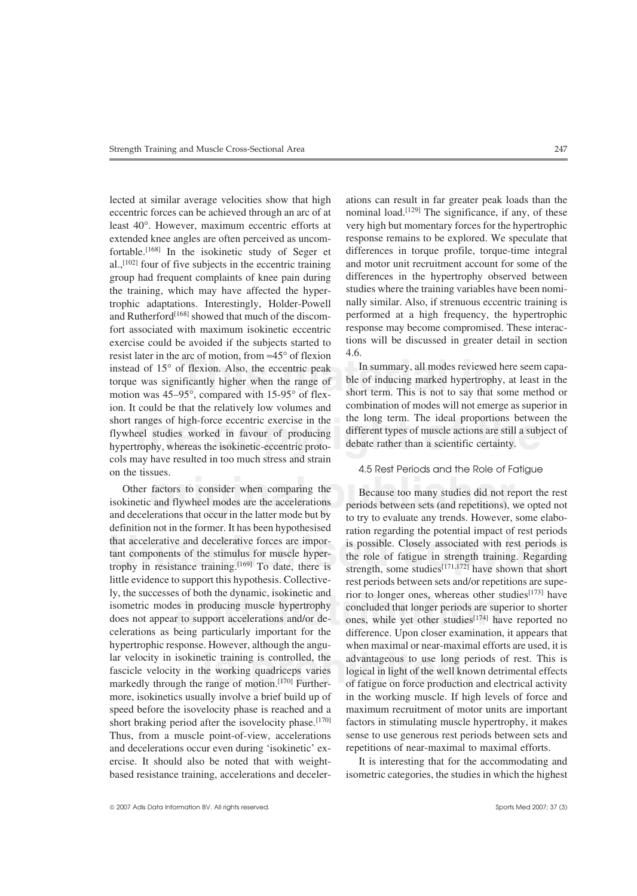In summary, all modes reviewed here seem capa-<br>torque was significantly higher when the range of the of inducing marked hypertrophy, at least in the<br>motion was 45–95°, compared with 15-95° of flex-<br>short term. This is not ranges of high-force eccentric exercise in the the long term. The ideal proportions betwee<br>eel studies worked in favour of producing different types of muscle actions are still a subj<br>trophy, whereas the isokinetic-eccentr lected at similar average velocities show that high ations can result in far greater peak loads than the eccentric forces can be achieved through an arc of at nominal load.<sup>[129]</sup> The significance, if any, of these least 40°. However, maximum eccentric efforts at very high but momentary forces for the hypertrophic extended knee angles are often perceived as uncom- response remains to be explored. We speculate that fortable.<sup>[168]</sup> In the isokinetic study of Seger et differences in torque profile, torque-time integral  $al.,$  [102] four of five subjects in the eccentric training and motor unit recruitment account for some of the group had frequent complaints of knee pain during differences in the hypertrophy observed between the training, which may have affected the hyper- studies where the training variables have been nomitrophic adaptations. Interestingly, Holder-Powell nally similar. Also, if strenuous eccentric training is and Rutherford<sup>[168]</sup> showed that much of the discom-<br>for associated with maximum isokinetic eccentric response may become compromised. These interacfort associated with maximum isokinetic eccentric response may become compromised. These interac-<br>exercise could be avoided if the subjects started to tions will be discussed in greater detail in section exercise could be avoided if the subjects started to tion<br>resist later in the arc of motion from  $\approx 45^\circ$  of flexion 4.6. resist later in the arc of motion, from ≈45° of flexion 4.6.<br>instead of 15° of flexion. Also, the eccentric neak In summary, all modes reviewed here seem capatorque was significantly higher when the range of ble of inducing marked hypertrophy, at least in the motion was  $45-95^{\circ}$  compared with  $15-95^{\circ}$  of flex-<br>short term. This is not to say that some method or motion was  $45-95^\circ$ , compared with  $15-95^\circ$  of flexion. It could be that the relatively low volumes and combination of modes will not emerge as superior in short ranges of high-force eccentric exercise in the short ranges of high-force eccentric exercise in the hypertrophy, whereas the isokinetic-eccentric proto-<br>debate rather than a scientific certainty. cols may have resulted in too much stress and strain on the tissues. 4.5 Rest Periods and the Role of Fatigue

Other factors to consider when comparing the<br>isokinetic and flywheel modes are the accelerations<br>and decelerations that occur in the latter mode but by<br>the truth sublate any trands. However, some alshe definition not in the former. It has been hypothesised<br>that accelerative and decelerative forces are impor-<br>tant components of the stimulus for muscle hyper-<br>trophy in resistance training.<sup>[169]</sup> To date, there is<br>terngth, is of both the dynamic, isokinetic and<br>
interval of the longer ones, whereas other s<br>
is in producing muscle hypertrophy<br>
interval of the difference I hon closer examination<br>
being particularly important for the difference Iar velocity in isokinetic training is controlled, the advantageous to use long periods of rest. This is fascicle velocity in the working quadriceps varies logical in light of the well known detrimental effects markedly th and decelerations that occur in the latter mode but by to try to evaluate any trends. However, some elabotant components of the stimulus for muscle hyperlittle evidence to support this hypothesis. Collective-<br>ly, the successes of both the dynamic, isokinetic and<br>rior to longer ones. whereas other studies<sup>[173]</sup> have isometric modes in producing muscle hypertrophy concluded that longer periods are superior to shorter does not appear to support accelerations and/or de- ones, while yet other studies<sup>[174]</sup> have reported no celerations as being particularly important for the difference. Upon closer examination, it appears that hypertrophic response. However, although the angu-<br>when maximal or near-maximal efforts are used, it is fascicle velocity in the working quadriceps varies logical in light of the well known detrimental effects markedly through the range of motion.<sup>[170]</sup> Further- of fatigue on force production and electrical activity more, isokinetics usually involve a brief build up of in the working muscle. If high levels of force and speed before the isovelocity phase is reached and a maximum recruitment of motor units are important short braking period after the isovelocity phase.  $[170]$  factors in stimulating muscle hypertrophy, it makes Thus, from a muscle point-of-view, accelerations sense to use generous rest periods between sets and and decelerations occur even during 'isokinetic' ex- repetitions of near-maximal to maximal efforts. ercise. It should also be noted that with weight- It is interesting that for the accommodating and

flywheel studies worked in favour of producing different types of muscle actions are still a subject of

ration regarding the potential impact of rest periods is possible. Closely associated with rest periods is strength, some studies<sup>[171,172]</sup> have shown that short rior to longer ones, whereas other studies<sup>[173]</sup> have

based resistance training, accelerations and deceler- isometric categories, the studies in which the highest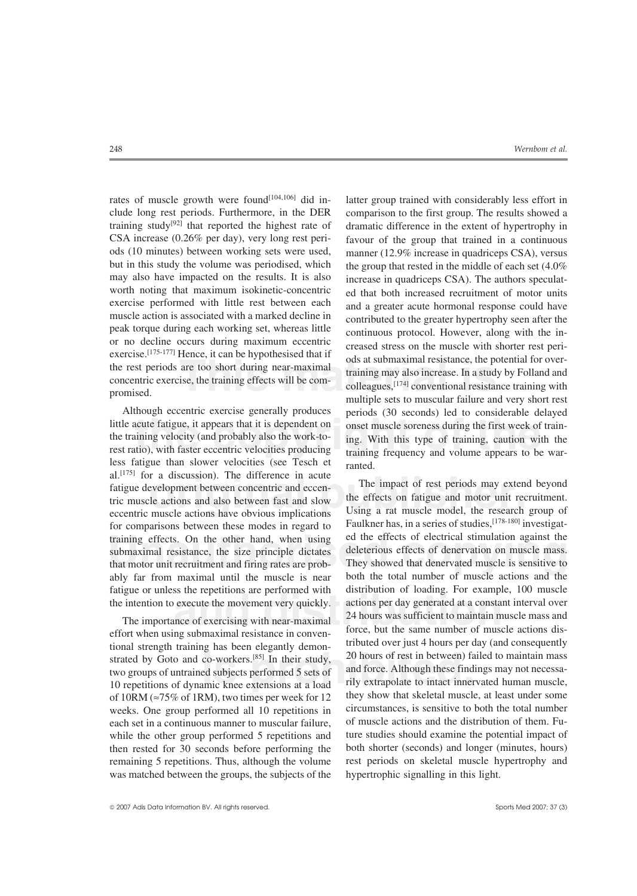al.<sup>[175]</sup> for a discussion). The difference in acute<br>fatigue development between concentric and eccen-<br>tric muscle actions and also between fast and slow<br>eccentric muscle actions have obvious implications Using a rat musc training effects. On the other hand, when using ed the effects of electrical stimulation against the submaximal resistance, the size principle dictates deleterious effects of denervation on muscle mass. That motor unit rec less fatigue than slower velocities (see Tesch et ranted. al.<sup>[175]</sup> for a discussion). The difference in acute eccentric muscle actions have obvious implications Using a rat muscle model, the research group of for comparisons between these modes in regard to Faulkner has, in a series of studies,  $[178-180]$  investigat-<br>training effects. On the other hand when using ed the effects of electrical stimulation against the training effects. On the other hand, when using submaximal resistance, the size principle dictates deleterious effects of denervation on muscle mass. ably far from maximal until the muscle is near both the total number of muscle actions and the fatigue or unless the repetitions are performed with distribution of loading. For example, 100 muscle

weeks. One group performed all 10 repetitions in was matched between the groups, the subjects of the hypertrophic signalling in this light.

exercise.<sup>[175-177]</sup> Hence, it can be hypothesised that if<br>the rest periods are too short during near-maximal<br>concentric exercise, the training effects will be com-<br>promised.<br>promised.<br>training effects will be com-<br>promise It the coute fatigue, it appears that it is dependent on onset muscle soreness during the first week of train-<br>the training velocity (and probably also the work-to-<br>rest ratio), with faster eccentric velocities producing<br>t rates of muscle growth were found<sup>[104,106]</sup> did in-<br>latter group trained with considerably less effort in clude long rest periods. Furthermore, in the DER comparison to the first group. The results showed a training study[92] that reported the highest rate of dramatic difference in the extent of hypertrophy in CSA increase (0.26% per day), very long rest peri- favour of the group that trained in a continuous ods (10 minutes) between working sets were used, manner (12.9% increase in quadriceps CSA), versus but in this study the volume was periodised, which the group that rested in the middle of each set (4.0%) but in this study the volume was periodised, which the group that rested in the middle of each set (4.0% may also have impacted on the results. It is also increase in quadricens CSA). The authors speculatmay also have impacted on the results. It is also increase in quadriceps CSA). The authors speculat-<br>worth noting that maximum isokinetic-concentric ed that both increased recruitment of motor units worth noting that maximum isokinetic-concentric ed that both increased recruitment of motor units exercise performed with little rest between each and a greater acute hormonal response could have exercise performed with little rest between each<br>muscle action is associated with a marked decline in<br>peak torque during each working set, whereas little<br>or no decline occurs during maximum eccentric<br>ortinuous protocol. Ho Although eccentric exercise generally produces periods (30 seconds) led to considerable delayed the training velocity (and probably also the work-to-<br>rest ratio), with faster eccentric velocities producing<br>training frequency and volume appears to be wartraining frequency and volume appears to be war-

the intention to execute the movement very quickly.<br>
The importance of exercising with near-maximal<br>
effort when using submaximal resistance in conven<br>
and toree, but the same number of muscle actions dis-<br>
differt when us **is trated by Goto and co-workers.**<sup>[85]</sup> In their study, 20 hours of rest in between) failed to maintain mass two groups of untrained subjects performed 5 sets of and force. Although these findings may not necessa-<br>10 rep The importance of exercising with near-maximal expansion and the same number of muscle mass and effort when using submaximal resistance in conventional strength training has been elegantly demontional strength training has of  $10RM \approx 75\%$  of  $1RM$ ), two times per week for 12 they show that skeletal muscle, at least under some vector of  $10R$  they show that skeletal muscle, at least under some vector of  $10R$  the step of  $10R$  the step of  $10$ each set in a continuous manner to muscular failure, of muscle actions and the distribution of them. Fuwhile the other group performed 5 repetitions and ture studies should examine the potential impact of then rested for 30 seconds before performing the both shorter (seconds) and longer (minutes, hours) remaining 5 repetitions. Thus, although the volume rest periods on skeletal muscle hypertrophy and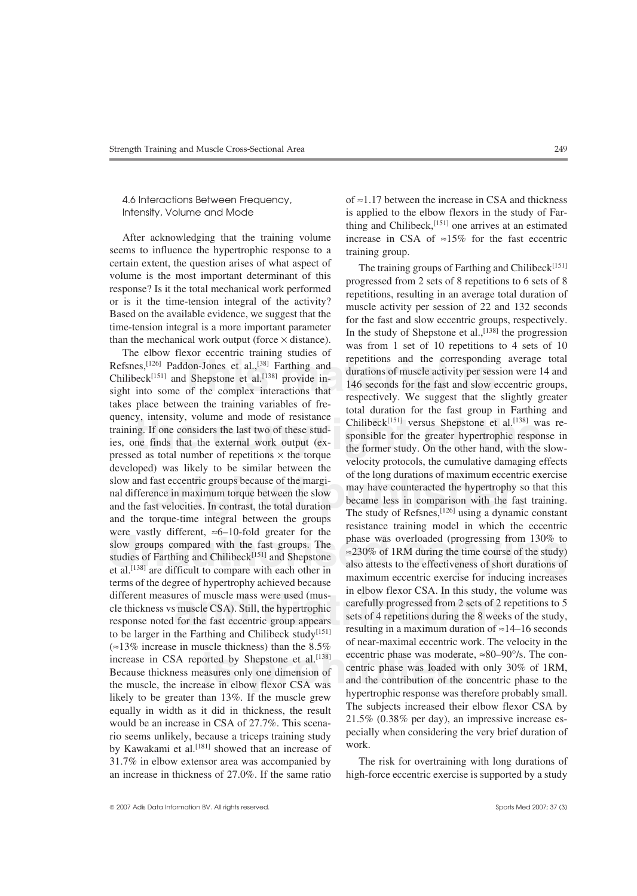seems to influence the hypertrophic response to a training group. certain extent, the question arises of what aspect of The training groups of Farthing and Chilibeck<sup>[151]</sup><br>volume is the most important determinant of this and are also aspected from 2 esta of 8 appointing to 6 esta of 8

The enow fiexor eccentric draming statues of<br>
Refsnes,<sup>[126]</sup> Paddon-Jones et al.,<sup>[38]</sup> Farthing and<br>
Chilibeck<sup>[151]</sup> and Shepstone et al.<sup>[138]</sup> provide in-<br>
sight into some of the complex interactions that<br>
takes place quency, intensity, volume and mode of resistance<br>training. If one considers the last two of these stud-<br>ies, one finds that the external work output (ex-<br>pressed as total number of repetitions  $\times$  the torque<br>velocity pro slow and fast eccentric groups because of the margi-<br>
and difference in maximum torque between the slow<br>
and the fast velocities. In contrast, the total duration<br>
and the torque-time integral between the groups<br>
and the to were vastly different,  $\approx$ 6-10-fold greater for the<br>slow groups compared with the fast groups. The<br>studies of Farthing and Chilibeck<sup>[151]</sup> and Shepstone<br>et al.<sup>[138]</sup> are difficult to compare with each other in<br>target a different measures of muscle mass were used (mus-<br>
cle thickness vs muscle CSA). Still, the hypertrophic<br>
response noted for the fast eccentric group appears<br>
to be larger in the Farthing and Chilibeck study<sup>[151]</sup> result Figure 1.1.138] eccentric phase was moderate,<br>corted by Shepstone et al.<sup>[138]</sup> eccentric phase was loaded with<br>asset in elbow flexor CSA was<br>hypottephie reports was loaded with  $\approx 13\%$  increase in muscle thickness) than the 8.5% of near-maximal eccentric work. The velocity in the eccentric phase was moderate, ≈80–90°/s. The continense in CSA reported by Shepstone et al.<sup>[138]</sup> Because thickness measures only one dimension of<br>the muscle, the increase in elbow flexor CSA was<br>likely to be greater than 13%. If the muscle grew<br>equally in width as it did in thickness, the result<br>would be an increase i would be an increase in CSA of 27.7%. This scena-<br>
rio seems unlikely, because a triceps training study<br>
by Kawakami et al.<sup>[181]</sup> showed that an increase of work. 31.7% in elbow extensor area was accompanied by The risk for overtraining with long durations of an increase in thickness of 27.0%. If the same ratio high-force eccentric exercise is supported by a study

4.6 Interactions Between Frequency, of ≈1.17 between the increase in CSA and thickness Intensity, Volume and Mode is applied to the elbow flexors in the study of Farthing and Chilibeck, $[151]$  one arrives at an estimated After acknowledging that the training volume increase in CSA of  $\approx$ 15% for the fast eccentric

volume is the most important determinant of this<br>mesonse? Is it the total mechanical work performed progressed from 2 sets of 8 repetitions to 6 sets of 8<br>response? Is it the time-tension integral of the activity? repetit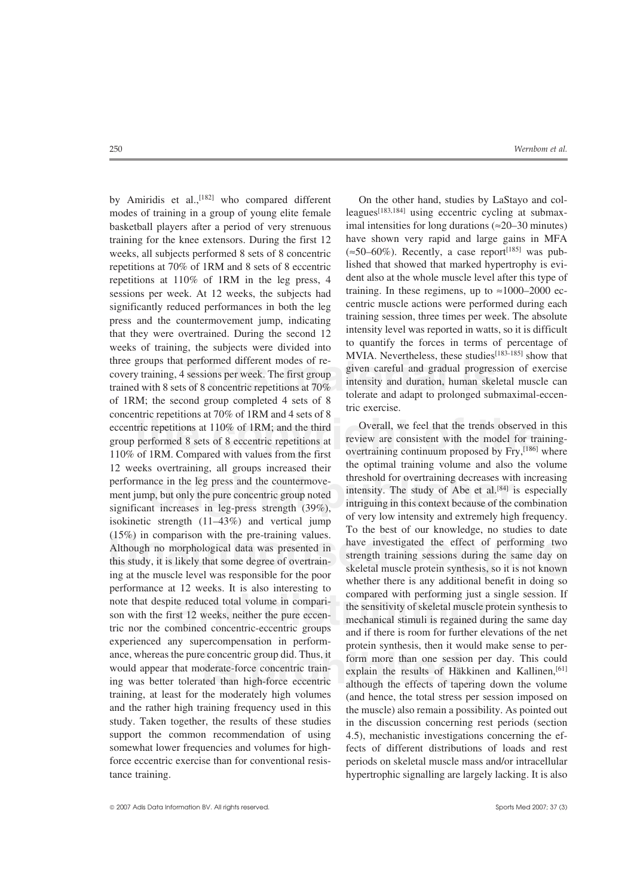eccentric repetitions at 10% of 1RM; and the third Overall, we feel that the trends observed in this group performed 8 sets of 8 eccentric repetitions at review are consistent with the model for training-<br>110% of 1RM. Comp To the best of our knowledge, no studies to date<br>
(15%) in comparison with the pre-training values.<br>
Although no morphological data was presented in<br>
this study, it is likely that some degree of overtrain-<br>
ing at the musc Exercise concentric group did. Thus, it<br>
oderate-force concentric train-<br>
explain the results of Häkki<br>
dthough the effects of taperi modes of training in a group of young elite female leagues<sup>[183,184]</sup> using eccentric cycling at submaxtraining for the knee extensors. During the first 12 have shown very rapid and large gains in MFA weeks all subjects performed 8 sets of 8 concentric  $(\approx 50-60\%)$ . Recently, a case report<sup>[185]</sup> was pubweeks, all subjects performed 8 sets of 8 concentric repetitions at 70% of 1RM and 8 sets of 8 eccentric lished that showed that marked hypertrophy is evisessions per week. At 12 weeks, the subjects had press and the countermovement jump, indicating<br>that they were overtrained. During the second 12<br>that they were overtrained. During the second 12<br>weeks of training, the subjects were divided into<br>three groups that performed group performed 8 sets of 8 eccentric repetitions at review are consistent with the model for training-110% of 1RM. Compared with values from the first overtraining continuum proposed by Fry,<sup>[186]</sup> where 12 weeks overtraining all groups increased their the optimal training volume and also the volume 12 weeks overtraining, all groups increased their performance in the leg press and the countermove-<br>
intensible for overtraining decreases with increasing<br>
significant increases in leg-press strength (39%),<br>
significant increases in leg-press strength (39%),<br>
intriguing i would appear that moderate-force concentric train- explain the results of Häkkinen and Kallinen, <sup>[61]</sup> ing was better tolerated than high-force eccentric although the effects of tapering down the volume training, at least for the moderately high volumes (and hence, the total stress per session imposed on support the common recommendation of using 4.5), mechanistic investigations concerning the efforce eccentric exercise than for conventional resis- periods on skeletal muscle mass and/or intracellular tance training. hypertrophic signalling are largely lacking. It is also

250 *Wernbom et al.*

three groups that performed different modes of re-<br>covery training, 4 sessions per week. The first group<br>trained with 8 sets of 8 concentric repetitions at 70%<br>of 1RM; the second group completed 4 sets of 8 by Amiridis et al.,<sup>[182]</sup> who compared different On the other hand, studies by LaStayo and colbasketball players after a period of very strenuous imal intensities for long durations ( $\approx$ 20–30 minutes) training for the knee extensors. During the first 12 have shown very rapid and large gains in MFA repetitions at 110% of 1RM in the leg press, 4 dent also at the whole muscle level after this type of residence and the subjects had training. In these regimens, up to  $\approx$  1000–2000 ecsignificantly reduced performances in both the leg centric muscle actions were performed during each significantly reduced performances in both the leg training session, three times per week. The absolute

performance in the leg press and the countermove-<br>ment jump, but only the pure concentric group noted<br>intensity. The study of Abe et al.<sup>[84]</sup> is especially<br>significant increases in leg-press strength (39%),<br>intriguing in performance at 12 weeks. It is also interesting to<br>note that despite reduced total volume in compari-<br>son with the first 12 weeks, neither the pure eccen-<br>tric or the combined concentric-eccentric groups<br>and if there is ro experienced any supercompensation in perform-<br>ance, whereas the pure concentric group did. Thus, it<br>would appear that moderate-force concentric train-<br>explain the results of Häkkinen and Kallinen [61] (and hence, the total stress per session imposed on and the rather high training frequency used in this the muscle) also remain a possibility. As pointed out study. Taken together, the results of these studies in the discussion concerning rest periods (section in the discussion concerning rest periods (section somewhat lower frequencies and volumes for high- fects of different distributions of loads and rest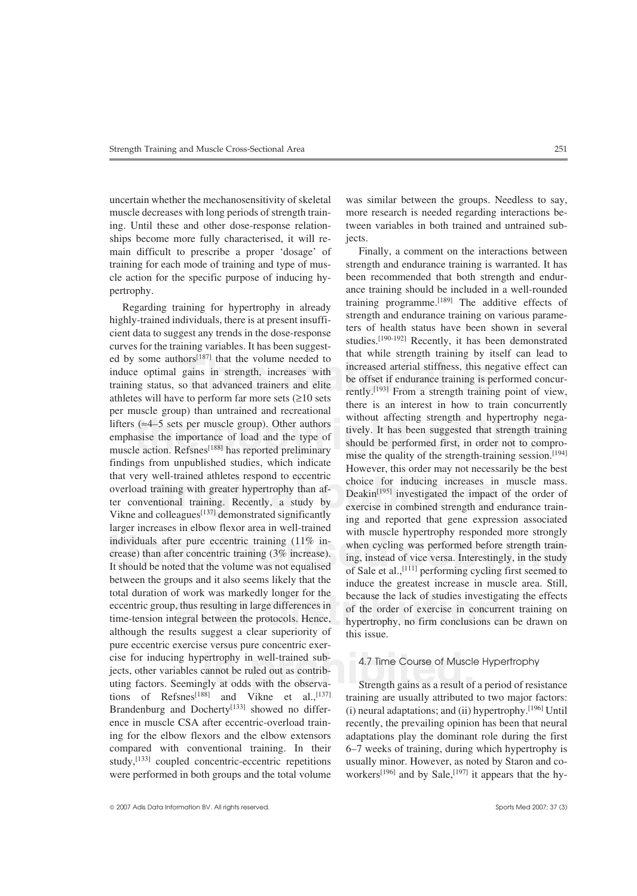uncertain whether the mechanosensitivity of skeletal was similar between the groups. Needless to say, muscle decreases with long periods of strength train- more research is needed regarding interactions being. Until these and other dose-response relation- tween variables in both trained and untrained subships become more fully characterised, it will re- jects. main difficult to prescribe a proper 'dosage' of Finally, a comment on the interactions between training for each mode of training and type of mus- strength and endurance training is warranted. It has cle action for the specific purpose of inducing hy- been recommended that both strength and endurpertrophy. ance training should be included in a well-rounded

Equives for the training variables. It has been suggested<br>ed by some authors<sup>[187]</sup> that the volume needed to<br>induce optimal gains in strength, increases with<br>training status, so that advanced trainers and elite<br>athletes per muscle group) than untrained and recreational<br>lifters ( $\approx$ 4–5 sets per muscle group). Other authors<br>emphasise the importance of load and the type of<br>muscle action. Refsnes<sup>[188]</sup> has reported preliminary<br>findings fro that very well-trained athletes respond to eccentric<br>overload training with greater hypertrophy than af-<br>boice for inducing increases in muscle mass.<br>Deakin<sup>[195]</sup> investigated the impact of the order of<br>ter conventional t Transfer increases in enow riexor area in wen-training<br>individuals after pure eccentric training (11% in-<br>crease) than after concentric training (3% increase).<br>It should be noted that the volume was not equalised<br>between t If work was markedly longer for the<br> **because the lack of studies investiga**<br> **because the lack of studies investiga**<br> **because the lack of studies investiga**<br> **of the order of exercise in concurre**<br> **distribution**<br> **becau** cise for inducing hypertrophy in well-trained sub-<br>jects, other variables cannot be ruled out as contrib-<br>uting factors. Seemingly at odds with the observa-<br>Strength gains as a result of a period of resi Findings from unpublished studies, which indicate<br>
that very well-trained athletes respond to eccentric<br>
that very well-trained athletes respond to eccentric<br>
that very well-trained athletes respond to eccentric<br>
overver, eccentric group, thus resulting in large differences in of the order of exercise in concurrent training on time-tension integral between the protocols. Hence, hypertrophy, no firm conclusions can be drawn on although the results suggest a clear superiority of this issue. pure eccentric exercise versus pure concentric exerjects, other variables cannot be ruled out as contributing factors. Seemingly at odds with the observa- Strength gains as a result of a period of resistance tions of Refsnes<sup>[188]</sup> and Vikne et al.,<sup>[137]</sup> training are usually attributed to two major factors:<br>Brandenburg and Docherty<sup>[133]</sup> showed no differ- (i) neural adaptations: and (ii) hypertrophy.<sup>[196]</sup> Until ence in muscle CSA after eccentric-overload train-<br>recently, the prevailing opinion has been that neural ing for the elbow flexors and the elbow extensors adaptations play the dominant role during the first compared with conventional training. In their 6–7 weeks of training, during which hypertrophy is study,<sup>[133]</sup> coupled concentric-eccentric repetitions usually minor. However, as noted by Staron and co-

Regarding training for hypertrophy in already<br>
in the distinguistic strength and endurance training on various parame-<br>
cient data to suggest any trends in the dose-response<br>
cient data to suggest any trends in the dose-r

 $\Phi$  (i) neural adaptations; and (ii) hypertrophy.<sup>[196]</sup> Until were performed in both groups and the total volume workers<sup>[196]</sup> and by Sale,<sup>[197]</sup> it appears that the hy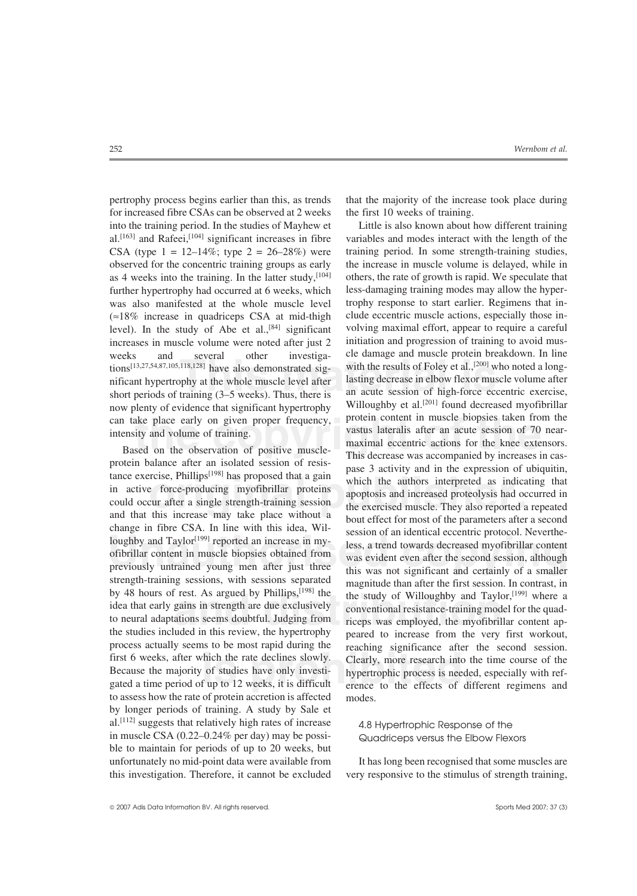for increased fibre CSAs can be observed at 2 weeks the first 10 weeks of training. into the training period. In the studies of Mayhew et Little is also known about how different training increases in muscle volume were noted after just 2 now plenty of evidence that significant hypertrophy can take place early on given proper frequency,

tance exercise, Phillips<sup>[198]</sup> has proposed that a gain<br>in active force-producing myofibrillar proteins<br>could occur after a single strength-training session<br>and that this increase may take place without a<br>bout effect for change in fibre CSA. In line with this idea, Wilstein, Wilstein and increase in my-<br>loughby and Taylor<sup>[199]</sup> reported an increase in my-<br>ofibrillar content in muscle biopsies obtained from<br>previously untrained young men a by 48 hours of rest. As argued by Phillips,<sup>[198]</sup> the<br>idea that early gains in strength are due exclusively<br>to neural adaptations seems doubtful. Judging from<br>the studies included in this review, the hypertrophy<br>the studi which the rate declines slowly.<br> **Clearly, more research into the effects** of studies have only investi-<br>
fup to 12 weeks, it is difficult<br>
erence to the effects of dif the studies included in this review, the hypertrophy peared to increase from the very first workout, process actually seems to be most rapid during the reaching significance after the second session process actually seems to be most rapid during the reaching significance after the second session.<br>First 6 weeks, after which the rate declines slowly. Clearly, more research into the time course of the first 6 weeks, after which the rate declines slowly. Clearly, more research into the time course of the Because the majority of studies have only investi-<br>hypertrophic process is needed, especially with ref-Because the majority of studies have only investi- hypertrophic process is needed, especially with refgated a time period of up to 12 weeks, it is difficult erence to the effects of different regimens and to assess how the rate of protein accretion is affected modes. by longer periods of training. A study by Sale et al.<sup>[112]</sup> suggests that relatively high rates of increase 4.8 Hypertrophic Response of the in muscle CSA (0.22–0.24% per day) may be possi- Quadriceps versus the Elbow Flexors ble to maintain for periods of up to 20 weeks, but unfortunately no mid-point data were available from It has long been recognised that some muscles are

pertrophy process begins earlier than this, as trends that the majority of the increase took place during

tions<sup>[13,27,54,87,105,118,128]</sup> have also demonstrated sig-<br>mificant hypertrophy at the whole muscle level after<br>short periods of training (3–5 weeks). Thus, there is<br>an acute session of high-force eccentric exercise, can take place early on given proper frequency,<br>intensity and volume of training.<br>Based on the observation of positive muscle-<br>protein content in muscle biopsies taken from the<br>sensitive straining.<br>Based on the observation al.<sup>[163]</sup> and Rafeei,<sup>[104]</sup> significant increases in fibre variables and modes interact with the length of the CSA (type  $1 = 12-14\%$ ; type  $2 = 26-28\%$ ) were training period. In some strength-training studies, observed for the concentric training groups as early the increase in muscle volume is delayed, while in as 4 weeks into the training. In the latter study,  $[104]$  others, the rate of growth is rapid. We speculate that further hypertrophy had occurred at 6 weeks, which less-damaging training modes may allow the hyperwas also manifested at the whole muscle level trophy response to start earlier. Regimens that in-  $\approx 18\%$  increase in quadriceps CSA at mid-thigh clude eccentric muscle actions, especially those in-<br>level). In the study of Abe et al.<sup>[84]</sup> significant volving maximal effort, appear to require a careful level). In the study of Abe et al.,<sup>[84]</sup> significant volving maximal effort, appear to require a careful increases in muscle volume were noted after just 2 initiation and progression of training to avoid musweeks and several other investiga- cle damage and muscle protein breakdown. In line tions<sup>[13,27,54,87,105,118,128]</sup> have also demonstrated sig- with the results of Foley et al.,<sup>[200]</sup> who noted a longnificant hypertrophy at the whole muscle level after lasting decrease in elbow flexor muscle volume after short periods of training  $(3-5$  weeks). Thus there is an acute session of high-force eccentric exercise. short periods of training  $(3-5$  weeks). Thus, there is  $\overline{\phantom{a}}$  an acute session of high-force eccentric exercise, now plenty of evidence that significant hypertrophy Willoughby et al.<sup>[201]</sup> found decreased myofibril intensity and volume of training. vastus lateralis after an acute session of 70 near-<br>Based on the observation of positive muscle-<br>protein balance after an isolated session of resis-<br>protein balance after an isolated sessi conventional resistance-training model for the quadriceps was employed, the myofibrillar content ap-

this investigation. Therefore, it cannot be excluded very responsive to the stimulus of strength training,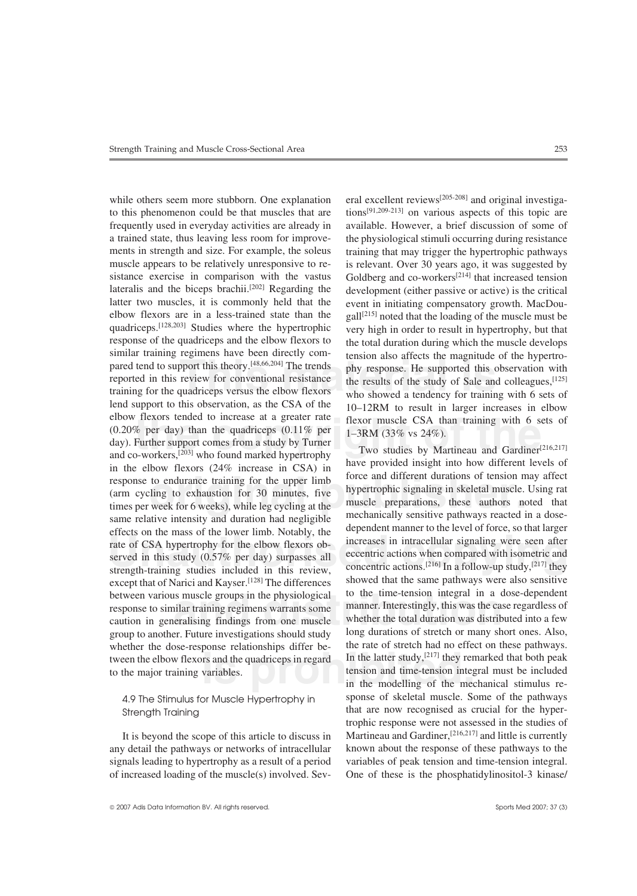pared tend to support this theory.<sup>[48,66,204]</sup> The trends phy response. He supported this observation with reported in this review for conventional resistance training for the quadriceps versus the elbow flexors who showe elbow flexors tended to increase at a greater rate<br>  $(0.20\% \text{ per day})$  than the quadriceps  $(0.11\% \text{ per day})$ <br>
day). Further support comes from a study by Turner<br>
and co-workers,<sup>[203]</sup> who found marked hypertrophy<br>  $\frac{1-3\text{RM$ The column contracts (2176 methods in CB11) in<br>
response to endurance training for the upper limb<br>
(arm cycling to exhaustion for 30 minutes, five<br>
times per week for 6 weeks), while leg cycling at the<br>
same relative inten effects on the mass of the lower limb. Notably, the<br>rate of CSA hypertrophy for the elbow flexors ob-<br>served in this study (0.57% per day) surpasses all<br>strength-training studies included in this review,<br>except that of Nar while others seem more stubborn. One explanation eral excellent reviews<sup>[205-208]</sup> and original investigato this phenomenon could be that muscles that are tions<sup>[91,209-213]</sup> on various aspects of this topic are frequently used in everyday activities are already in available. However, a brief discussion of some of a trained state, thus leaving less room for improve- the physiological stimuli occurring during resistance ments in strength and size. For example, the soleus training that may trigger the hypertrophic pathways muscle appears to be relatively unresponsive to re-<br>sixelevant. Over 30 years ago, it was suggested by<br>sistance exercise in comparison with the vastus Goldberg and co-workers<sup>[214]</sup> that increased tension lateralis and the biceps brachii.<sup>[202]</sup> Regarding the development (either passive or active) is the critical latter two muscles, it is commonly held that the event in initiating compensatory growth. MacDouelbow flexors are in a less-trained state than the gall<sup>[215]</sup> noted that the loading of the muscle must be quadriceps.<sup>[128,203]</sup> Studies where the hypertrophic very high in order to result in hypertrophy, but that response of the quadriceps and the elbow flexors to the total duration during which the muscle develops response of the quadriceps and the elbow flexors to the total duration during which the muscle develops similar training regimens have been directly com-<br>tension also affects the magnitude of the hypertroreported in this review for conventional resistance the results of the study of Sale and colleagues,<sup>[125]</sup><br>training for the quadriceps versus the elbow flexors who showed a tendency for training with 6 sets of training for the quadriceps versus the elbow flexors who showed a tendency for training with 6 sets of lend support to this observation, as the CSA of the  $10-12\text{RM}$  to result in larger increases in elbow lend support to this observation, as the CSA of the  $10-12\text{RM}$  to result in larger increases in elbow<br>elbow flexors tended to increase at a greater rate flexor muscle CSA than training with 6 sets of<br>(0.20% per day) tha and co-workers,<sup>[203]</sup> who found marked hypertrophy<br>in the elbow flexors (24% increase in CSA) in<br>response to endurance training for the upper limb<br>(arm cycling to exhaustion for 30 minutes, five<br>times per week for 6 week except that of Narici and Kayser.<sup>[128]</sup> The differences between various muscle groups in the physiological response to similar training regimens warrants some caution in generalising findings from one muscle group to another. Future investigations should study long durations of stretch or many short ones. Also, whether the dose-response relationships differ be-<br>the rate of stretch had no effect on these pathways. whether the dose-response relationships differ beto the major training variables. The major training variables of the tension and time-tension integral must be included

any detail the pathways or networks of intracellular known about the response of these pathways to the signals leading to hypertrophy as a result of a period variables of peak tension and time-tension integral. of increased loading of the muscle(s) involved. Sev- One of these is the phosphatidylinositol-3 kinase/

Goldberg and co-workers<sup>[214]</sup> that increased tension tension also affects the magnitude of the hypertro-

to the time-tension integral in a dose-dependent manner. Interestingly, this was the case regardless of whether the total duration was distributed into a few long durations of stretch or many short ones. Also, In the latter study,<sup>[217]</sup> they remarked that both peak<br>to the major training variables.<br>tension and time-tension integral must be included<br>in the modelling of the mechanical stimulus rein the modelling of the mechanical stimulus response of skeletal muscle. Some of the pathways 4.9 The Stimulus for Muscle Hypertrophy in Strength Training that are now recognised as crucial for the hypertrophic response were not assessed in the studies of It is beyond the scope of this article to discuss in Martineau and Gardiner,  $[216,217]$  and little is currently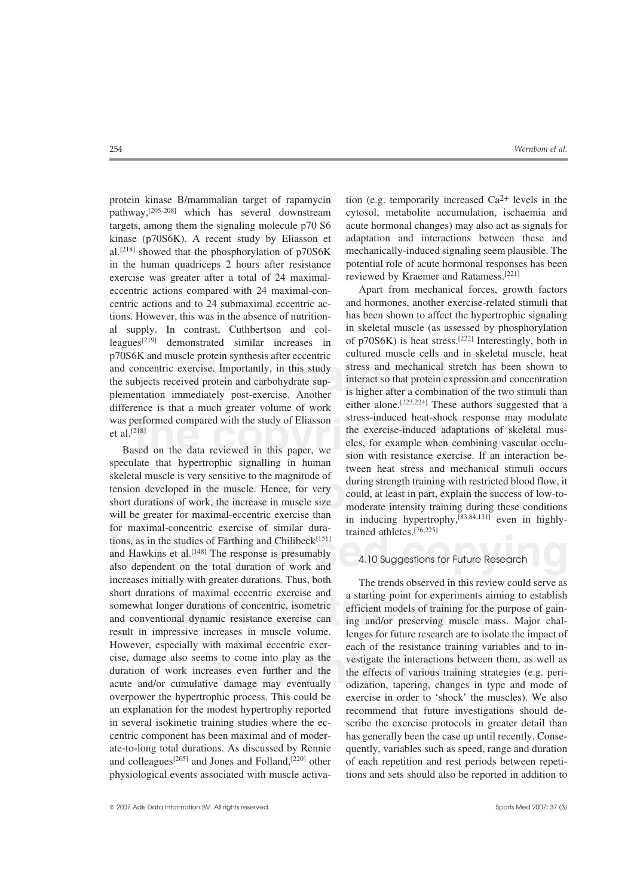protein kinase B/mammalian target of rapamycin tion (e.g. temporarily increased  $Ca^{2+}$  levels in the pathway,  $[205-208]$  which has several downstream cytosol, metabolite accumulation, ischaemia and targets, among them the signaling molecule p70 S6 acute hormonal changes) may also act as signals for kinase (p70S6K). A recent study by Eliasson et adaptation and interactions between these and al.<sup>[218]</sup> showed that the phosphorylation of p70S6K mechanically-induced signaling seem plausible. The in the human quadriceps 2 hours after resistance potential role of acute hormonal responses has been exercise was greater after a total of 24 maximal-<br>reviewed by Kraemer and Ratamess.<sup>[221]</sup> exercise was greater after a total of 24 maximaleccentric actions compared with 24 maximal-con- Apart from mechanical forces, growth factors centric actions and to 24 submaximal eccentric ac- and hormones, another exercise-related stimuli that tions. However, this was in the absence of nutrition-<br>also shown to affect the hypertrophic signaling<br>also supply. In contrast, Cuthbertson and col-<br>in skeletal muscle (as assessed by phosphorylation al supply. In contrast, Cuthbertson and col- in skeletal muscle (as assessed by phosphorylation<br>leagues<sup>[219]</sup> demonstrated similar increases in of p70S6K) is heat stress.<sup>[222]</sup> Interestingly, both in leagues<sup>[219]</sup> demonstrated similar increases in of p70S6K) is heat stress.<sup>[222]</sup> Interestingly, both in p70S6K and muscle protein synthesis after eccentric cultured muscle cells and in skeletal muscle, heat p70S6K and muscle protein synthesis after eccentric and concentric exercise. Importantly, in this study the subjects received protein and carbohydrate supplementation immediately post-exercise. Another difference is that a much greater volume of work was performed compared with the study of Eliasson

For maximal-concentric exercise of similar dura-<br>tions, as in the studies of Farthing and Chilibeck<sup>[151]</sup><br>and Hawkins et al.<sup>[148]</sup> The response is presumably<br>4.10 Suggestions for Future Research tions, as in the studies of Farthing and Chilibeck<sup>[151]</sup> also dependent on the total duration of work and increases initially with greater durations. Thus, both The trends observed in this review could serve as short durations of maximal eccentric exercise and a starting point for experiments aiming to establish

stress and mechanical stretch has been shown to interact so that protein expression and concentration is higher after a combination of the two stimuli than either alone.<sup>[223,224]</sup> These authors suggested that a was performed compared with the study of Eliasson<br>et al.<sup>[218]</sup><br>the exercise-induced heat-shock response may modulate<br>et al.<sup>[218]</sup><br>Based on the data reviewed in this paper, we<br>specular coclu-<br>speculate that hypertrophic s skeletal muscle is very sensitive to the magnitude of<br>tension developed in the muscle. Hence, for very<br>short durations of work, the increase in muscle size<br>will be greater for maximal-eccentric exercise than<br>in inducing hy the exercise-induced adaptations of skeletal mussion with resistance exercise. If an interaction be-<br>tween heat stress and mechanical stimuli occurs skeletal muscle is very sensitive to the magnitude of<br>tension developed in the muscle. Hence, for very<br>short durations of work, the increase in muscle size<br>will be greater for maximal-eccentric exercise than<br>for maximal-c

For maximal eccentric exercise and<br>
er durations of concentric, isometric<br>
and dynamic resistance exercise can<br>
essive increases in muscle volume.<br>
hange for future research are to isolate cise, damage also seems to come into play as the vestigate the interactions between them, as well as duration of work increases even further and the effects of various training strategies (e.g. peri-<br>acute and/or cumulativ short durations of maximal eccentric exercise and a starting point for experiments aiming to establish<br>somewhat longer durations of concentric, isometric efficient models of training for the purpose of gainsomewhat longer durations of concentric, isometric efficient models of training for the purpose of gainand conventional dynamic resistance exercise can ing and/or preserving muscle mass. Major chalresult in impressive increases in muscle volume. lenges for future research are to isolate the impact of However, especially with maximal eccentric exer-<br>each of the resistance training variables and to induration of work increases even further and the the effects of various training strategies (e.g. periacute and/or cumulative damage may eventually odization, tapering, changes in type and mode of overpower the hypertrophic process. This could be exercise in order to 'shock' the muscles). We also exercise in order to 'shock' the muscles). We also an explanation for the modest hypertrophy reported recommend that future investigations should dein several isokinetic training studies where the ec-<br>scribe the exercise protocols in greater detail than centric component has been maximal and of moder- has generally been the case up until recently. Conseate-to-long total durations. As discussed by Rennie quently, variables such as speed, range and duration and colleagues<sup>[205]</sup> and Jones and Folland,<sup>[220]</sup> other of each repetition and rest periods between repetiphysiological events associated with muscle activa- tions and sets should also be reported in addition to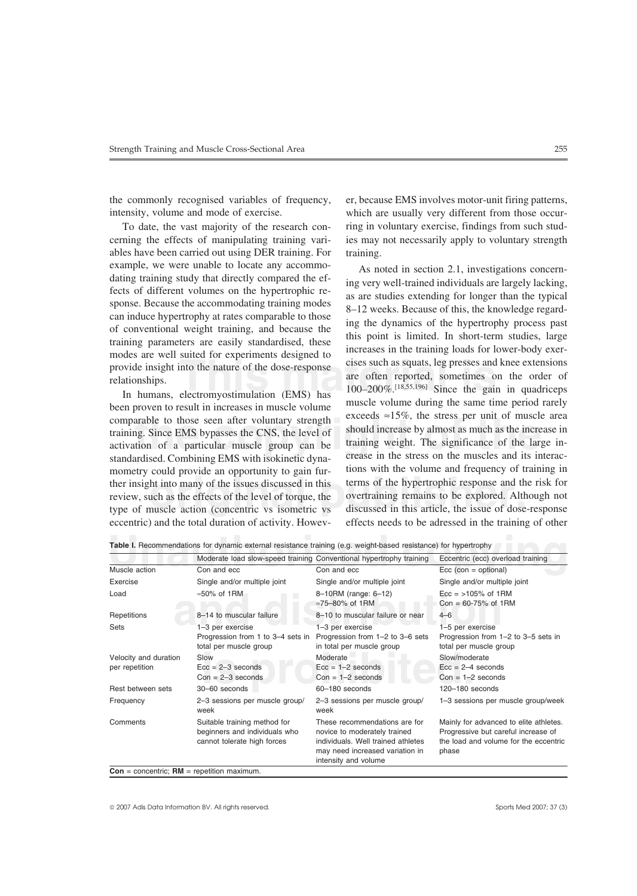cerning the effects of manipulating training vari- ies may not necessarily apply to voluntary strength ables have been carried out using DER training. For training.

training. Since EMS bypasses the CNS, the level of<br>
activation of a particular muscle group can be training weight. The significance of the large in-<br>
standardised Combining EMS with isokinetic dyna<br>
streamed in the stress ther insight into many of the issues discussed in this terms of the hypertrophic response and the risk for review, such as the effects of the level of torque, the overtraining remains to be explored. Although not type of m standardised. Combining EMS with isokinetic dyna-<br>mometry could provide an opportunity to gain fur-<br>tions with the volume and frequency of training in mometry could provide an opportunity to gain furreview, such as the effects of the level of torque, the overtraining remains to be explored. Although not type of muscle action (concentric vs isometric vs discussed in this article, the issue of dose-response eccentric) and the total duration of activity. Howev- effects needs to be adressed in the training of other

the commonly recognised variables of frequency, er, because EMS involves motor-unit firing patterns, intensity, volume and mode of exercise. which are usually very different from those occur-To date, the vast majority of the research con- ring in voluntary exercise, findings from such stud-

modes are well suited for experiments designed to<br>provide insight into the nature of the dose-response<br>relationships.<br>In humans, electromyostimulation (EMS) has<br>have  $100-200\%$ <sup>[18,55,196]</sup> Since the gain in quadriceps<br>ha example, we were unable to locate any accommo-<br>
As noted in section 2.1, investigations concern-<br>
dating training study that directly compared the ef-<br>
frects of different volumes on the hypertrophic re-<br>
sponse. Because

|                                         |                                                                                              | Moderate load slow-speed training Conventional hypertrophy training                                                                                            | Eccentric (ecc) overload training                                                                                               |
|-----------------------------------------|----------------------------------------------------------------------------------------------|----------------------------------------------------------------------------------------------------------------------------------------------------------------|---------------------------------------------------------------------------------------------------------------------------------|
| Muscle action                           | Con and ecc                                                                                  | Con and ecc                                                                                                                                                    | $\text{Ecc}$ (con = optional)                                                                                                   |
| Exercise                                | Single and/or multiple joint                                                                 | Single and/or multiple joint                                                                                                                                   | Single and/or multiple joint                                                                                                    |
| Load                                    | $\approx$ 50% of 1RM                                                                         | 8-10RM (range: 6-12)<br>$\approx$ 75-80% of 1RM                                                                                                                | $Ecc = 105\% \text{ of } 1 \text{RM}$<br>$Con = 60-75%$ of 1RM                                                                  |
| Repetitions                             | 8-14 to muscular failure                                                                     | 8-10 to muscular failure or near                                                                                                                               | $4 - 6$                                                                                                                         |
| Sets                                    | 1-3 per exercise<br>Progression from 1 to 3-4 sets in<br>total per muscle group              | 1-3 per exercise<br>Progression from 1-2 to 3-6 sets<br>in total per muscle group                                                                              | 1-5 per exercise<br>Progression from 1-2 to 3-5 sets in<br>total per muscle group                                               |
| Velocity and duration<br>per repetition | Slow<br>$Ecc = 2-3$ seconds<br>$Con = 2-3$ seconds                                           | Moderate<br>$\text{Ecc} = 1-2$ seconds<br>$Con = 1-2$ seconds                                                                                                  | Slow/moderate<br>$Ecc = 2-4$ seconds<br>$Con = 1-2$ seconds                                                                     |
| Rest between sets                       | 30-60 seconds                                                                                | $60-180$ seconds                                                                                                                                               | $120 - 180$ seconds                                                                                                             |
| Frequency                               | 2-3 sessions per muscle group/<br>week                                                       | 2-3 sessions per muscle group/<br>week                                                                                                                         | 1-3 sessions per muscle group/week                                                                                              |
| Comments                                | Suitable training method for<br>beginners and individuals who<br>cannot tolerate high forces | These recommendations are for<br>novice to moderately trained<br>individuals. Well trained athletes<br>may need increased variation in<br>intensity and volume | Mainly for advanced to elite athletes.<br>Progressive but careful increase of<br>the load and volume for the eccentric<br>phase |

**Table I.** Recommendations for dynamic external resistance training (e.g. weight-based resistance) for hypertrophy

**Con** = concentric; **RM** = repetition maximum.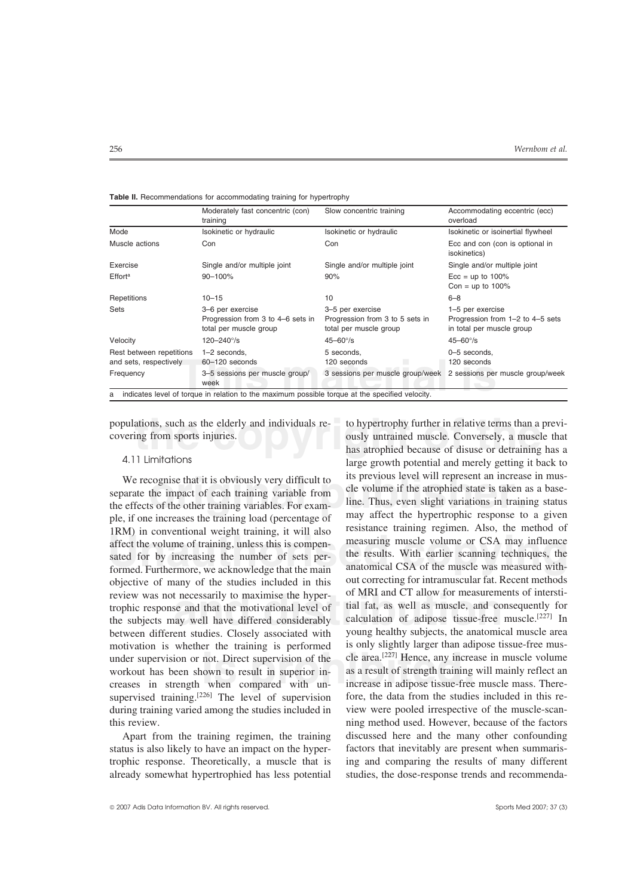| Table II. Recommendations for accommodating training for hypertrophy |  |  |  |  |
|----------------------------------------------------------------------|--|--|--|--|
|----------------------------------------------------------------------|--|--|--|--|

|                          | Moderately fast concentric (con)<br>training                                                    | Slow concentric training                                                      | Accommodating eccentric (ecc)<br>overload                                         |
|--------------------------|-------------------------------------------------------------------------------------------------|-------------------------------------------------------------------------------|-----------------------------------------------------------------------------------|
| Mode                     | Isokinetic or hydraulic                                                                         | Isokinetic or hydraulic                                                       | Isokinetic or isoinertial flywheel                                                |
| Muscle actions           | Con                                                                                             | Con                                                                           | Ecc and con (con is optional in<br>isokinetics)                                   |
| Exercise                 | Single and/or multiple joint                                                                    | Single and/or multiple joint                                                  | Single and/or multiple joint                                                      |
| Effort <sup>a</sup>      | 90-100%                                                                                         | 90%                                                                           | $Ecc = up to 100\%$<br>Con = up to $100\%$                                        |
| Repetitions              | $10 - 15$                                                                                       | 10                                                                            | $6 - 8$                                                                           |
| Sets                     | 3-6 per exercise<br>Progression from 3 to 4-6 sets in<br>total per muscle group                 | 3-5 per exercise<br>Progression from 3 to 5 sets in<br>total per muscle group | 1-5 per exercise<br>Progression from 1-2 to 4-5 sets<br>in total per muscle group |
| Velocity                 | $120 - 240^{\circ}/s$                                                                           | $45 - 60^{\circ}/s$                                                           | $45 - 60^{\circ}/s$                                                               |
| Rest between repetitions | 1-2 seconds,                                                                                    | 5 seconds,                                                                    | 0-5 seconds,                                                                      |
| and sets, respectively   | 60-120 seconds                                                                                  | 120 seconds                                                                   | 120 seconds                                                                       |
| Frequency                | 3-5 sessions per muscle group/<br>week                                                          |                                                                               | 3 sessions per muscle group/week 2 sessions per muscle group/week                 |
| a                        | indicates level of torque in relation to the maximum possible torque at the specified velocity. |                                                                               |                                                                                   |

TRW) in conventional weight daning, it win also<br>affect the volume of training, unless this is compen-<br>sated for by increasing the number of sets per-<br>formed. Furthermore, we acknowledge that the main<br>anatomical CSA of the **and the subjects may well have differed considerably** the subjects may well have differed considerably calculation of adipose tissue-free muscle.<sup>[227]</sup> In hetween different studies. Closely associated with voung healthy under supervision or not. Direct supervision of the clearea.<sup>[227]</sup> Hence, any increase in muscle volume<br>workout has been shown to result in superior in-<br>crease a result of strength training will mainly reflect an<br>creases separate the impact of each training variable from<br>the effects of the other training variables. For exam-<br>ple, if one increases the training load (percentage of may affect the hypertrophic response to a given<br>iRM) in conve sated for by increasing the number of sets per-<br>the results. With earlier scanning techniques, the formed. Furthermore, we acknowledge that the main anatomical CSA of the muscle was measured with-<br>objective of many of the studies included in this out correcting for intramuscular fat. Recent methods objective of many of the studies included in this review was not necessarily to maximise the hyper-<br>trophic response and that the motivational level of tial fat, as well as muscle, and consequently for trophic response and that the motivational level of between different studies. Closely associated with young healthy subjects, the anatomical muscle area motivation is whether the training is performed is only slightly larger than adipose tissue-free musmotivation is whether the training is performed under supervision or not. Direct supervision of the workout has been shown to result in superior insupervised training.  $[226]$  The level of supervision during training varied among the studies included in view were pooled irrespective of the muscle-scanthis review. ning method used. However, because of the factors

already somewhat hypertrophied has less potential studies, the dose-response trends and recommenda-

ations, such as the elderly and individuals re-<br>
to hypertrophy further in relative terms than a previ-<br>
ously untrained muscle. Conversely, a muscle that<br>
has atrophied because of disuse or detraining has a We recognise that it is obviously very difficult to<br>separate the impact of each training variable from<br>the effects of the other training variables. For exam-<br>ple, if one increases the training load (percentage of may affec populations, such as the elderly and individuals re- to hypertrophy further in relative terms than a previcovering from sports injuries.  $\Box$  ously untrained muscle. Conversely, a muscle that 4.11 Limitations large growth potential and merely getting it back to its previous level will represent an increase in musincrease in adipose tissue-free muscle mass. There-Apart from the training regimen, the training discussed here and the many other confounding status is also likely to have an impact on the hyper- factors that inevitably are present when summaristrophic response. Theoretically, a muscle that is ing and comparing the results of many different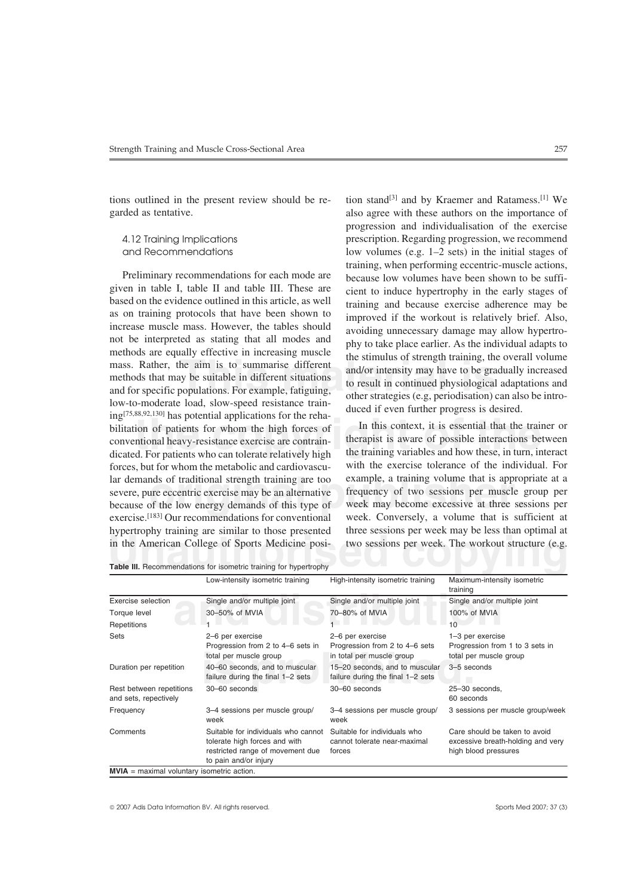methods are equally elective in increasing muscle<br>mass. Rather, the aim is to summarise different<br>methods that may be suitable in different situations<br>and/or intensity may have to be gradually increased<br>to result in contin ing<sup>[75,88,92,130]</sup> has potential applications for the reha-<br>bilitation of patients for whom the high forces of<br>conventional heavy-resistance exercise are contrain-<br>dicated. For patients who can tolerate relatively high<br>th nds of traditional strength training are too<br>integral publishers are the community of two sessions per muscle<br>of the low energy demands of this type of<br>two sessions per muscle got the low energy demands of this type of<br>the In the American College of Sports Medicine posi-<br>in the American College of Sports Medicine posi-<br>**Table III.** Recommendations for isometric training for hypertrophy given in table I, table II and table III. These are<br>based on the evidence outlined in this article, as well<br>as on training protocols that have been shown to<br>increase muscle mass. However, the tables should<br>increase muscle bilitation of patients for whom the high forces of conventional heavy-resistance exercise are contraindicated. For patients who can tolerate relatively high forces, but for whom the metabolic and cardiovascu-<br>lar demands of traditional strength training are too example, a training volume that is appropriate at a lar demands of traditional strength training are too severe, pure eccentric exercise may be an alternative frequency of two sessions per muscle group per because of the low energy demands of this type of week may become excessive at three sessions per exercise.<sup>[183]</sup> Our recommendations for conventional week. Conversely, a volume that is sufficient at hypertrophy training are similar to those presented three sessions per week may be less than optimal at

tions outlined in the present review should be re-<br>tion stand<sup>[3]</sup> and by Kraemer and Ratamess.<sup>[1]</sup> We garded as tentative. Also agree with these authors on the importance of progression and individualisation of the exercise 4.12 Training Implications prescription. Regarding progression, we recommend and Recommendations low volumes (e.g. 1–2 sets) in the initial stages of training, when performing eccentric-muscle actions, Preliminary recommendations for each mode are because low volumes have been shown to be suffi-<br>given in table I, table II and table III. These are clear to induce by pertrophy in the early stages of

|                                                   | Low-intensity isometric training                                                                                                  | High-intensity isometric training                                               | Maximum-intensity isometric<br>training                                                    |
|---------------------------------------------------|-----------------------------------------------------------------------------------------------------------------------------------|---------------------------------------------------------------------------------|--------------------------------------------------------------------------------------------|
| Exercise selection                                | Single and/or multiple joint                                                                                                      | Single and/or multiple joint                                                    | Single and/or multiple joint                                                               |
| Torque level                                      | 30-50% of MVIA                                                                                                                    | 70-80% of MVIA                                                                  | 100% of MVIA                                                                               |
| Repetitions                                       |                                                                                                                                   |                                                                                 | 10                                                                                         |
| Sets                                              | 2–6 per exercise<br>Progression from 2 to 4–6 sets in<br>total per muscle group                                                   | 2-6 per exercise<br>Progression from 2 to 4–6 sets<br>in total per muscle group | 1-3 per exercise<br>Progression from 1 to 3 sets in<br>total per muscle group              |
| Duration per repetition                           | 40-60 seconds, and to muscular<br>failure during the final 1-2 sets                                                               | 15-20 seconds, and to muscular<br>failure during the final 1-2 sets             | 3-5 seconds                                                                                |
| Rest between repetitions<br>and sets, repectively | 30-60 seconds                                                                                                                     | 30-60 seconds                                                                   | 25-30 seconds,<br>60 seconds                                                               |
| Frequency                                         | 3-4 sessions per muscle group/<br>week                                                                                            | 3-4 sessions per muscle group/<br>week                                          | 3 sessions per muscle group/week                                                           |
| Comments                                          | Suitable for individuals who cannot<br>tolerate high forces and with<br>restricted range of movement due<br>to pain and/or injury | Suitable for individuals who<br>cannot tolerate near-maximal<br>forces          | Care should be taken to avoid<br>excessive breath-holding and very<br>high blood pressures |
| $MVIA =$ maximal voluntary isometric action.      |                                                                                                                                   |                                                                                 |                                                                                            |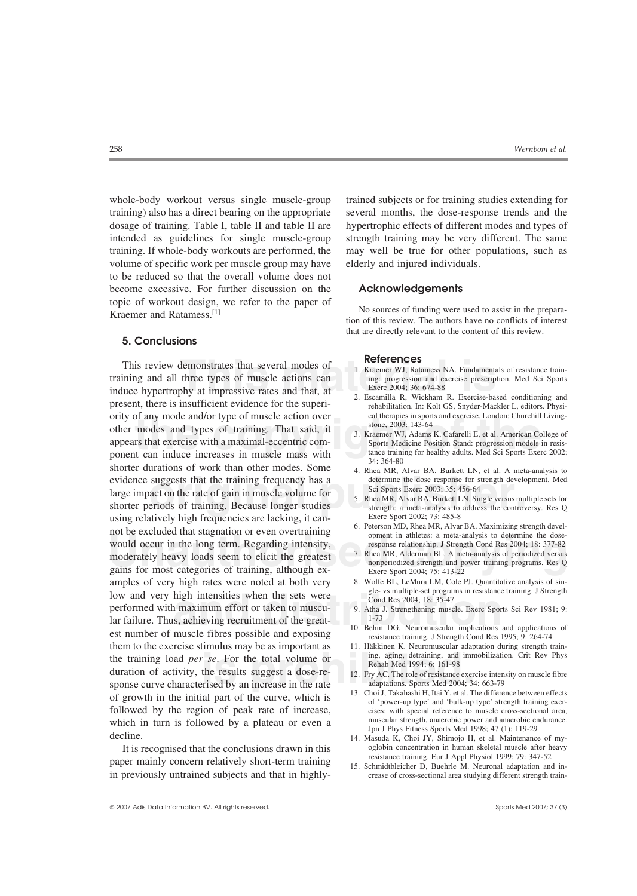volume of specific work per muscle group may have elderly and injured individuals. to be reduced so that the overall volume does not become excessive. For further discussion on the **Acknowledgements** topic of workout design, we refer to the paper of No sources of funding were used to assist in the prepara-<br>Kraemer and Ratamess.<sup>[1]</sup>

### **5. Conclusions**

demonstrates that several modes of<br>three types of muscle actions can<br>ing: progression and exercise prescript<br>Exerce 2004; 36: 674-88<br>Lexercise prescription and exercise prescript<br> $\frac{\text{Exerc 2004; 36: 674-88}}{2}$ <br>Escamilla R, The carterior of the contract of the contract of the contract of the copyright of the copyright of the copyright of the copyright of the contract of the contract of the contract of the contract of the contract of the contr evidence suggests that the training frequency has a<br>large impact on the rate of gain in muscle volume for<br>shorter periods of training. Because longer studies<br>with a material of the secure of the secure of training. Because would occur in the long term. Regarding intensity,<br>moderately heavy loads seem to elicit the greatest<br>gains for most categories of training, although ex-<br>Exerce Sport 2004; 75: 413-22 high intensities when the sets were<br>
a maximum effort or taken to muscu-<br> **and Res 2004**; 18:35-47<br> **and Res 2004**; 18:35-47<br> **and Res 2004**; 18:35-47<br> **and Res 2004**; 18:35-47<br> **and Res 2004**; 18:35-47<br> **10. Behm DG. Neur** the training load *per se*. For the total volume or<br>duration of activity, the results suggest a dose-re-<br>sponse curve characterised by an increase in the rate<br>alaphois. Sports Med 2004; 34: 663-79<br>alaphois. Sports Med 200 This review demonstrates that several modes of **References**<br>1. Kraemer WJ, Ratamess NA. Fundamentals of resistance traintraining and all three types of muscle actions can ing: progression and exercise prescription. Med Sci Sports induce hypertrophy at impressive rates and that, at<br>present, there is insufficient evidence for the superi-<br>ority of any mode and/or type of muscle action over<br>at the abilitation. In: Kolt GS, Snyder-Mackler L, editors. Ph ority of any mode and/or type of muscle action over cal therapies in sports and exercise. London: London: Churchill Living-Turchill Living-2003: 143-64 other modes and types of training. That said, it 3. Kraemer WJ, Adams K, Cafarelli E, et al. American College of appears that exercise with a maximal-eccentric com- Sports Medicine Position Stand: progression models in resisponent can induce increases in muscle mass with<br>shorter durations of work than other modes. Some<br>4. Rhea MR, Alvar BA, Burkett LN, et al. A meta-analysis to evidence suggests that the training frequency has a determine the dose response for strength development. Med<br>large important the mate of pain in ground coalumn for Sci Sports Exerc 2003; 35: 456-64 using relatively high frequencies are lacking, it can-<br>not be excluded that stagnation or even overtraining<br>would occur in the long term. Regarding intensity,<br>we response relationship. J Strength Cond Res 2004; 18: 377-82 would occur in the long term. Regarding intensity,<br>moderately begans to eligit the greatest 7. Rhea MR, Alderman BL. A meta-analysis of periodized versus moderately heavy loads seem to elicit the greatest 7. Rhea MR, Alderman BL. A meta-analysis of periodized versus nonperiodized strength and power training programs. Res Q<br>gains for most categories of training, although ex-<br>Exerc Sport 2004: 75: 413-22 amples of very high rates were noted at both very 8. Wolfe BL, LeMura LM, Cole PJ. Quantitative analysis of sin-<br>low and very high intensities when the sets were low and very high intensities when the sets were Cond Res 2004; 18: 35-47 performed with maximum effort or taken to muscu- 9. Atha J. Strengthening muscle. Exerc Sports Sci Rev 1981; 9: lar failure. Thus, achieving recruitment of the great-<br>est number of muscle fibres possible and exposing<br>and exposing<br>the DG. Neuromuscular implications and applications of<br>resistance training. J Strength Cond Res 1995; 9: them to the exercise stimulus may be as important as 11. Häkkinen K. Neuromuscular adaptation during strength train-<br>the training load nex se. For the total volume or ing, aging, detraining, and immobilization. Crit Rev Ph sponse curve characterised by an increase in the rate adaptations. Sports Med 2004; 34: 663-79<br>of growth in the initial part of the curve, which is<br>followed by the region of peak rate of increase,<br>followed by the region of followed by the region of peak rate of increase, cises: with special reference to muscle cross-sectional area, which in turn is followed by a plateau or even a muscular strength, anaerobic power and anaerobic endurance. which in turn is followed by a plateau or even a muscular strength, anaerobic power and anaerobic enduration of the M<sub>pp</sub> J Phys Fitness Sports Med 1998; 47 (1): 119-29 decline.<br>14. Masuda K, Choi JY, Shimojo H, et al. Maintenance of my-

It is recognised that the conclusions drawn in this oglobin concentration in human skeletal muscle after heavy<br>paper mainly concern relatively short-term training 15. Schmidtbleicher D, Buehrle M. Neuronal adaptation and i

whole-body workout versus single muscle-group trained subjects or for training studies extending for training) also has a direct bearing on the appropriate several months, the dose-response trends and the dosage of training. Table I, table II and table II are hypertrophic effects of different modes and types of intended as guidelines for single muscle-group strength training may be very different. The same training. If whole-body workouts are performed, the may well be true for other populations, such as

tion of this review. The authors have no conflicts of interest that are directly relevant to the content of this review.

- 
- 
- 
- 
- 
- 
- 
- 
- 
- 
- 
- 
- 
- 
- in previously untrained subjects and that in highly- crease of cross-sectional area studying different strength train-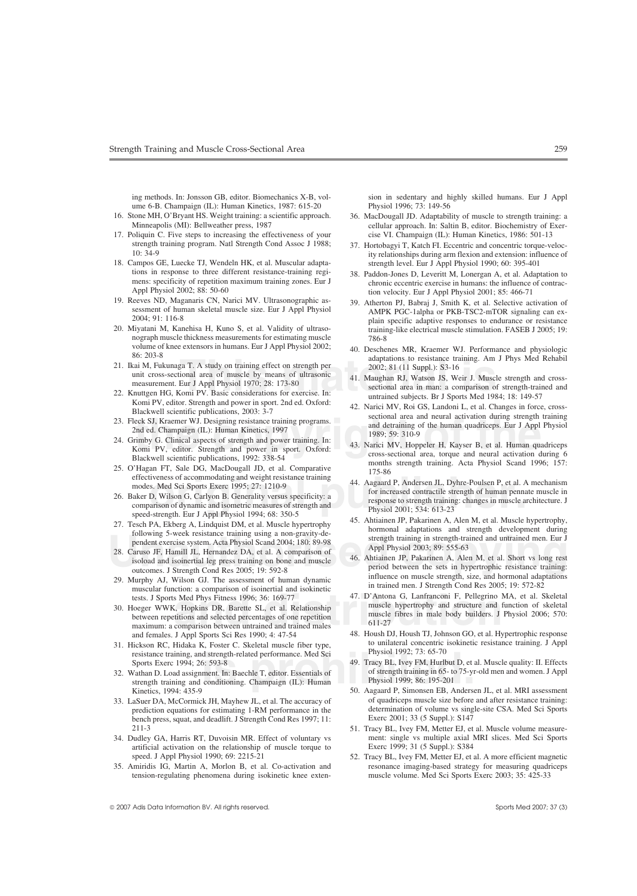ume 6-B. Champaign (IL): Human Kinetics, 1987: 615-20

- 
- strength training program. Natl Strength Cond Assoc J 1988; 37. Hortobagyi T, Katch FI. Eccentric and concentric torque-veloc-<br>
10: 34-9<br>
ity relationships during arm flavion and axtension; influence of
- 18. Campos GE, Luecke TJ, Wendeln HK, et al. Muscular adaptations in response to three different resistance-training regi-
- 
- 20. Miyatani M, Kanehisa H, Kuno S, et al. Validity of ultrasonograph muscle thickness measurements for estimating muscle<br>volume of knee extensors in humans. Eur J Appl Physiol 2002;  $\frac{40 \text{ Deeshe}}{200}$
- 
- 
- 
- 
- 
- 
- 
- 
- 
- 
- 
- 1. Hickson RC, Hidaka K, Foster C. Skeletal muscle fiber type, to unilateral concentric resistance training, and strength-related performance. Med Sci Physiol 1992; 73: 65-70
- **is propertion** is property and strength-related performance. Med Sci Sports Exerc 1994; 26: 593-8<br>
Sports Exerc 1994; 26: 593-8<br> **is property and conditioning.** Champaign (IL): Human Physiol 1999; 86: 195-201<br> **is propert** 32. Wathan D. Load assignment. In: Baechle T, editor. Essentials of of strength training in 65- to strength training and conditioning. Champaign (IL): Human Physiol 1999; 86: 195-201
- prediction equations for estimating 1-RM performance in the determination of volume vs sing<br>bench press. squat. and deadlift. J Strength Cond Res 1997: 11: Exerc 2001; 33 (5 Suppl.): S147 bench press, squat, and deadlift. J Strength Cond Res 1997; 11: 211-3
- 34. Dudley GA, Harris RT, Duvoisin MR. Effect of voluntary vs ment: single vs multiple axial artificial activation on the relationship of muscle torque to Exerc 1999; 31 (5 Suppl.): S384 artificial activation on the relationship of muscle torque to speed. J Appl Physiol 1990; 69: 2215-21
- 

2007 Adis Data Information BV. All rights reserved. Sports Med 2007; 37 (3)

ing methods. In: Jonsson GB, editor. Biomechanics X-B, vol-<br>
ume 6-B. Champaign (IL): Human Kinetics, 1987: 615-20<br>
Physiol 1996; 73: 149-56

- 16. Stone MH, O'Bryant HS. Weight training: a scientific approach. 36. MacDougall JD. Adaptability of muscle to strength training: a Minneapolis (MI): Bellweather press, 1987 cellular approach. In: Saltin B, editor. Bioche cellular approach. In: Saltin B, editor. Biochemistry of Exer-17. Poliquin C. Five steps to increasing the effectiveness of your cise VI. Champaign (IL): Human Kinetics, 1986: 501-13
	- ity relationships during arm flexion and extension: influence of strength level. Eur J Appl Physiol 1990; 60: 395-401
- tions in response to three different resistance-training regi-<br>mens: specificity of repetition maximum training zones. Eur J<br>Appl Physiol 2002; 88: 50-60<br>https://www.farger.org/entric exercise in humans: the influence of c Appl Physiol 2002; 88: 50-60 tion velocity. Eur J Appl Physiol 2001; 85: 466-71<br>19. Reeves ND, Maganaris CN, Narici MV. Ultrasonographic as-<br>20. Atherton PL Robroi J, Smith K, at al. Salective co
	- Reeves ND, Maganaris CN, Narici MV. Ultrasonographic as-<br>
	2004; 91: 116-8<br>
	2004; 91: 116-8<br>
	2004; 91: 116-8<br>
	2004; 91: 116-8<br>
	2004; 91: 116-8<br>
	2004; 91: 116-8<br>
	2004; 91: 116-8<br>
	2004; 91: 116-8<br>
	2004; 91: 116-8<br>
	2004; 91: 1
		-
- 86: 203-8<br>
21. Ikai M, Fukunaga T. A study on training effect on strength per<br>
unit cross-sectional area of muscle by means of ultrasonic<br>
measurement. Eur J Appl Physiol 1970; 28: 173-80<br>
22. Knuttgen HG, Komi PV. Basic c
- Blackwell scientific publications, 2003: 3-7<br>
23. Fleek SJ, Kraemer WJ. Designing resistance training programs.<br>
24. Natici MV, Not GS, Landoln L, et al. Changes in force, closs-<br>
24. Grimby G. Clinical aspects of strength
	-
- iveness of accommodating and weight resistance training<br>
s. Med Sci Sports Exerc 1995; 27: 1210-9<br>
D. Wilson G. Carlyon B. Generality versus specificity: a<br>
arison of dynamic and isometric measures of strength and<br>
arison volume of knee extensors in humans. Ear J Appl Physiol 2002:<br>
20. extensors MR, Kneamer W. Performance and physiological<br>
21. Ikai M, Fukungan T, A study on training effect on strength per constrained and physiological<br>
20
	-
- France Colombing S-week resistance training using a non-gravity-de-<br>
28. Caruso JF, Hernandez DA, et al. A comparison of<br>
isoload and isoinertial leg press training on bone and muscle<br>
28. Caruso JF, Hernandez DA, et al. A
- muscular function: a comparison of isoinertial and isokinetic<br>tests. J Sports Med Phys Fitness 1996; 36: 169-77<br>30. Hoeger WWK, Hopkins DR, Barette SL, et al. Relationship<br>buttom and selected percentinges of one repetition
	- 48. Housh DJ, Housh TJ, Johnson GO, et al. Hypertrophic response to unilateral concentric isokinetic resistance training. J Appl
	- Sports Exerc 1994; 26: 593-8<br>Vathan D. Load assignment. In: Baechle T, editor. Essentials of of strength training in 65- to 75-yr-old men and women. J Appl
- Kinetics, 1994: 435-9<br>
S0. Aagaard P, Simonsen EB, Andersen JL, et al. MRI assessment<br>
of quadricens muscle size before and after resistance training: 33. LaSuer DA, McCormick JH, Mayhew JL, et al. The accuracy of of quadriceps muscle size before and after resistance training:<br>orediction equations for estimating 1-RM performance in the determination of volume vs single-s
	- 51. Tracy BL, Ivey FM, Metter EJ, et al. Muscle volume measure-<br>ment: single vs multiple axial MRI slices. Med Sci Sports
- 52. Tracy BL, Ivey FM, Metter EJ, et al. A more efficient magnetic 35. Amiridis IG, Martin A, Morlon B, et al. Co-activation and resonance imaging-based strategy for measuring quadriceps tension-regulating phenomena during isokinetic knee exten- muscle volume. Med Sci Sports Exerc 2003; 35: 425-33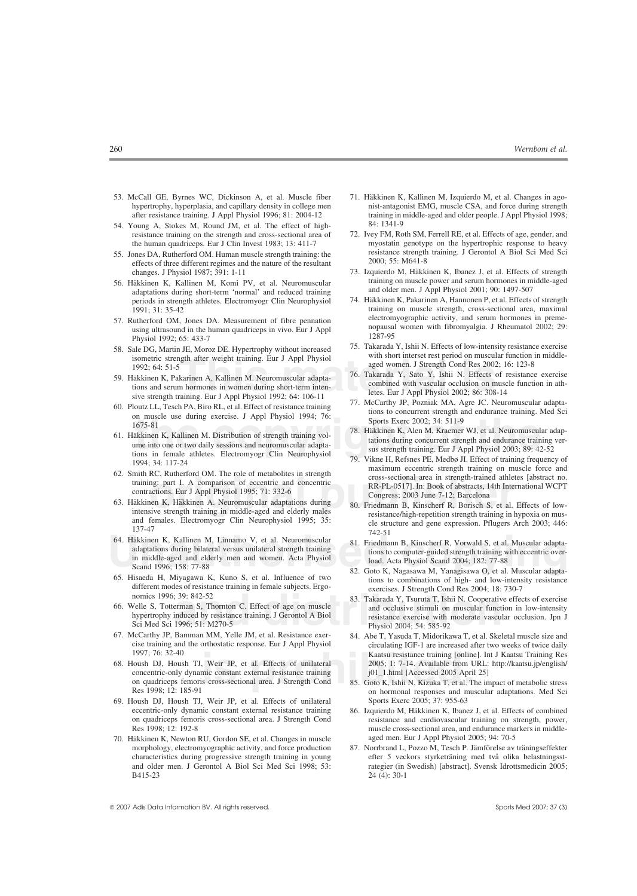- hypertrophy, hyperplasia, and capillary density in college men after resistance training. J Appl Physiol 1996; 81: 2004-12
- 54. Young A, Stokes M, Round JM, et al. The effect of high-<br>resistance training on the strength and cross-sectional area of 72. Ivev FM, Roth SM, Ferrell RE, et al. Effects of age, gender, and resistance training on the strength and cross-sectional area of
- 55. Jones DA, Rutherford OM. Human muscle strength training: the resistance strength effects of three different regimes and the nature of the resultant 2000; 55: M641-8 changes. J Physiol 1987; 391: 1-11 73. Izquierdo M, H
- 56. Häkkinen K, Kallinen M, Komi PV, et al. Neuromuscular and polynomial training on muscle power and serum hormones in middle-aged<br>adaptations during short-term 'normal' and reduced training and older men. J Appl Physiol periods in strength athletes. Electromyogr Clin Neurophysiol
- 57. Rutherford OM, Jones DA. Measurement of fibre pennation<br>using ultrasound in the human quadriceps in vivo. Eur J Appl<br>Physiol 1992; 65: 433-7<br>Physiol 1992; 65: 433-7<br>58. Sale DG Martin IE Moroz DE Hypertrophy without in
- 58. Sale DG, Martin JE, Moroz DE. Hypertrophy without increased
- 36. Sate De, Matth 3*L*, Motoz D. Hypertrophy whilout increased<br>
isometric strength after weight training. Eur J Appl Physiol<br>
1992; 64: 51-5<br>
59. Häkkinen K, Pakarinen A, Kallinen M. Neuromuscular adapta-<br>
59. Häkkinen K,
- 
- For FA, BIO NL, et al. Elect of teststatic dating<br>
on muscle use during exercise. J Appl Physiol 1994; 76:<br>
1675-81<br> **the copyright of the copyright of the copyright of the copyright of the copyright of the copyright of th**
- 
- 
- 64. Häkkinen K, Kallinen M, Linnamo V, et al. Neuromuscular adapta-<br>adaptations during bilateral versus unilateral strength training<br>in middle-aged and elderly men and women. Acta Physiol<br>Scand 1996; 158: 77-88<br>Scand 1996; 64. Häkkinen K, Kallinen M, Linnamo V, et al. Neuromuscular<br>
adaptations during bilateral versus unilateral strength training<br>
in middle-aged and elderly men and women. Acta Physiol<br>
Scand 1996; 158: 77-88<br>
Scand 1996; 158
- 
- 66. Welle S, Totterman S, Thornton C. Effect of age on muscle Sci Med Sci 1996; 51: M270-5
- 
- **is a Kaatsu resistance training [online**<br> **is constant external resistance training**<br> **is cross-sectional area. J Strength Cond 85. Goto K, Ishit N, Kizuka T, et al. TI<br>
<b>is cross-sectional area. J Strength Cond 85. Goto** 68. Housh DJ, Housh TJ, Weir JP, et al. Effects of unilateral 2005; 1: 7-14. Available from URL: concentric-only dynamic constant external resistance training  $j01$ \_l.html [Accessed 2005 April 25] concentric-only dynamic constant external resistance training j01\_1.html [Accessed 2005 April 25]
- 69. Housh DJ, Housh TJ, Weir JP, et al. Effects of unilateral Sports Exerc 2005; 37: 955-63
- 70. Häkkinen K, Newton RU, Gordon SE, et al. Changes in muscle morphology, electromyographic activity, and force production 87. Norrbrand L, Pozzo M, Tesch P. Jämförelse av träningseffekter B415-23 24 (4): 30-1
- 53. McCall GE, Byrnes WC, Dickinson A, et al. Muscle fiber 71. Häkkinen K, Kallinen M, Izquierdo M, et al. Changes in agohypertrophy, hyperplasia, and capillary density in college men inst-antagonist EMG, muscle CSA, and training in middle-aged and older people. J Appl Physiol 1998;
	- the human quadriceps. Eur J Clin Invest 1983; 13: 411-7 myostatin genotype on the hypertrophic response to heavy<br>
	ones DA Rutherford OM Human muscle strength training the resistance strength training. J Gerontol A Biol Sci
		- 73. Izquierdo M, Häkkinen K, Ibanez J, et al. Effects of strength training on muscle power and serum hormones in middle-aged
	- 1991; 31: 35-42<br>
	training on muscle strength, cross-sectional area, maximal<br>
	electromyographic activity, and serum hormones in preme-
		-
		-
- 59. Häkkinen K, Pakarinen A, Kallinen M. Neuromuscular adapta-<br>
tions and serum hormones in women during short-term inten-<br>
sive strength training. Eur J Appl Physiol 1992; 64: 106-11<br>
60. Ploutz LL, Tesch PA, Biro RL, et
	-
- From The Russian School and School and School and School and School are intensive section and From K. Häkkinen K. Häkkinen A. Neuromuscular adaptations during a minimal excelsional are in strength training: part I. A compa 1. Häkkinen K, Kallinen M. Distribution of strength training volume into one or two daily sessions and neuromuscular adaptations during concurred training colume into one or two daily sessions and neuromuscular adaptation
	-
	-
	-
- different modes of resistance training in female subjects. Ergo-<br>
nomics 1996; 39: 842-52<br>
and S. Toterman S. Thornton C. Effect of age on muscle<br>
and occlusive stimuli on muscular function in low-intensity<br>
hypertrophy in resistance exercise with moderate vascular occlusion. Jpn J
	- 67. McCarthy JP, Bamman MM, Yelle JM, et al. Resistance exer- 84. Abe T, Yasuda T, Midorikawa T, et al. Skeletal muscle size and cise training and the orthostatic response. Eur J Appl Physiol circulating IGF-1 are increased after two weeks of twice daily<br>1997; 76: 32-40 Kaatsu resistance training [online]. Int J Kaatsu Training Res Kaatsu resistance training [online]. Int J Kaatsu Training Res<br>2005; 1: 7-14. Available from URL: http://kaatsu.jp/english/
	- on quadriceps femoris cross-sectional area. J Strength Cond 85. Goto K, Ishii N, Kizuka T, et al. The impact of metabolic stress<br>Res 1998: 12: 185-91 on hormonal responses and muscular adaptations. Med Sci on hormonal responses and muscular adaptations. Med Sci
	- eccentric-only dynamic constant external resistance training 86. Izquierdo M, Häkkinen K, Ibanez J, et al. Effects of combined on quadriceps femoris cross-sectional area. J Strength Cond resistance and cardiovascular train on quadriceps femoris cross-sectional area. J Strength Cond resistance and cardiovascular training on strength, power, muscle cross-sectional area, and endurance markers in middle-<br>aged men. Eur J Appl Physiol 2005; 94: 70-5
	- characteristics during progressive strength training in young efter 5 veckors styrketräning med två olika belastningsstand older men. J Gerontol A Biol Sci Med Sci 1998; 53: rategier (in Swedish) [abstract]. Svensk Idrottsmedicin 2005;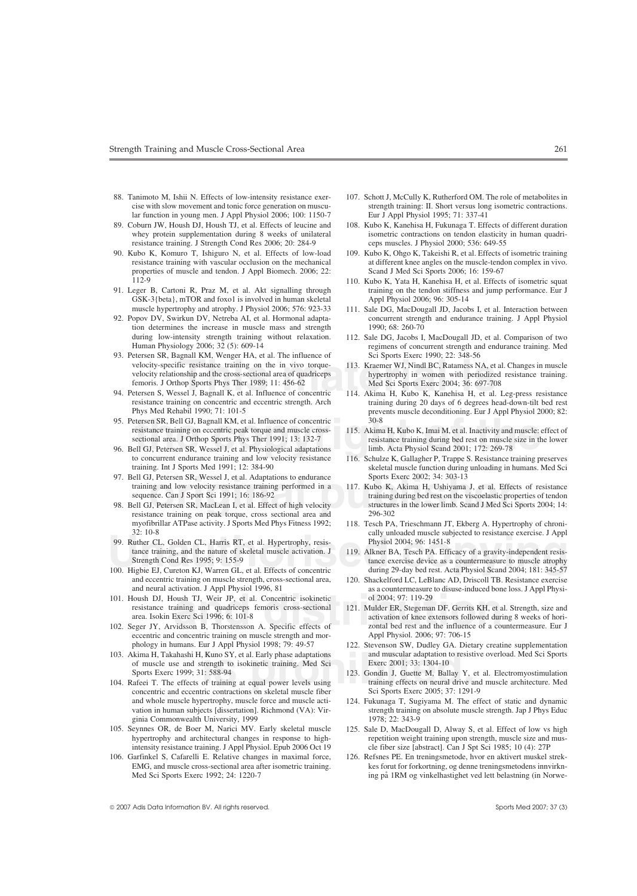- lar function in young men. J Appl Physiol 2006; 100: 1150-7
- resistance training. J Strength Cond Res 2006; 20: 284-9
- properties of muscle and tendon. J Appl Biomech. 2006; 22: 112-9 110. Kubo K, Yata H, Kanehisa H, et al. Effects of isometric squat
- GSK-3{beta}, mTOR and foxo1 is involved in human skeletal muscle hypertrophy and atrophy. J Physiol 2006; 576: 923-33
- tion determines the increase in muscle mass and strength
- 93. Petersen SR, Bagnall KM, Wenger HA, et al. The influence of Sci Sports Exerc 1990; 22: 348-56<br>
velocity-specific resistance training on the in vivo torque-<br>
velocity relationship and the cross-sectional area of quadric 93. Petersen SR, Bagnall KM, Wenger HA, et al. The influence of femoris. J Orthop Sports Phys Ther 1989; 11: 456-62
- 
- 95. Petersen SR, Bell GJ, Bagnall KM, et al. Influence of concentric and muscle copyright of the contribution of the copyright of the copyright of the copyright of the copyright of the copyright of the copyright of the cop
- 96. Bell GJ, Petersen SR, Wessel J, et al. Physiological adaptations limb. Acta Physiol Scand 2001; 172: 269-78
- 97. Bell GJ, Petersen SR, Wessel J, et al. Adaptations to endurance
- 98. Bell GJ, Petersen SR, MacLean I, et al. Effect of high velocity resistance training on peak torque, cross sectional area and myofibrillar ATPase activity. J Sports Med Phys Fitness 1992; 118. Tesch PA, Trieschmann JT, Ekberg A. Hypertrophy of chroni-<br>32: 10-8 cally unloaded muscle subjected to resistance exercise J Appl
- University of U.S. Higher CL, Golden CL, Harris RT, et al. Hypertrophy, resis-<br>
tance training, and the nature of skeletal muscle activation. J<br>
the TBA, Tesch PA. Efficacy of a gravity-independent resis-<br>
Strength Cond Re 99. Ruther CL, Golden CL, Harris RT, et al. Hypertrophy, resis- Physiol 2004; 96: 1451-8
- and eccentric training on muscle strength, cross-sectional area, 120. Shackelford LC, LeBlanc AD, Driscoll TB. Resistance exercise<br>and neural activation. J Appl Physiol 1996, 81 as a countermeasure to disuse-induced bone l
- 101. Housh DJ, Housh TJ, Weir JP, et al. Concentric isokinetic ol 2004; 97: 119-29<br>
resistance training and quadriceps femoris cross-sectional<br>
102. Seger JY, Arvidsson B, Thorstensson A. Specific effects of<br>
102. Seger JY
- 102. Seger JY, Arvidsson B, Thorstensson A. Specific effects of zontal bed rest and the influence of a concentric training on muscle strength and mor-<br>Appl Physiol. 2006; 97: 706-15 eccentric and concentric training on muscle strength and morphology in humans. Eur J Appl Physiol 1998; 79: 49-57
- **is Alternative Sylve ST, et al. Early phase adaptations** and muscular adaptation to resistive training. Med Sci<br>
123. Gondin J, Guette M, Ballay Y, Caption is a training at equal power levels using<br>
123. Gondin J, Guette 103. Akima H, Takahashi H, Kuno SY, et al. Early phase adaptations and muscular adaptation to resist of muscle use and strength to isokinetic training. Med Sci Exerc 2001; 33: 1304-10 of muscle use and strength to isokinetic training. Med Sci Sports Exerc 1999; 31: 588-94
- concentric and eccentric contractions on skeletal muscle fiber Sci Sports Exerc 2005; 37: 1291-9 and whole muscle hypertrophy, muscle force and muscle acti-<br>vation and M. The effect of static and dynamic vation in human subjects [dissertation]. Richmond (VA): Vir-<br>strength training on absolute muscle strength. Jap J P ginia Commonwealth University, 1999<br>105. Seynnes OR, de Boer M, Narici MV. Early skeletal muscle
- 
- 106. Garfinkel S, Cafarelli E. Relative changes in maximal force, 126. Refsnes PE. En treningsmetode, hvor en aktivert muskel strek-
- 89. Coburn JW, Housh DJ, Housh TJ, et al. Effects of leucine and 108. Kubo K, Kanehisa H, Fukunaga T. Effects of different duration whey protein supplementation during 8 weeks of unilateral isometric contractions on tendon isometric contractions on tendon elasticity in human quadriceps muscles. J Physiol 2000; 536: 649-55
- 90. Kubo K, Komuro T, Ishiguro N, et al. Effects of low-load 109. Kubo K, Ohgo K, Takeishi R, et al. Effects of isometric training resistance training with vascular occlusion on the mechanical at different knee angles on the muscle-tendon complex in vivo.<br>
properties of muscle and tendon. J Appl Biomech. 2006; 22: Scand J Med Sci Sports 2006; 16: 159-
- 91. Leger B, Cartoni R, Praz M, et al. Akt signalling through training on the tendon stiffness and jump performance. Eur J GSK-3{beta}, mTOR and foxol is involved in human skeletal Appl Physiol 2006; 96: 305-14
- 111. Sale DG, MacDougall JD, Jacobs I, et al. Interaction between 92. Popov DV, Swirkun DV, Netreba AI, et al. Hormonal adapta-<br>
tion determines the increase in muscle mass and strength 1990: 68: 260-70
	- during low-intensity strength training without relaxation. 112. Sale DG, Jacobs I, MacDougall JD, et al. Comparison of two<br>Human Physiology 2006; 32 (5): 609-14 regimens of concurrent strength and endurance training. Med regimens of concurrent strength and endurance training. Med
		- 113. Kraemer WJ, Nindl BC, Ratamess NA, et al. Changes in muscle hypertrophy in women with periodized resistance training.
	- 114. Akima H, Kubo K, Kanehisa H, et al. Leg-press resistance resistance training on concentric and eccentric strength. Arch training during 20 days of 6 degrees head-down-tilt bed rest<br>Phys Med Rehabil 1990: 71: 101-5<br>Phys Med Rehabil 1990: 71: 101-5 prevents muscle deconditioning. Eur J Appl Physiol 2000; 82:  $30-8$
	- resistance training on eccentric peak torque and muscle cross-<br>sesistance training A, Kubo K, Imai M, et al. Inactivity and muscle: effect of<br>sectional area. J Orthop Sports Phys Ther 1991; 13: 132-7<br>resistance training du resistance training during bed rest on muscle size in the lower
	- to concurrent endurance training and low velocity resistance 116. Schulze K, Gallagher P, Trappe S. Resistance training preserves training. Int J Sports Med 1991; 12: 384-90 skeletal muscle function during unloading in hum skeletal muscle function during unloading in humans. Med Sci
	- Form SR, Wessel J, et al. Adaptations to endurance<br>
	fraining and low velocity resistance training performed in a<br>
	sequence. Can J Sport Sci 1991; 16: 186-92<br>
	sequence. Can J Sport Sci 1991; 16: 186-92<br>
	reaining during duri 117. Kubo K, Akima H, Ushiyama J, et al. Effects of resistance training during bed rest on the viscoelastic properties of tendon
		- cally unloaded muscle subjected to resistance exercise. J Appl
	- tance training, and the nature of skeletal muscle activation. J 119. Alkner BA, Tesch PA. Efficacy of a gravity-independent resis-<br>Strength Cond Res 1995; 9: 155-9 tance exercise device as a countermeasure to muscle atrophy during 29-day bed rest. Acta Physiol Scand 2004; 181: 345-57
		- as a countermeasure to disuse-induced bone loss. J Appl Physiol 2004: 97: 119-29
	- resistance training and quadriceps femoris cross-sectional 121. Mulder ER, Stegeman DF, Gerrits KH, et al. Strength, size and area. Isokin Exerc Sci 1996; 6: 101-8 activation of knee extensors followed during 8 weeks of ho activation of knee extensors followed during 8 weeks of horizontal bed rest and the influence of a countermeasure. Eur J
		- 122. Stevenson SW, Dudley GA. Dietary creatine supplementation and muscular adaptation to resistive overload. Med Sci Sports
- Sports Exerc 1999; 31: 588-94 123. Gondin J, Guette M, Ballay Y, et al. Electromyostimulation 104. Rafeei T. The effects of training at equal power levels using training effects on neural drive and muscle architecture. Med
	- strength training on absolute muscle strength. Jap J Phys Educ<br>1978; 22: 343-9
	- 105. Sale D, MacDougall D, Alway S, et al. Effect of low vs high hypertrophy and architectural changes in response to high-<br>
	125. Sale D, MacDougall D, Alway S, et al. Effect of low vs high hypertrophy and architectural ch repetition weight training upon strength, muscle size and musintensity resistance training. J Appl Physiol. Epub 2006 Oct 19 cle fiber size [abstract]. Can J Spt Sci 1985; 10 (4): 27P
	- EMG, and muscle cross-sectional area after isometric training. kes forut for forkortning, og denne treningsmetodens innvirkn-Med Sci Sports Exerc 1992; 24: 1220-7 ing på 1RM og vinkelhastighet ved lett belastning (in Norwe-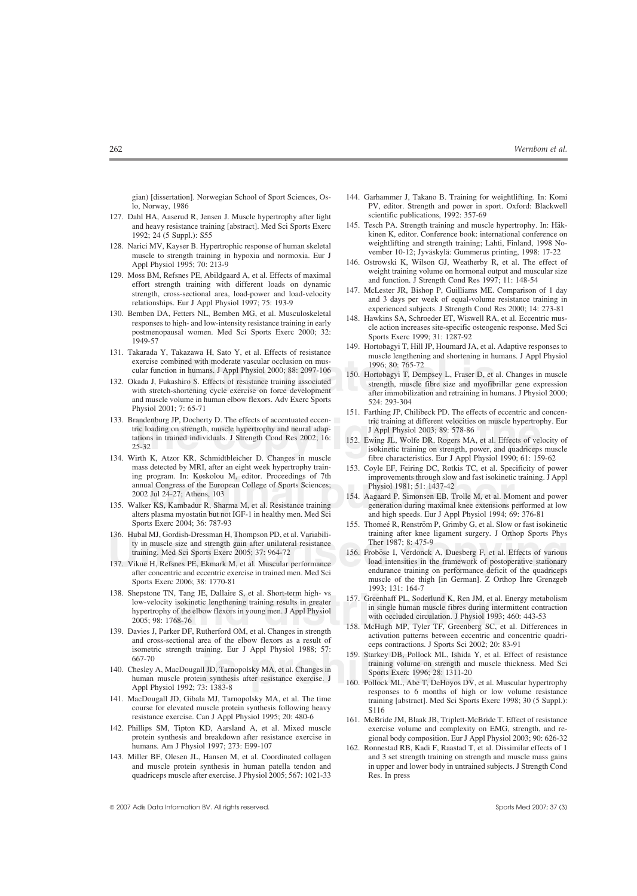- 127. Dahl HA, Aaserud R, Jensen J. Muscle hypertrophy after light and heavy resistance training [abstract]. Med Sci Sports Exerc 145. Tesch PA. Strength training and muscle hypertrophy. In: Häk-
- weightliftung and strength training; Lanti, Finland, 1998: 17-22<br>muscle to strength training in hypoxia and normoxia. Eur J vember 10-12; Jyväskylä: Gummerus printing, 1998: 17-22
- 129. Moss BM, Refsnes PE, Abildgaard A, et al. Effects of maximal<br>
effort strength training with different loads on dynamic<br>
effort strength, cross-sectional area, load-power and load-velocity<br>
relationships. Eur J Appl Ph
- 
- 
- 
- tric loading on strength, muscle hypertrophy and neural adap-<br>
tric training at different velocities on muscle hypertrophy. Eur<br>
tations in trained individuals. J Strength Cond Res 2002; 16: 152. Ewing JL, Wolfe DR, Rogers tric loading on strength, muscle hypertrophy and neural adaptations in trained individuals. J Strength Cond Res 2002; 16:
- 134. Wirth K, Atzor KR, Schmidtbleicher D. Changes in muscle fibre characteristics. Eur J Appl Physiol 1990; 61: 159-62 mass detected by MRI, after an eight week hypertrophy train-<br>
ing program, In: Koskolou M, editor, Proceedings of 7th<br>
improvements through slow and fast isokinetic training I Appl annual Congress of the European College of Sports Sciences; Physiol 1981; 51: 1437-42
- alters plasma myostatin but not IGF-1 in healthy men. Med Sci Sports Exerc 2004; 36: 787-93
- ty in muscle size and strength gain after unilateral resistance training. Med Sci Sports Exerc 2005; 37: 964-72
- 
- 138. Shepstone TN, Tang JE, Dallaire S, et al. Short-term high-vs<br>
low-velocity isokinetic lengthening training results in greater<br>
hypertrophy of the elbow flexors in young men. J Appl Physiol<br>
2005; 98: 1768-76<br>
139. Dav
- Sports Exerc 2006; 38: 1770-81<br>
138. Shepstone TN, Tang JE, Dallaire S, et al. Short-term high- vs<br>
low-velocity isokineitic lengthening training results in greater<br>
low flexors in young men. J Appl Physiol<br>
in single huma
- isometric strength training. Eur J Appl Physiol 1988; 57:<br>
667-70<br>
140. Chesley A, MacDougall JD, Tamopolsky MA, et al. Changes in<br>
140. Chesley A, MacDougall JD, Tamopolsky MA, et al. Changes in<br>
140. Chesley A, MacDougal
- 
- 142. Phillips SM, Tipton KD, Aarsland A, et al. Mixed muscle protein synthesis and breakdown after resistance exercise in protein synthesis and breakdown after resistance exercise in gional body composition. Eur J Appl Physiol 2003; 90: 626-32<br>humans. Am J Physiol 1997; 273: E99-107 162 Ronnestad RB Kadi F Raastad T et al Dissimilar effects o
- quadriceps muscle after exercise. J Physiol 2005; 567: 1021-33 Res. In press

2007 Adis Data Information BV. All rights reserved. Sports Med 2007; 37 (3)

- gian) [dissertation]. Norwegian School of Sport Sciences, Os- 144. Garhammer J, Takano B. Training for weightlifting. In: Komi lo, Norway, 1986 PV, editor. Strength and power in sport. Oxford: Blackwell
- 1992; 24 (5 Suppl.): S55 kinen K, editor. Conference book: international conference on<br>Initial MV, Kauser B, Ungestantia gauge of human ababital weightlifting and strength training: Lahti, Finland, 1998 No-
- Appl Physiol 1995; 70: 213-9<br>Appl Physiol 1995; 70: 213-9<br>Assets A at al. The effects of maximal<br>Appl Physiol 1995; 70: 213-9<br>Assets A at al. Effects of maximal<br>Appl Physiol 1995; 70: 213-9
	-
	-
	-
- The Takarada Y, Takazawa H, Sato Y, et al. Effects of resistance<br>
exercise combined with moderate vascular occlusion on muscle lengthening and shortening in humans. J Appl Physiol<br>
cular function in humans. J Appl Physiol 131. Takarada Y, Takazawa H, Sato Y, et al. Effects of resistance<br>
exercise combined with moderate vascular occlusion on mus-<br>
cular function in humans. J Appl Physiol 2000; 88: 2097-106<br>
132. Okada J, Fukashiro S. Effects
- Physiol 2001; 7: 65-71 151. Farthing JP, Chilibeck PD. The effects of eccentric and concen-<br>133. Brandenburg JP, Docherty D. The effects of accentricated eccen-<br>tric training at different velocities on muscle hypertrophy. tric training at different velocities on muscle hypertrophy. Eur J Appl Physiol 2003; 89: 578-86
	-
	- improvements through slow and fast isokinetic training. J Appl
- original In: Koskolou M, editor. Proceedings of 7th improvements through slow and fast isokinetic training Juli 24-27; Attens, 103 publishers.<br>
Juli 24-27; Attens, 103 publishers.<br>
The KS, Kambadur R, Sharma M, et al. Resi 2002 Jul 24-27; Athens, 103 154. Aagaard P, Simonsen EB, Trolle M, et al. Moment and power 135. Walker KS, Kambadur R, Sharma M, et al. Resistance training generation during maximal knee extensions performed alters plasma myostatin but not IGF-1 in healthy men. Med Sci and high speeds. Eur J Appl Physiol 1994; 6
- 155. Thomeé R, Renström P, Grimby G, et al. Slow or fast isokinetic 136. Hubal MJ, Gordish-Dressman H, Thompson PD, et al. Variabili-<br>training after knee ligament surgery. J Orthop Sports Phys<br>Ther 1987; 8: 475-9<br>The 1987; 8: 475-9
- 136. Hubal MJ, Gordish-Dressman H, Thompson PD, et al. Variability in muscle size and strength gain after unilateral resistance<br>
ty in muscle size and strength gain after unilateral resistance<br>
The 1987; 8: 475-9<br>
tailing. 156. Froböse I, Verdonck A, Duesberg F, et al. Effects of various load intensities in the framework of postoperative stationary
	-
	-
	-
	-
	- resistance exercise. Can J Appl Physiol 1995; 20: 480-6 161. McBride JM, Blaak JB, Triplett-McBride T. Effect of resistance<br>
	Phillips SM, Tipton KD, Aarsland A, et al. Mixed muscle exercise volume and complexity on EMG, st
- 162. Ronnestad RB, Kadi F, Raastad T, et al. Dissimilar effects of 1 143. Miller BF, Olesen JL, Hansen M, et al. Coordinated collagen and 3 set strength training on strength and muscle mass gains and muscle protein synthesis in human patella tendon and in upper and lower body in untrained subjects. J Strength Cond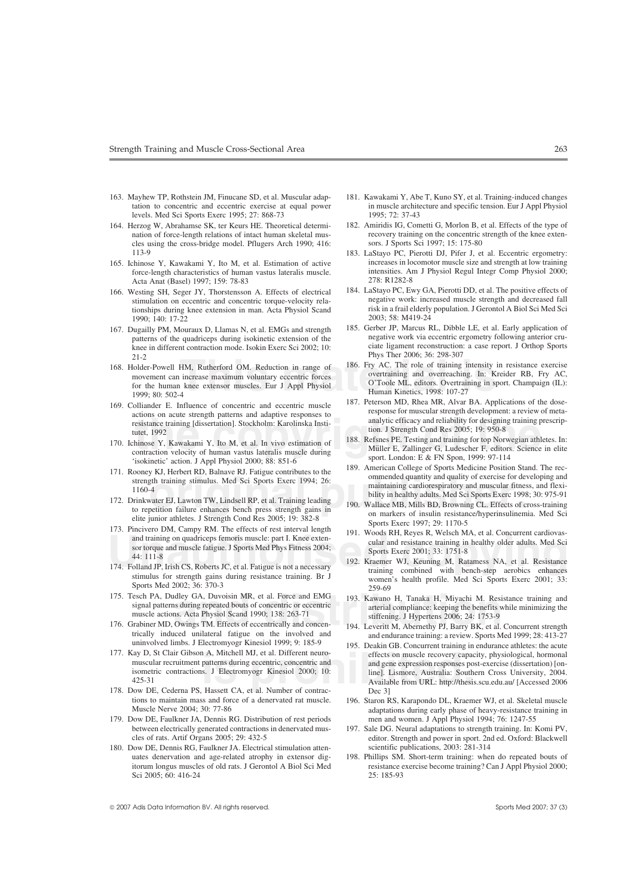- tation to concentric and eccentric exercise at equal power in muscle architecture and specific tension. The specific tension of the specific tension. The specific tension of the specific tension. The specific tension of th levels. Med Sci Sports Exerc 1995; 27: 868-73
- cles using the cross-bridge model. Pflugers Arch 1990; 416:
- Acta Anat (Basel) 1997; 159: 78-83<br>
Vesting SH, Seger JY, Thorstensson A. Effects of electrical 184. LaStayo PC, Ewy GA, Pierotti DD, et al. The positive effects of
- risk in a frail elderly population. J Geronton A Biol Sci tionships during knee extension in man. Acta Physiol Scand Tisk in a frail elderly 1990. 140. 17-22
- Phys Ther 2006; 36: 298-307<br>21-2<br>Jolder-Powell HM Rutherford OM Reduction in range of 186. Fry AC. The role of training intensity in resistance exercise
- 168. Holder-Powell HM, Rutherford OM. Reduction in range of movement can increase maximum voluntary eccentric forces
- 
- 
- 
- 
- 173. Pincivero DM, Campy RM. The effects of rest interval length<br>and training on quadriceps femoris muscle: part I. Knee exten-<br>sor torque and muscle fatigue. J Sports Med Phys Fitness 2004;<br>44: 111-8<br>174. Folland JP, Iris
- 
- 
- uninvolved limbs. J Electromyogr Kinesiol 1999; 9: 185-9<br>195. Deakin GB. Concurrent training in endurance athletes: the acute
- 
- 178. Dow DE, Cederna PS, Hassett CA, et al. Number of contrac-
- 179. Dow DE, Faulkner JA, Dennis RG. Distribution of rest periods between electrically generated contractions in denervated mus-
- 180. Dow DE, Dennis RG, Faulkner JA. Electrical stimulation atten- scientific publications, 2003: 281-314 Sci 2005; 60: 416-24 25: 185-93
- 163. Mayhew TP, Rothstein JM, Finucane SD, et al. Muscular adap-<br>
tation to concentric and eccentric exercise at equal power in muscle architecture and specific tension. Eur J Appl Physiol
- 164. Herzog W, Abrahamse SK, ter Keurs HE. Theoretical determi-<br>nation of force-length relations of intact human skeletal mus-<br>recovery training on the concentric strength of the knee extenrecovery training on the concentric strength of the knee extensors. J Sports Sci 1997; 15: 175-80
- 113-9 183. LaStayo PC, Pierotti DJ, Pifer J, et al. Eccentric ergometry: 165. Ichinose Y, Kawakami Y, Ito M, et al. Estimation of active increases in locomotor muscle size and strength at low training force-length characteristics of human vastus lateralis muscle. Intensities. Am J Physiol Regul intensities. Am J Physiol Regul Integr Comp Physiol 2000;<br>278: R1282-8
- 166. Westing SH, Seger JY, Thorstensson A. Effects of electrical 184. LaStayo PC, Ewy GA, Pierotti DD, et al. The positive effects of electrical termination on eccentric and concentric torque-velocity rela. negative work: stimulation on eccentric and concentric torque-velocity rela-<br>tionships during knee extension in man. Acta Physiol Scand<br>risk in a frail elderly population. J Gerontol A Biol Sci Med Sci 2003; 58: M419-24<br>2003; 58: M419-24<br>2003; 58: M419-24 2003; 58: M419-24<br>2003; 58: M419-24 2003; 58: M419-24
- 167. Dugailly PM, Mouraux D, Llamas N, et al. EMGs and strength 185. Gerber JP, Marcus RL, Dibble LE, et al. Early application of patterns of the quadriceps during isokinetic extension of the strength and trength and treng
	- The movement can increase maximum voluntary eccentric forces<br>
	In the of training intensity in resistance exercise<br>
	movement can increase maximum voluntary eccentric forces<br>
	for the human knee extensor muscles. Eur J Appl P overtraining and overreaching. In: Kreider RB, Fry AC, O'Toole ML, editors. Overtraining in sport. Champaign (IL):
- 187. Peterson MD, Rhea MR, Alvar BA. Applications of the dose-<br>169. Colliander E. Influence of concentric and eccentric muscle<br>187. Peterson MD, Rhea MR, Alvar BA. Applications of the dose-<br>169. Colliander Technology expon actions on acute strength patterns and adaptive responses to<br>response for muscular strength development: a review of meta-<br>testistance training [dissertation]. Stockholm: Karolinska Institute of a the bigged and relation o
	- External on tracta sacred and product in the copyright of the copyright of the copyright of the copyright of the<br>
	test training [dissertation]. Stockholm: Karolinska Institute the comparation of the comparation velocity of
- 171. Rooney KJ, Herbert RD, Balnave RJ. Fatigue contributes to the<br>
strength training stimulus. Med Sci Sports Exerc 1994; 26:<br>
1160-4<br>
172. Drinkwater EJ, Lawton TW, Lindsell RP, et al. Training leading<br>
to repetition fai 170. Ichinose Y, Kawakami Y, Ito M, et al. In vivo estimation of  $\mu$  188. Refines PE, Testing and training for top Norwegian atheles. In:<br>
contraction velocity of human vasta lateralis muscle during<br>
isokinetic' action.
	-
	-
	-
- 175. Tesch PA, Dudley GA, Duvoisin MR, et al. Force and EMG<br>
signal patterns during repeated bouts of concentric or eccentric<br>
muscle actions. Acta Physiol Scand 1990; 138: 263-71<br>
176. Grabiner MD, Owings TM. Effects of e 193. Kawano H, Tanaka H, Miyachi M. Resistance training and
	-
- **is A, Mitchell MJ, et al. Different neuro-**<br>
patterns during eccentric, concentric and<br> **is all the expression responses posterns** during eccentric, concentric and<br> **is proper Section 2000;**<br> **is proper Section 2000;**<br> **i** 177. Kay D, St Clair Gibson A, Mitchell MJ, et al. Different neuro- effects on muscle recovery capacity, physiological, hormonal muscular recruitment patterns during eccentric, concentric and and gene expression responses post-exercise (dissertation) [onisometric contractions. J Electromyogr Kinesiol 2000; 10: line]. Lismore, Australia: Southern Cross University, 2004. 425-31 Available from URL: http://thesis.scu.edu.au/ [Accessed 2006
	- tions to maintain mass and force of a denervated rat muscle. 196. Staron RS, Karapondo DL, Kraemer WJ, et al. Skeletal muscle<br>Muscle Nerve 2004: 30: 77-86 adaptations during early phase of heavy-resistance training in men and women. J Appl Physiol 1994; 76: 1247-55
	- between electrically generated contractions in denervated mus-<br>
	editor. Strength and power in sport. 2nd ed. Oxford: Blackwell<br>
	editor. Strength and power in sport. 2nd ed. Oxford: Blackwell editor. Strength and power in sport. 2nd ed. Oxford: Blackwell
	- uates denervation and age-related atrophy in extensor dig- 198. Phillips SM. Short-term training: when do repeated bouts of itorum longus muscles of old rats. J Gerontol A Biol Sci Med resistance exercise become training? Can J Appl Physiol 2000;